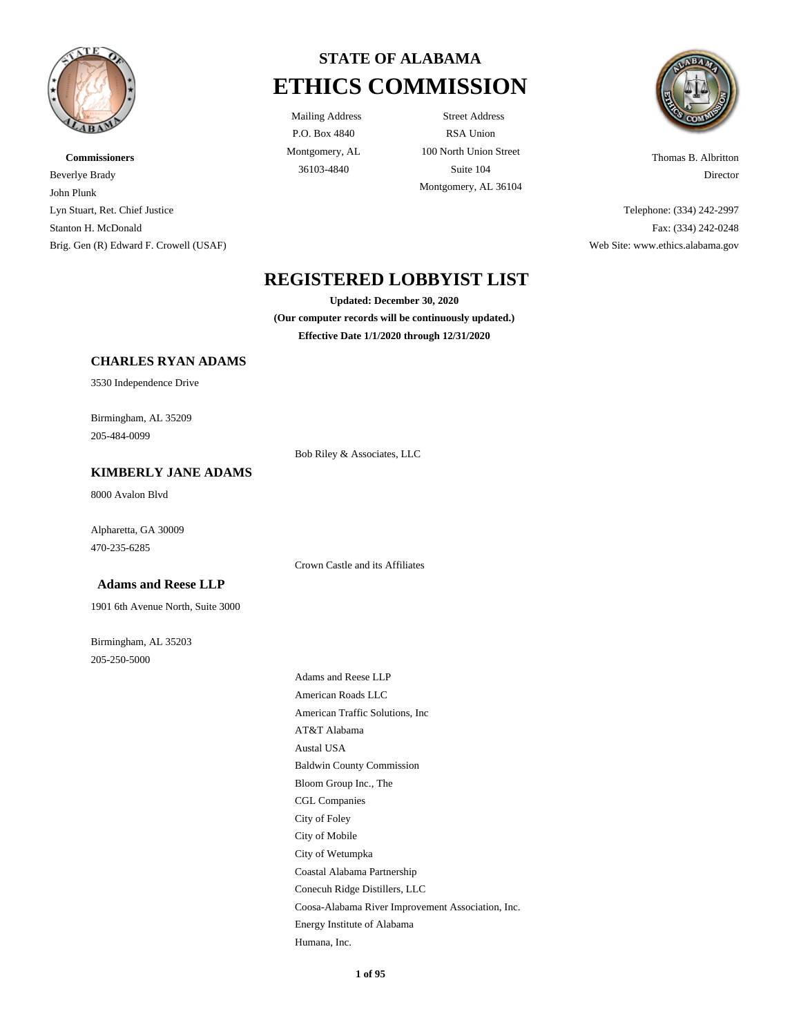

# **Commissioners** Beverlye Brady John Plunk Lyn Stuart, Ret. Chief Justice Stanton H. McDonald Brig. Gen (R) Edward F. Crowell (USAF)



P.O. Box 4840 Montgomery, AL

Mailing Address Street Address RSA Union 100 North Union Street 36103-4840 Suite 104 Montgomery, AL 36104



Thomas B. Albritton Director

Telephone: (334) 242-2997 Fax: (334) 242-0248 Web Site: www.ethics.alabama.gov

# **REGISTERED LOBBYIST LIST**

**Updated: December 30, 2020**

**(Our computer records will be continuously updated.) Effective Date 1/1/2020 through 12/31/2020**

#### **CHARLES RYAN ADAMS**

3530 Independence Drive

Birmingham, AL 35209 205-484-0099

#### **KIMBERLY JANE ADAMS**

8000 Avalon Blvd

Alpharetta, GA 30009 470-235-6285

 **Adams and Reese LLP**

1901 6th Avenue North, Suite 3000

Birmingham, AL 35203 205-250-5000

Crown Castle and its Affiliates

Bob Riley & Associates, LLC

Adams and Reese LLP American Roads LLC American Traffic Solutions, Inc AT&T Alabama Austal USA Baldwin County Commission Bloom Group Inc., The CGL Companies City of Foley City of Mobile City of Wetumpka Coastal Alabama Partnership Conecuh Ridge Distillers, LLC Coosa-Alabama River Improvement Association, Inc. Energy Institute of Alabama Humana, Inc.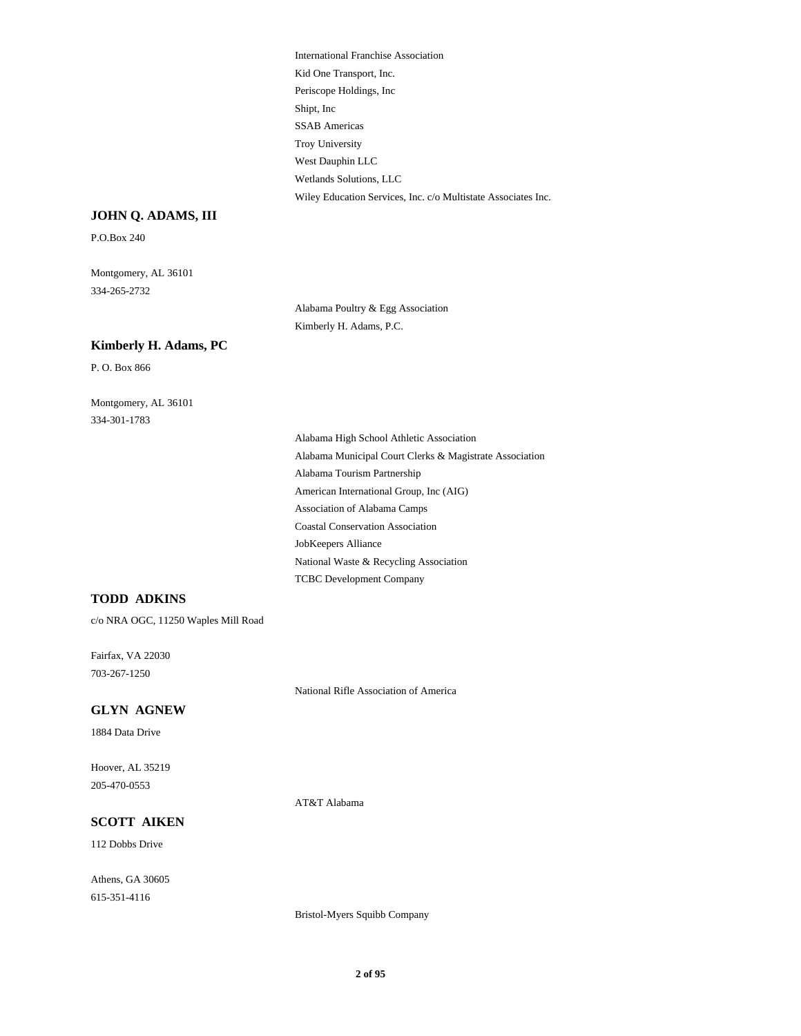International Franchise Association Kid One Transport, Inc. Periscope Holdings, Inc Shipt, Inc SSAB Americas Troy University West Dauphin LLC Wetlands Solutions, LLC Wiley Education Services, Inc. c/o Multistate Associates Inc.

#### **JOHN Q. ADAMS, III**

P.O.Box 240

Montgomery, AL 36101 334-265-2732

> Alabama Poultry & Egg Association Kimberly H. Adams, P.C.

#### **Kimberly H. Adams, PC**

P. O. Box 866

Montgomery, AL 36101 334-301-1783

> Alabama High School Athletic Association Alabama Municipal Court Clerks & Magistrate Association Alabama Tourism Partnership American International Group, Inc (AIG) Association of Alabama Camps Coastal Conservation Association JobKeepers Alliance National Waste & Recycling Association TCBC Development Company

#### **TODD ADKINS**

c/o NRA OGC, 11250 Waples Mill Road

Fairfax, VA 22030 703-267-1250

National Rifle Association of America

### **GLYN AGNEW**

1884 Data Drive

Hoover, AL 35219 205-470-0553

AT&T Alabama

# **SCOTT AIKEN**

112 Dobbs Drive

Athens, GA 30605 615-351-4116

Bristol-Myers Squibb Company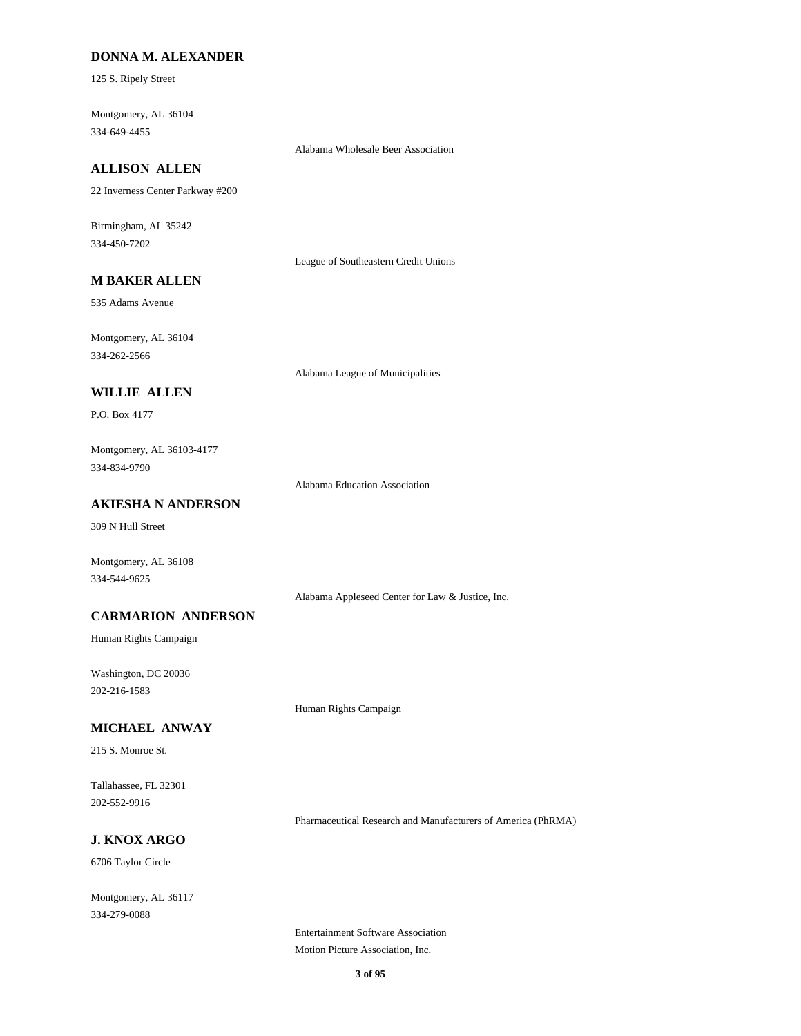#### **DONNA M. ALEXANDER**

125 S. Ripely Street

Montgomery, AL 36104 334-649-4455

Alabama Wholesale Beer Association

### **ALLISON ALLEN**

22 Inverness Center Parkway #200

Birmingham, AL 35242 334-450-7202

League of Southeastern Credit Unions

# **M BAKER ALLEN**

535 Adams Avenue

Montgomery, AL 36104 334-262-2566

Alabama League of Municipalities

# **WILLIE ALLEN**

P.O. Box 4177

Montgomery, AL 36103-4177 334-834-9790

Alabama Education Association

### **AKIESHA N ANDERSON**

309 N Hull Street

Montgomery, AL 36108 334-544-9625

Alabama Appleseed Center for Law & Justice, Inc.

#### **CARMARION ANDERSON**

Human Rights Campaign

Washington, DC 20036 202-216-1583

Human Rights Campaign

### **MICHAEL ANWAY**

215 S. Monroe St.

Tallahassee, FL 32301 202-552-9916

Pharmaceutical Research and Manufacturers of America (PhRMA)

# **J. KNOX ARGO**

6706 Taylor Circle

Montgomery, AL 36117 334-279-0088

> Entertainment Software Association Motion Picture Association, Inc.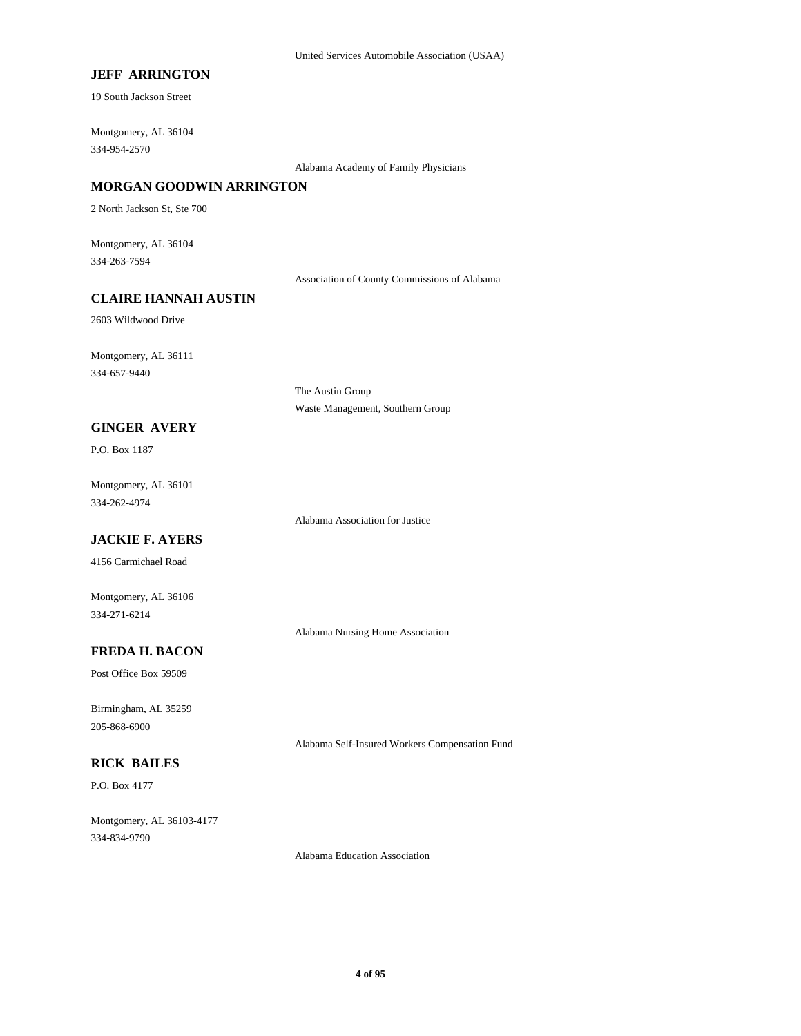### **JEFF ARRINGTON**

19 South Jackson Street

Montgomery, AL 36104 334-954-2570

Alabama Academy of Family Physicians

#### **MORGAN GOODWIN ARRINGTON**

2 North Jackson St, Ste 700

Montgomery, AL 36104 334-263-7594

Association of County Commissions of Alabama

#### **CLAIRE HANNAH AUSTIN**

2603 Wildwood Drive

Montgomery, AL 36111 334-657-9440

> The Austin Group Waste Management, Southern Group

#### **GINGER AVERY**

P.O. Box 1187

Montgomery, AL 36101 334-262-4974

Alabama Association for Justice

# **JACKIE F. AYERS**

4156 Carmichael Road

Montgomery, AL 36106 334-271-6214

Alabama Nursing Home Association

### **FREDA H. BACON**

Post Office Box 59509

Birmingham, AL 35259 205-868-6900

Alabama Self-Insured Workers Compensation Fund

# **RICK BAILES**

P.O. Box 4177

Montgomery, AL 36103-4177 334-834-9790

Alabama Education Association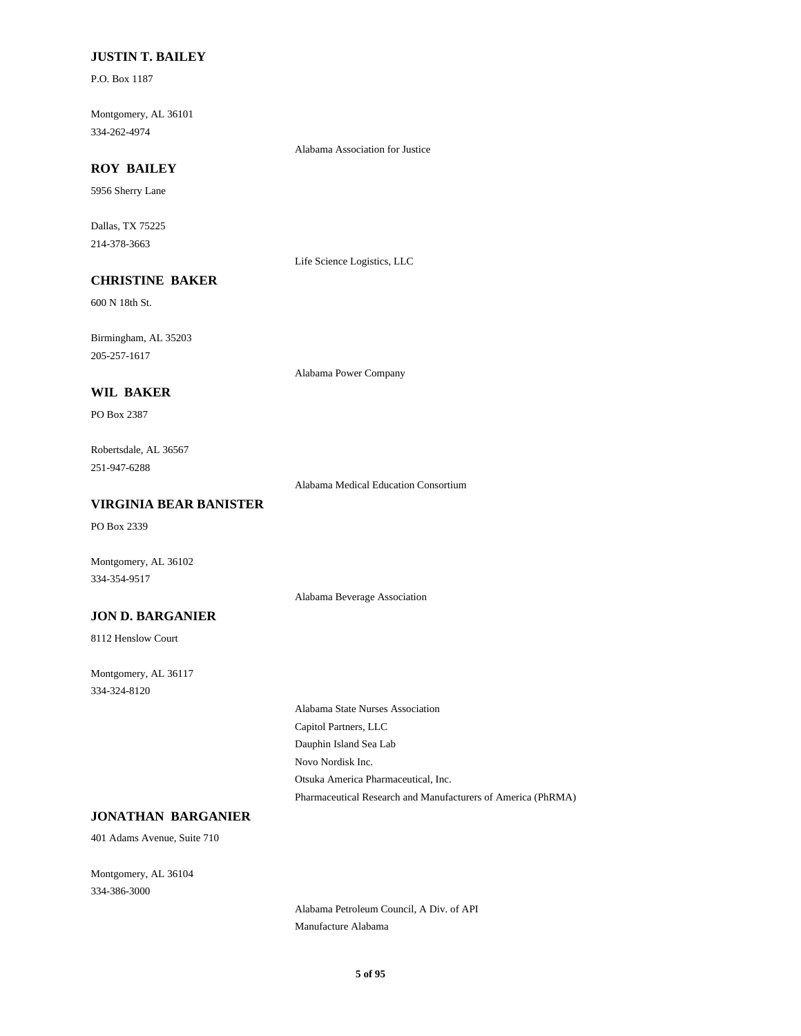#### **JUSTIN T. BAILEY**

P.O. Box 1187

Montgomery, AL 36101 334-262-4974

Alabama Association for Justice

# **ROY BAILEY**

5956 Sherry Lane

Dallas, TX 75225 214-378-3663

Life Science Logistics, LLC

# **CHRISTINE BAKER**

600 N 18th St.

Birmingham, AL 35203 205-257-1617

Alabama Power Company

#### **WIL BAKER**

PO Box 2387

Robertsdale, AL 36567 251-947-6288

Alabama Medical Education Consortium

Alabama Beverage Association

#### **VIRGINIA BEAR BANISTER**

PO Box 2339

Montgomery, AL 36102 334-354-9517

#### **JON D. BARGANIER**

8112 Henslow Court

Montgomery, AL 36117 334-324-8120

> Alabama State Nurses Association Capitol Partners, LLC Dauphin Island Sea Lab Novo Nordisk Inc. Otsuka America Pharmaceutical, Inc. Pharmaceutical Research and Manufacturers of America (PhRMA)

#### **JONATHAN BARGANIER**

401 Adams Avenue, Suite 710

Montgomery, AL 36104 334-386-3000

> Alabama Petroleum Council, A Div. of API Manufacture Alabama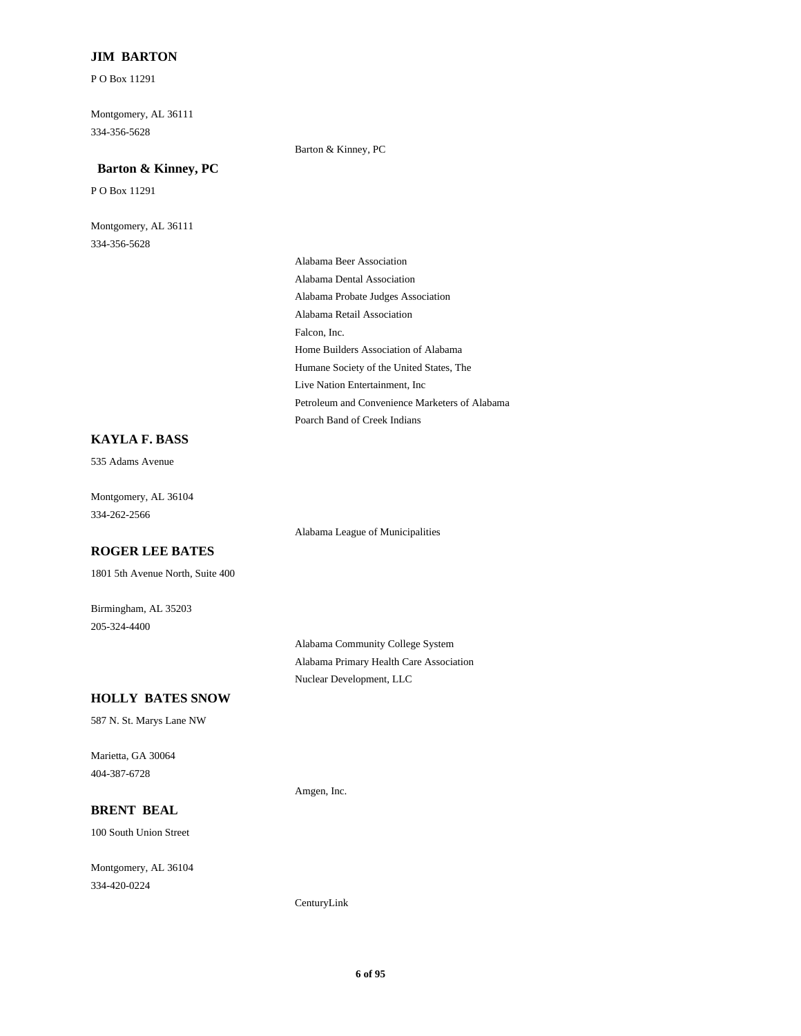### **JIM BARTON**

P O Box 11291

Montgomery, AL 36111 334-356-5628

### Barton & Kinney, PC

### **Barton & Kinney, PC**

P O Box 11291

Montgomery, AL 36111 334-356-5628

> Alabama Beer Association Alabama Dental Association Alabama Probate Judges Association Alabama Retail Association Falcon, Inc. Home Builders Association of Alabama Humane Society of the United States, The Live Nation Entertainment, Inc Petroleum and Convenience Marketers of Alabama Poarch Band of Creek Indians

#### **KAYLA F. BASS**

535 Adams Avenue

Montgomery, AL 36104 334-262-2566

Alabama League of Municipalities

#### **ROGER LEE BATES**

1801 5th Avenue North, Suite 400

Birmingham, AL 35203 205-324-4400

> Alabama Community College System Alabama Primary Health Care Association Nuclear Development, LLC

#### **HOLLY BATES SNOW**

587 N. St. Marys Lane NW

Marietta, GA 30064 404-387-6728

Amgen, Inc.

#### **BRENT BEAL**

100 South Union Street

Montgomery, AL 36104 334-420-0224

CenturyLink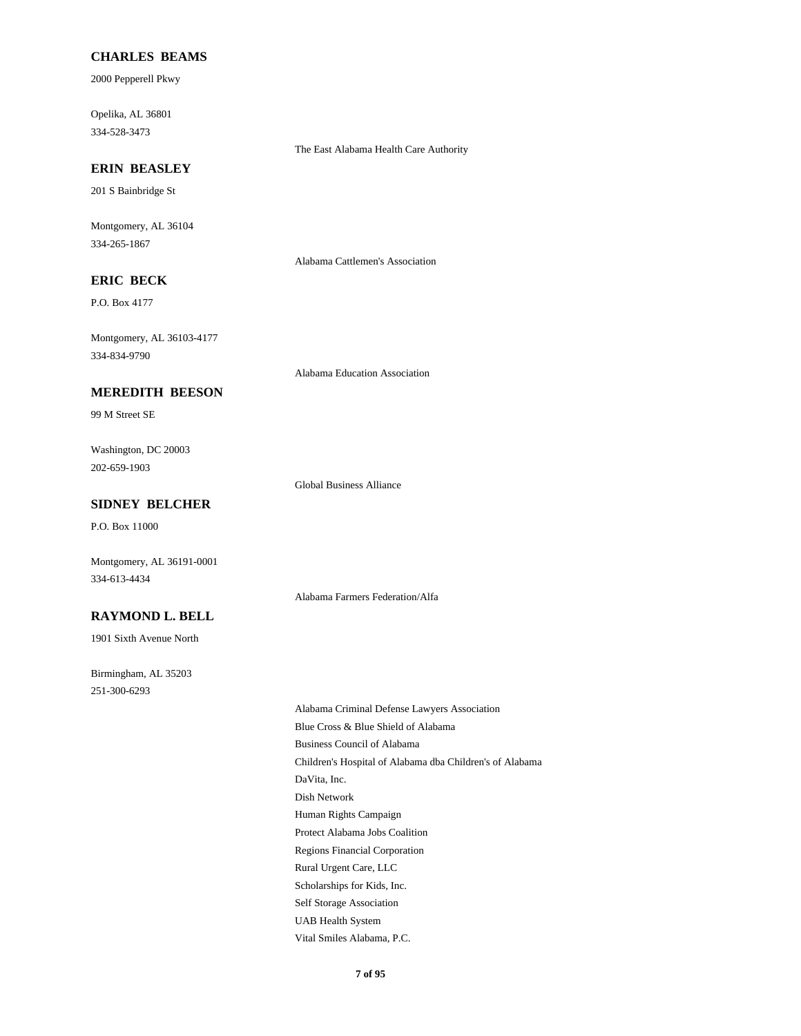#### **CHARLES BEAMS**

2000 Pepperell Pkwy

Opelika, AL 36801 334-528-3473

The East Alabama Health Care Authority

# **ERIN BEASLEY**

201 S Bainbridge St

Montgomery, AL 36104 334-265-1867

Alabama Cattlemen's Association

# **ERIC BECK**

P.O. Box 4177

Montgomery, AL 36103-4177 334-834-9790

Alabama Education Association

#### **MEREDITH BEESON**

99 M Street SE

Washington, DC 20003 202-659-1903

Global Business Alliance

Alabama Farmers Federation/Alfa

#### **SIDNEY BELCHER**

P.O. Box 11000

Montgomery, AL 36191-0001 334-613-4434

#### **RAYMOND L. BELL**

1901 Sixth Avenue North

Birmingham, AL 35203 251-300-6293

> Alabama Criminal Defense Lawyers Association Blue Cross & Blue Shield of Alabama Business Council of Alabama Children's Hospital of Alabama dba Children's of Alabama DaVita, Inc. Dish Network Human Rights Campaign Protect Alabama Jobs Coalition Regions Financial Corporation Rural Urgent Care, LLC Scholarships for Kids, Inc. Self Storage Association UAB Health System Vital Smiles Alabama, P.C.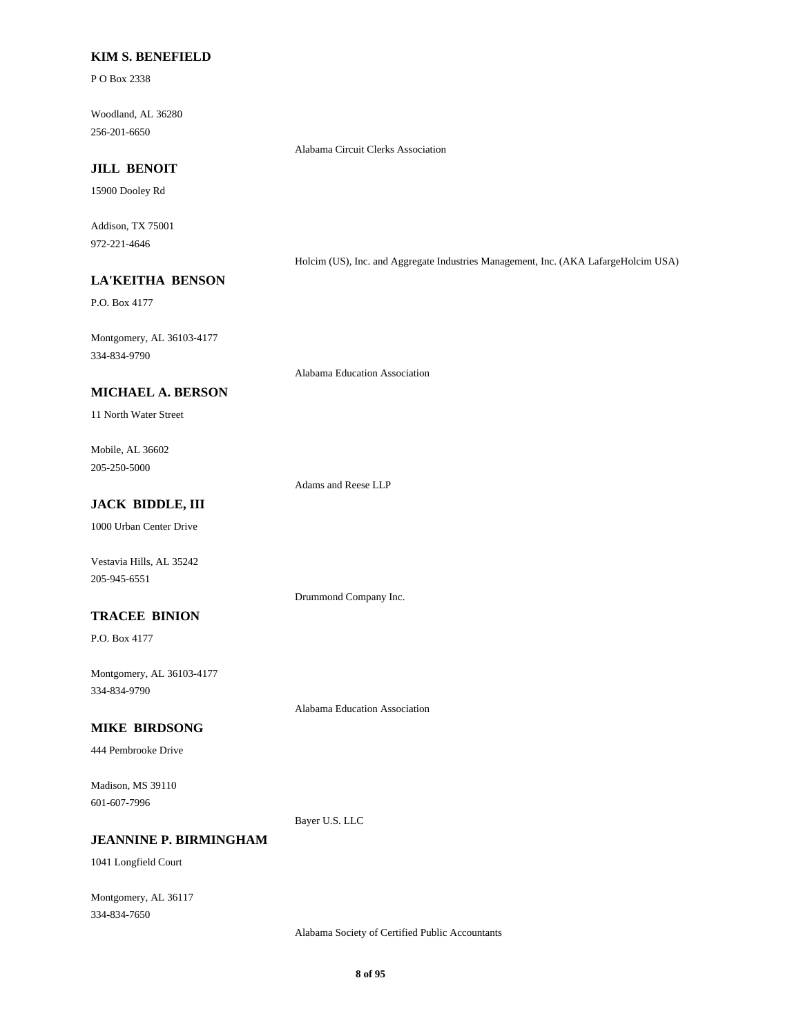#### **KIM S. BENEFIELD**

P O Box 2338

Woodland, AL 36280 256-201-6650

Alabama Circuit Clerks Association

# **JILL BENOIT**

15900 Dooley Rd

Addison, TX 75001 972-221-4646

Holcim (US), Inc. and Aggregate Industries Management, Inc. (AKA LafargeHolcim USA)

# **LA'KEITHA BENSON**

P.O. Box 4177

Montgomery, AL 36103-4177 334-834-9790

Alabama Education Association

#### **MICHAEL A. BERSON**

11 North Water Street

Mobile, AL 36602 205-250-5000

Adams and Reese LLP

Drummond Company Inc.

Alabama Education Association

# **JACK BIDDLE, III**

1000 Urban Center Drive

Vestavia Hills, AL 35242 205-945-6551

#### **TRACEE BINION**

P.O. Box 4177

Montgomery, AL 36103-4177 334-834-9790

#### **MIKE BIRDSONG**

444 Pembrooke Drive

Madison, MS 39110 601-607-7996

Bayer U.S. LLC

### **JEANNINE P. BIRMINGHAM**

1041 Longfield Court

Montgomery, AL 36117 334-834-7650

Alabama Society of Certified Public Accountants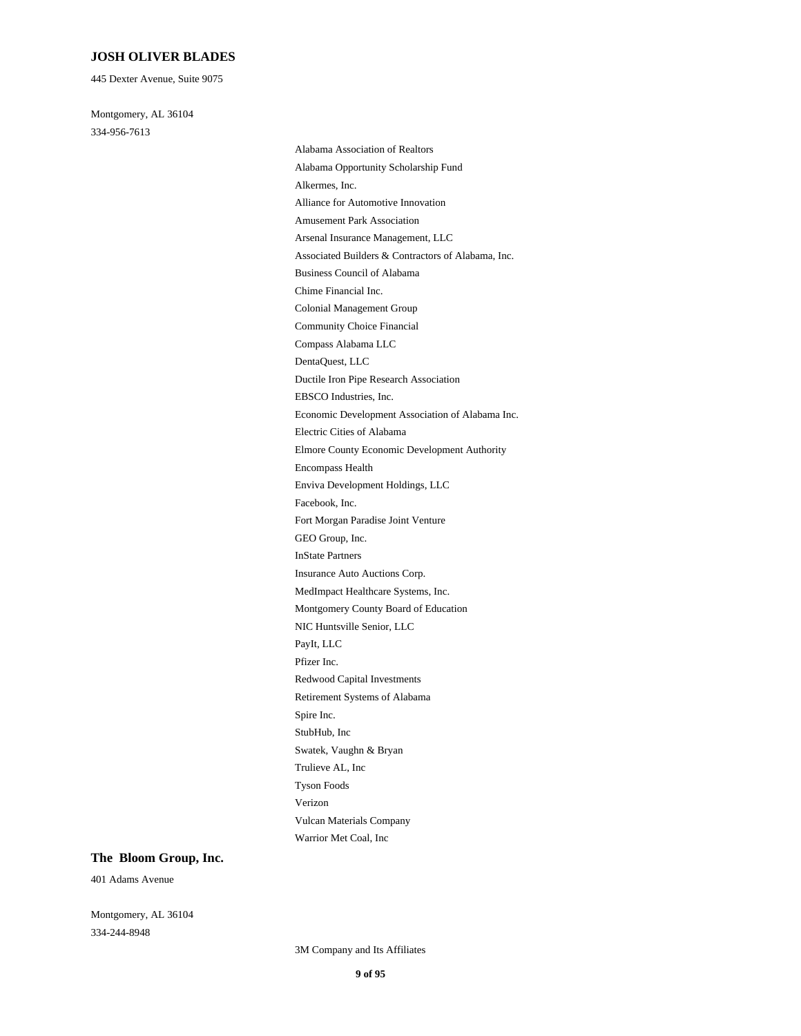#### **JOSH OLIVER BLADES**

445 Dexter Avenue, Suite 9075

Montgomery, AL 36104 334-956-7613

Alabama Association of Realtors Alabama Opportunity Scholarship Fund Alkermes, Inc. Alliance for Automotive Innovation Amusement Park Association Arsenal Insurance Management, LLC Associated Builders & Contractors of Alabama, Inc. Business Council of Alabama Chime Financial Inc. Colonial Management Group Community Choice Financial Compass Alabama LLC DentaQuest, LLC Ductile Iron Pipe Research Association EBSCO Industries, Inc. Economic Development Association of Alabama Inc. Electric Cities of Alabama Elmore County Economic Development Authority Encompass Health Enviva Development Holdings, LLC Facebook, Inc. Fort Morgan Paradise Joint Venture GEO Group, Inc. InState Partners Insurance Auto Auctions Corp. MedImpact Healthcare Systems, Inc. Montgomery County Board of Education NIC Huntsville Senior, LLC PayIt, LLC Pfizer Inc. Redwood Capital Investments Retirement Systems of Alabama Spire Inc. StubHub, Inc Swatek, Vaughn & Bryan Trulieve AL, Inc Tyson Foods Verizon Vulcan Materials Company Warrior Met Coal, Inc

#### **The Bloom Group, Inc.**

401 Adams Avenue

Montgomery, AL 36104 334-244-8948

3M Company and Its Affiliates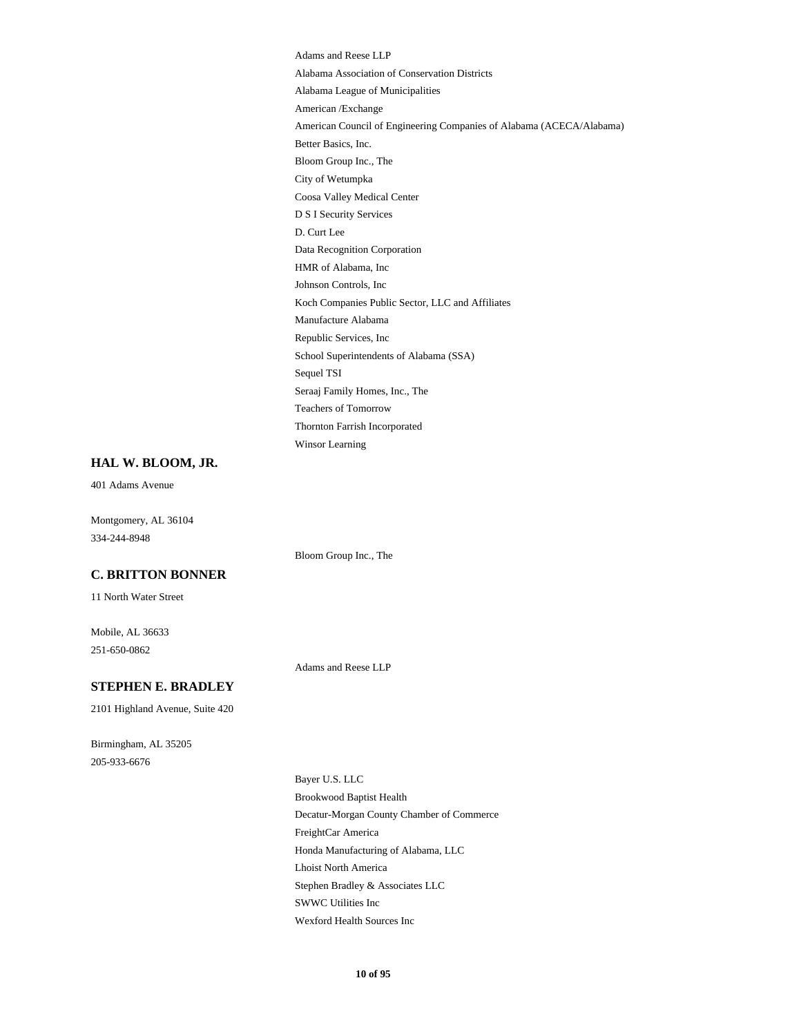Adams and Reese LLP Alabama Association of Conservation Districts Alabama League of Municipalities American /Exchange American Council of Engineering Companies of Alabama (ACECA/Alabama) Better Basics, Inc. Bloom Group Inc., The City of Wetumpka Coosa Valley Medical Center D S I Security Services D. Curt Lee Data Recognition Corporation HMR of Alabama, Inc Johnson Controls, Inc Koch Companies Public Sector, LLC and Affiliates Manufacture Alabama Republic Services, Inc School Superintendents of Alabama (SSA) Sequel TSI Seraaj Family Homes, Inc., The Teachers of Tomorrow Thornton Farrish Incorporated Winsor Learning

#### **HAL W. BLOOM, JR.**

401 Adams Avenue

Montgomery, AL 36104 334-244-8948

Bloom Group Inc., The

#### **C. BRITTON BONNER**

11 North Water Street

Mobile, AL 36633 251-650-0862

Adams and Reese LLP

#### **STEPHEN E. BRADLEY**

2101 Highland Avenue, Suite 420

Birmingham, AL 35205 205-933-6676

> Bayer U.S. LLC Brookwood Baptist Health Decatur-Morgan County Chamber of Commerce FreightCar America Honda Manufacturing of Alabama, LLC Lhoist North America Stephen Bradley & Associates LLC SWWC Utilities Inc Wexford Health Sources Inc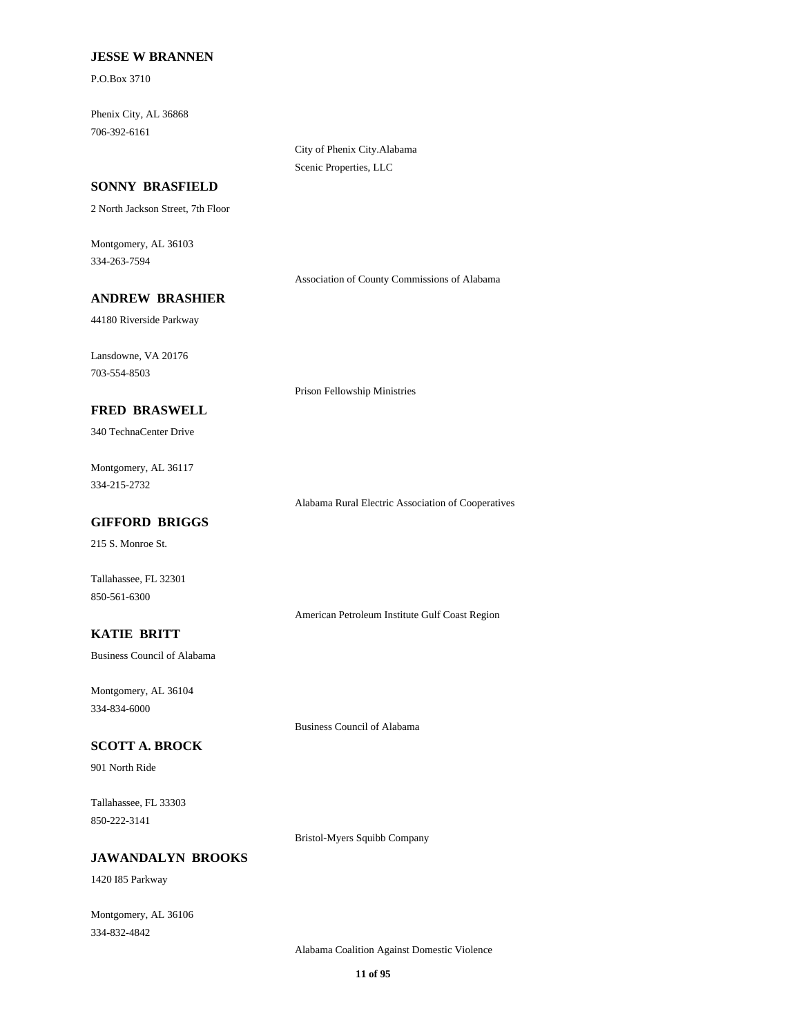#### **JESSE W BRANNEN**

P.O.Box 3710

Phenix City, AL 36868 706-392-6161

> City of Phenix City.Alabama Scenic Properties, LLC

> Prison Fellowship Ministries

#### **SONNY BRASFIELD**

2 North Jackson Street, 7th Floor

Montgomery, AL 36103 334-263-7594

Association of County Commissions of Alabama

# **ANDREW BRASHIER**

44180 Riverside Parkway

Lansdowne, VA 20176 703-554-8503

#### **FRED BRASWELL**

340 TechnaCenter Drive

Montgomery, AL 36117 334-215-2732

Alabama Rural Electric Association of Cooperatives

### **GIFFORD BRIGGS**

215 S. Monroe St.

Tallahassee, FL 32301 850-561-6300

American Petroleum Institute Gulf Coast Region

# **KATIE BRITT**

Business Council of Alabama

Montgomery, AL 36104 334-834-6000

Business Council of Alabama

#### **SCOTT A. BROCK**

901 North Ride

Tallahassee, FL 33303 850-222-3141

Bristol-Myers Squibb Company

# **JAWANDALYN BROOKS**

1420 I85 Parkway

Montgomery, AL 36106 334-832-4842

Alabama Coalition Against Domestic Violence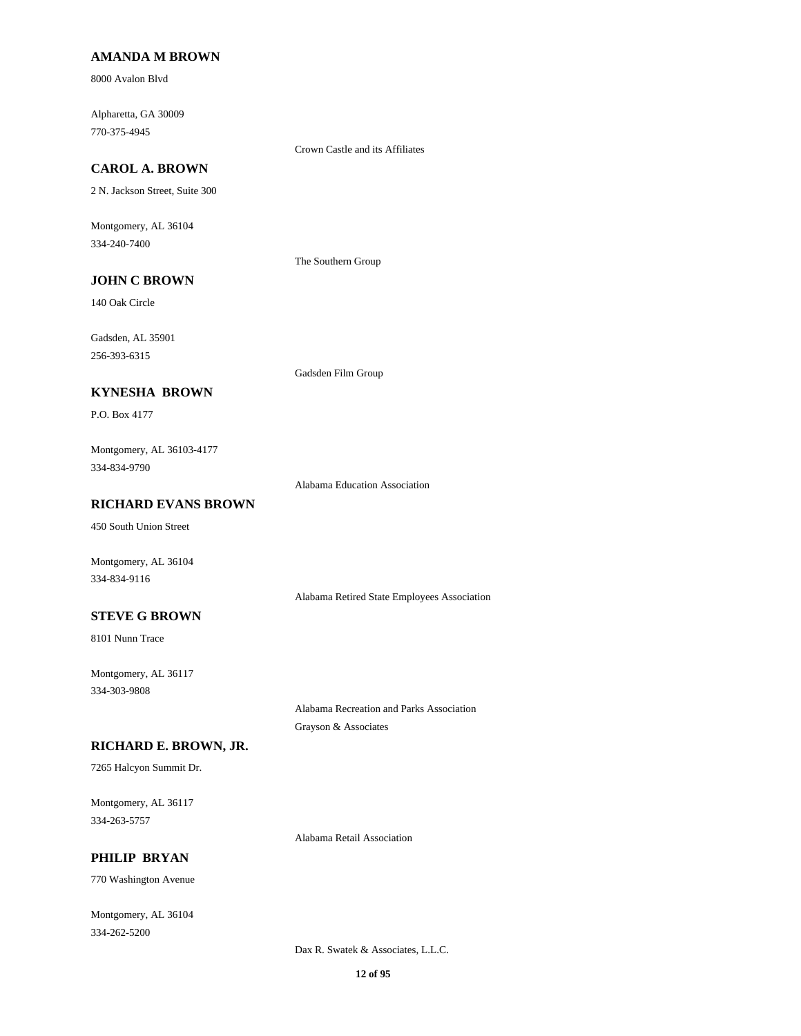#### **AMANDA M BROWN**

8000 Avalon Blvd

Alpharetta, GA 30009 770-375-4945

Crown Castle and its Affiliates

# **CAROL A. BROWN**

2 N. Jackson Street, Suite 300

Montgomery, AL 36104 334-240-7400

The Southern Group

Gadsden Film Group

# **JOHN C BROWN**

140 Oak Circle

Gadsden, AL 35901 256-393-6315

### **KYNESHA BROWN**

P.O. Box 4177

Montgomery, AL 36103-4177 334-834-9790

Alabama Education Association

#### **RICHARD EVANS BROWN**

450 South Union Street

Montgomery, AL 36104 334-834-9116

Alabama Retired State Employees Association

#### **STEVE G BROWN**

8101 Nunn Trace

Montgomery, AL 36117 334-303-9808

> Alabama Recreation and Parks Association Grayson & Associates

#### **RICHARD E. BROWN, JR.**

7265 Halcyon Summit Dr.

Montgomery, AL 36117 334-263-5757

Alabama Retail Association

# **PHILIP BRYAN**

770 Washington Avenue

Montgomery, AL 36104 334-262-5200

Dax R. Swatek & Associates, L.L.C.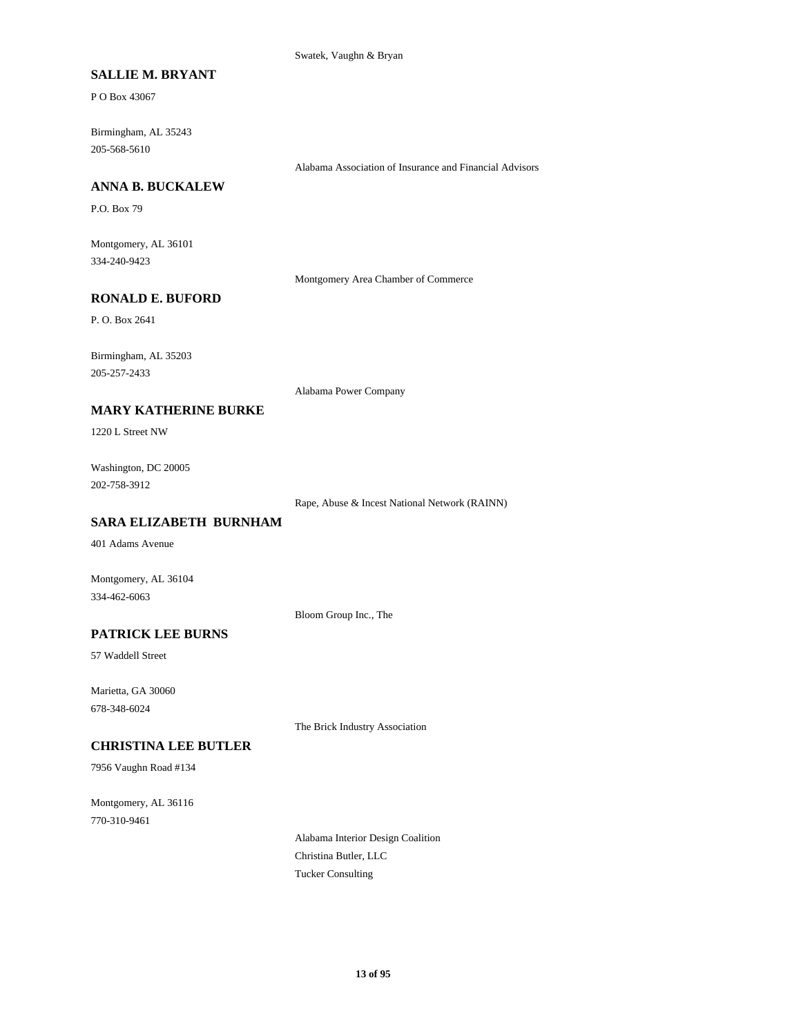Swatek, Vaughn & Bryan

### **SALLIE M. BRYANT**

P O Box 43067

Birmingham, AL 35243 205-568-5610

Alabama Association of Insurance and Financial Advisors

#### **ANNA B. BUCKALEW**

P.O. Box 79

Montgomery, AL 36101 334-240-9423

Montgomery Area Chamber of Commerce

### **RONALD E. BUFORD**

P. O. Box 2641

Birmingham, AL 35203 205-257-2433

Alabama Power Company

### **MARY KATHERINE BURKE**

1220 L Street NW

Washington, DC 20005 202-758-3912

Rape, Abuse & Incest National Network (RAINN)

### **SARA ELIZABETH BURNHAM**

401 Adams Avenue

Montgomery, AL 36104 334-462-6063

Bloom Group Inc., The

# **PATRICK LEE BURNS**

57 Waddell Street

Marietta, GA 30060 678-348-6024

The Brick Industry Association

#### **CHRISTINA LEE BUTLER**

7956 Vaughn Road #134

Montgomery, AL 36116 770-310-9461

> Alabama Interior Design Coalition Christina Butler, LLC Tucker Consulting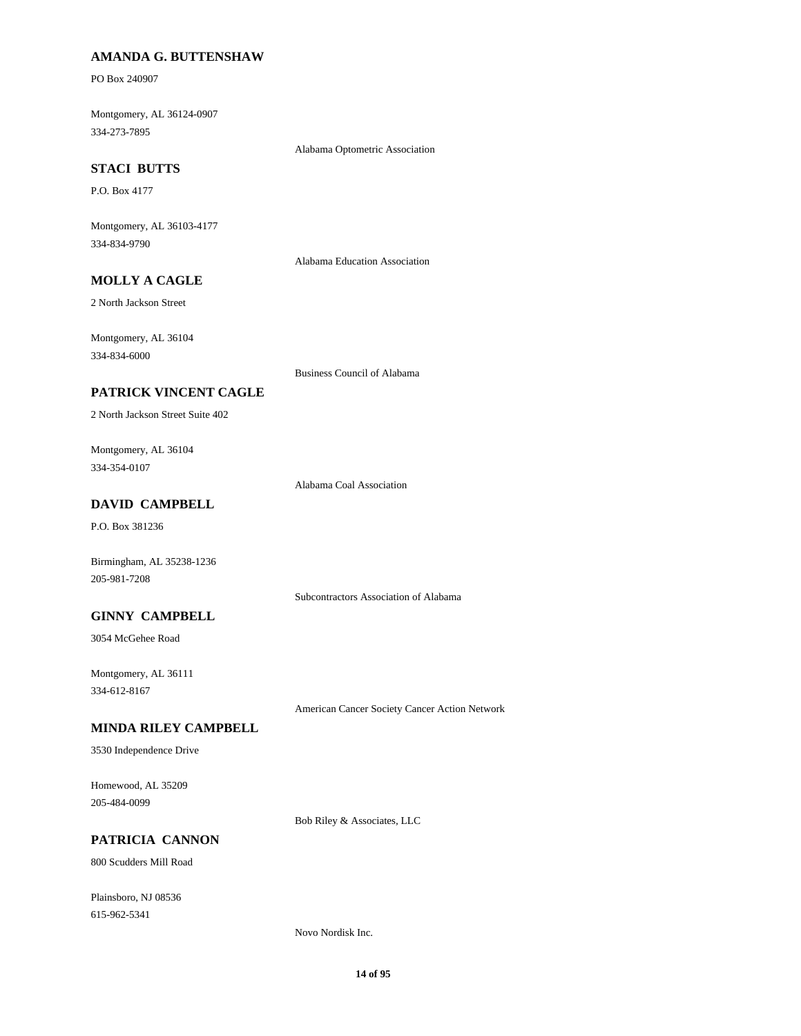### **AMANDA G. BUTTENSHAW**

PO Box 240907

Montgomery, AL 36124-0907 334-273-7895

Alabama Optometric Association

# **STACI BUTTS**

P.O. Box 4177

Montgomery, AL 36103-4177 334-834-9790

Alabama Education Association

# **MOLLY A CAGLE**

2 North Jackson Street

Montgomery, AL 36104 334-834-6000

Business Council of Alabama

#### **PATRICK VINCENT CAGLE**

2 North Jackson Street Suite 402

Montgomery, AL 36104 334-354-0107

Alabama Coal Association

# **DAVID CAMPBELL**

P.O. Box 381236

Birmingham, AL 35238-1236 205-981-7208

Subcontractors Association of Alabama

### **GINNY CAMPBELL**

3054 McGehee Road

Montgomery, AL 36111 334-612-8167

American Cancer Society Cancer Action Network

#### **MINDA RILEY CAMPBELL**

3530 Independence Drive

Homewood, AL 35209 205-484-0099

Bob Riley & Associates, LLC

#### **PATRICIA CANNON**

800 Scudders Mill Road

Plainsboro, NJ 08536 615-962-5341

Novo Nordisk Inc.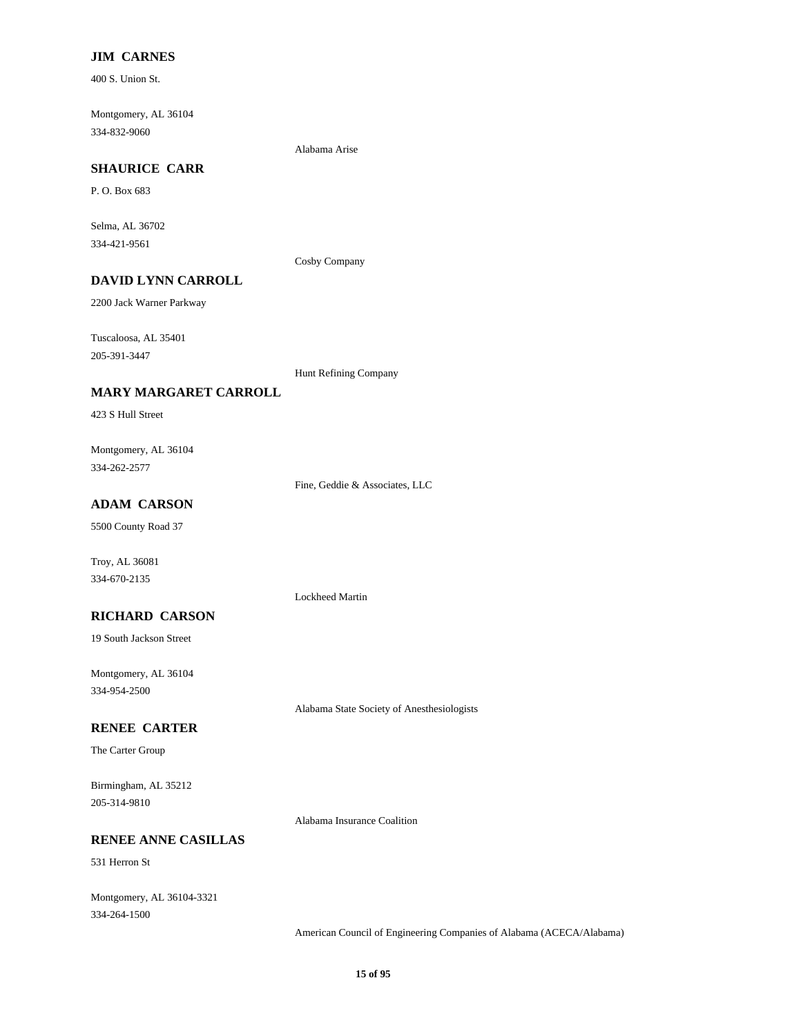### **JIM CARNES**

400 S. Union St.

Montgomery, AL 36104 334-832-9060

Alabama Arise

# **SHAURICE CARR**

P. O. Box 683

Selma, AL 36702 334-421-9561

Cosby Company

# **DAVID LYNN CARROLL**

2200 Jack Warner Parkway

Tuscaloosa, AL 35401 205-391-3447

Hunt Refining Company

#### **MARY MARGARET CARROLL**

423 S Hull Street

Montgomery, AL 36104 334-262-2577

Fine, Geddie & Associates, LLC

Lockheed Martin

### **ADAM CARSON**

5500 County Road 37

Troy, AL 36081 334-670-2135

#### **RICHARD CARSON**

19 South Jackson Street

Montgomery, AL 36104 334-954-2500

Alabama State Society of Anesthesiologists

#### **RENEE CARTER**

The Carter Group

Birmingham, AL 35212 205-314-9810

Alabama Insurance Coalition

#### **RENEE ANNE CASILLAS**

531 Herron St

Montgomery, AL 36104-3321 334-264-1500

American Council of Engineering Companies of Alabama (ACECA/Alabama)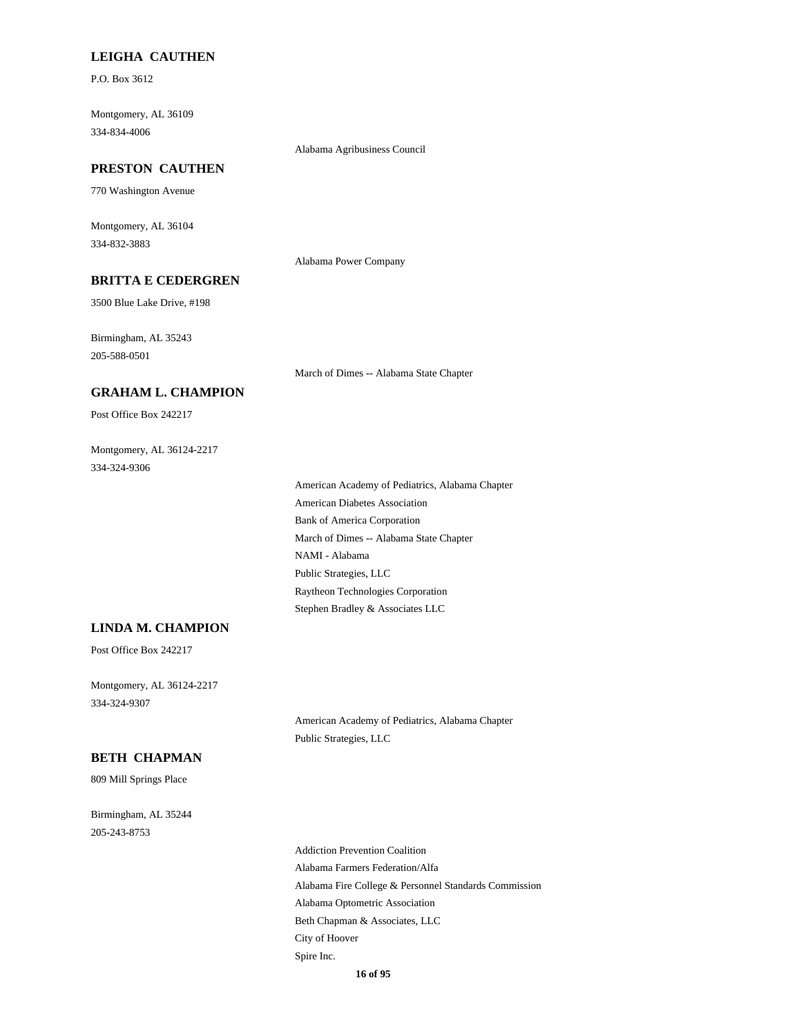#### **LEIGHA CAUTHEN**

P.O. Box 3612

Montgomery, AL 36109 334-834-4006

#### **PRESTON CAUTHEN**

770 Washington Avenue

Montgomery, AL 36104 334-832-3883

Alabama Power Company

Alabama Agribusiness Council

### **BRITTA E CEDERGREN**

3500 Blue Lake Drive, #198

Birmingham, AL 35243 205-588-0501

March of Dimes -- Alabama State Chapter

#### **GRAHAM L. CHAMPION**

Post Office Box 242217

Montgomery, AL 36124-2217 334-324-9306

> American Academy of Pediatrics, Alabama Chapter American Diabetes Association Bank of America Corporation March of Dimes -- Alabama State Chapter NAMI - Alabama Public Strategies, LLC Raytheon Technologies Corporation Stephen Bradley & Associates LLC

#### **LINDA M. CHAMPION**

Post Office Box 242217

Montgomery, AL 36124-2217 334-324-9307

> American Academy of Pediatrics, Alabama Chapter Public Strategies, LLC

### **BETH CHAPMAN**

809 Mill Springs Place

Birmingham, AL 35244 205-243-8753

> Addiction Prevention Coalition Alabama Farmers Federation/Alfa Alabama Fire College & Personnel Standards Commission Alabama Optometric Association Beth Chapman & Associates, LLC City of Hoover Spire Inc. **16 of 95**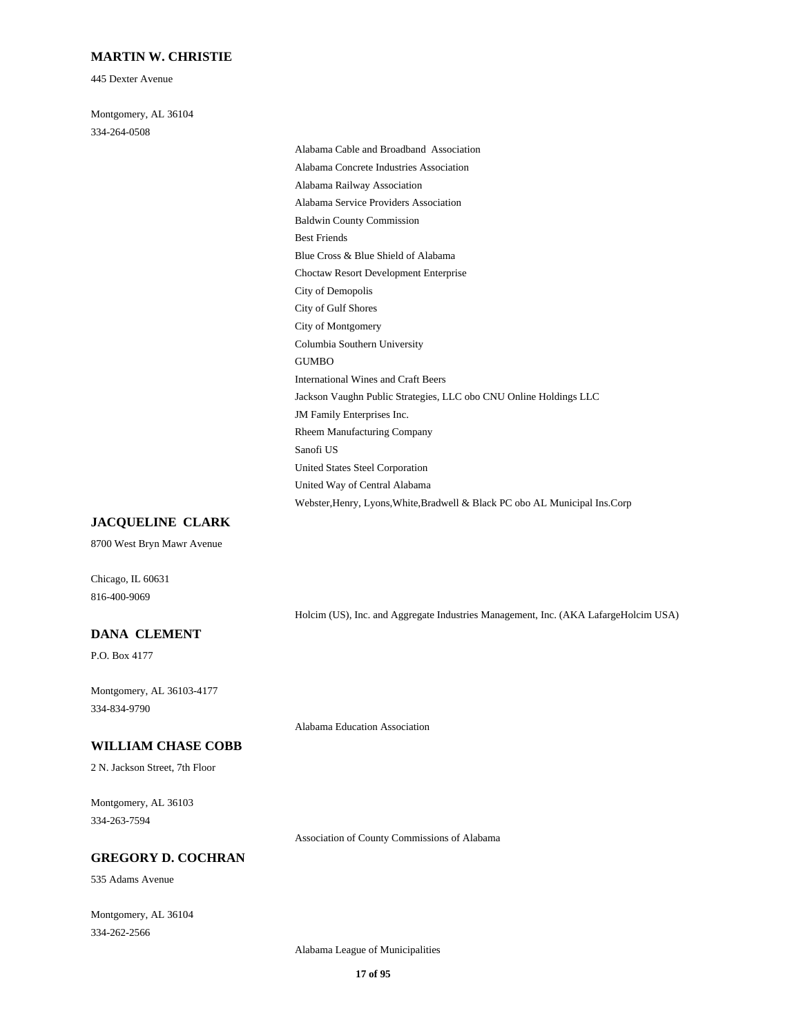#### **MARTIN W. CHRISTIE**

445 Dexter Avenue

Montgomery, AL 36104 334-264-0508

> Alabama Cable and Broadband Association Alabama Concrete Industries Association Alabama Railway Association Alabama Service Providers Association Baldwin County Commission Best Friends Blue Cross & Blue Shield of Alabama Choctaw Resort Development Enterprise City of Demopolis City of Gulf Shores City of Montgomery Columbia Southern University GUMBO International Wines and Craft Beers Jackson Vaughn Public Strategies, LLC obo CNU Online Holdings LLC JM Family Enterprises Inc. Rheem Manufacturing Company Sanofi US United States Steel Corporation United Way of Central Alabama Webster,Henry, Lyons,White,Bradwell & Black PC obo AL Municipal Ins.Corp

#### **JACQUELINE CLARK**

8700 West Bryn Mawr Avenue

Chicago, IL 60631 816-400-9069

Holcim (US), Inc. and Aggregate Industries Management, Inc. (AKA LafargeHolcim USA)

#### **DANA CLEMENT**

P.O. Box 4177

Montgomery, AL 36103-4177 334-834-9790

#### **WILLIAM CHASE COBB**

2 N. Jackson Street, 7th Floor

Montgomery, AL 36103 334-263-7594

Association of County Commissions of Alabama

### **GREGORY D. COCHRAN**

535 Adams Avenue

Montgomery, AL 36104 334-262-2566

Alabama League of Municipalities

Alabama Education Association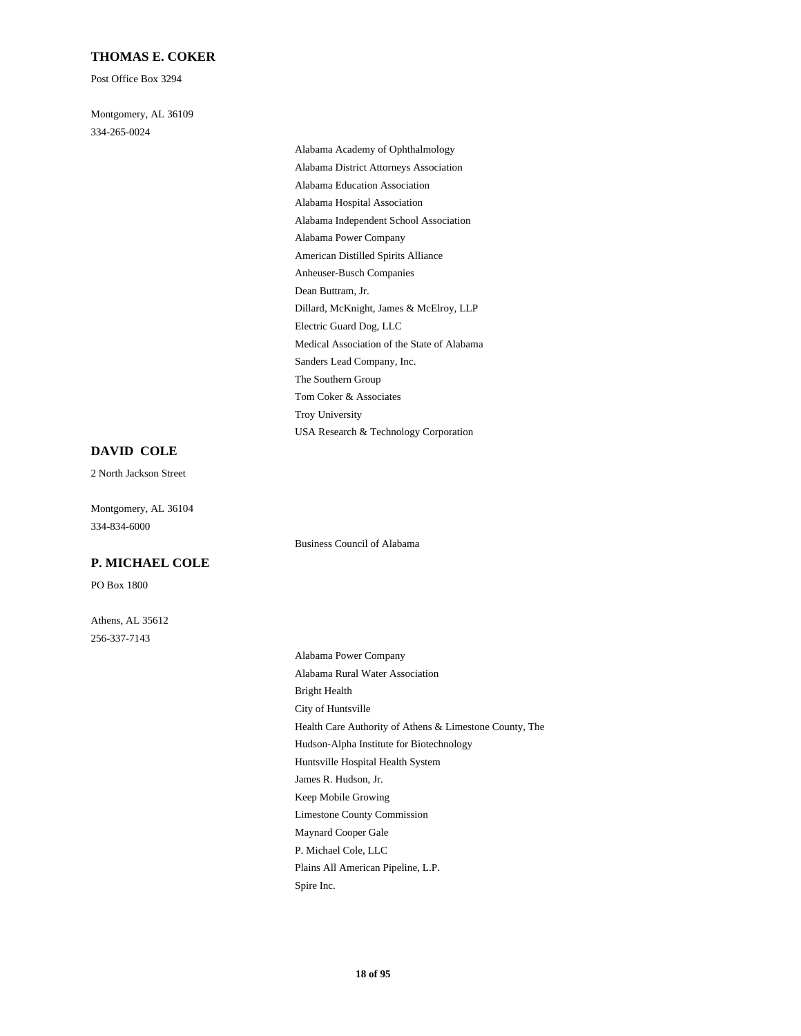#### **THOMAS E. COKER**

Post Office Box 3294

Montgomery, AL 36109 334-265-0024

> Alabama Academy of Ophthalmology Alabama District Attorneys Association Alabama Education Association Alabama Hospital Association Alabama Independent School Association Alabama Power Company American Distilled Spirits Alliance Anheuser-Busch Companies Dean Buttram, Jr. Dillard, McKnight, James & McElroy, LLP Electric Guard Dog, LLC Medical Association of the State of Alabama Sanders Lead Company, Inc. The Southern Group Tom Coker & Associates Troy University USA Research & Technology Corporation

#### **DAVID COLE**

2 North Jackson Street

Montgomery, AL 36104 334-834-6000

#### **P. MICHAEL COLE**

PO Box 1800

Athens, AL 35612 256-337-7143

Business Council of Alabama

Alabama Power Company Alabama Rural Water Association Bright Health City of Huntsville Health Care Authority of Athens & Limestone County, The Hudson-Alpha Institute for Biotechnology Huntsville Hospital Health System James R. Hudson, Jr. Keep Mobile Growing Limestone County Commission Maynard Cooper Gale P. Michael Cole, LLC Plains All American Pipeline, L.P. Spire Inc.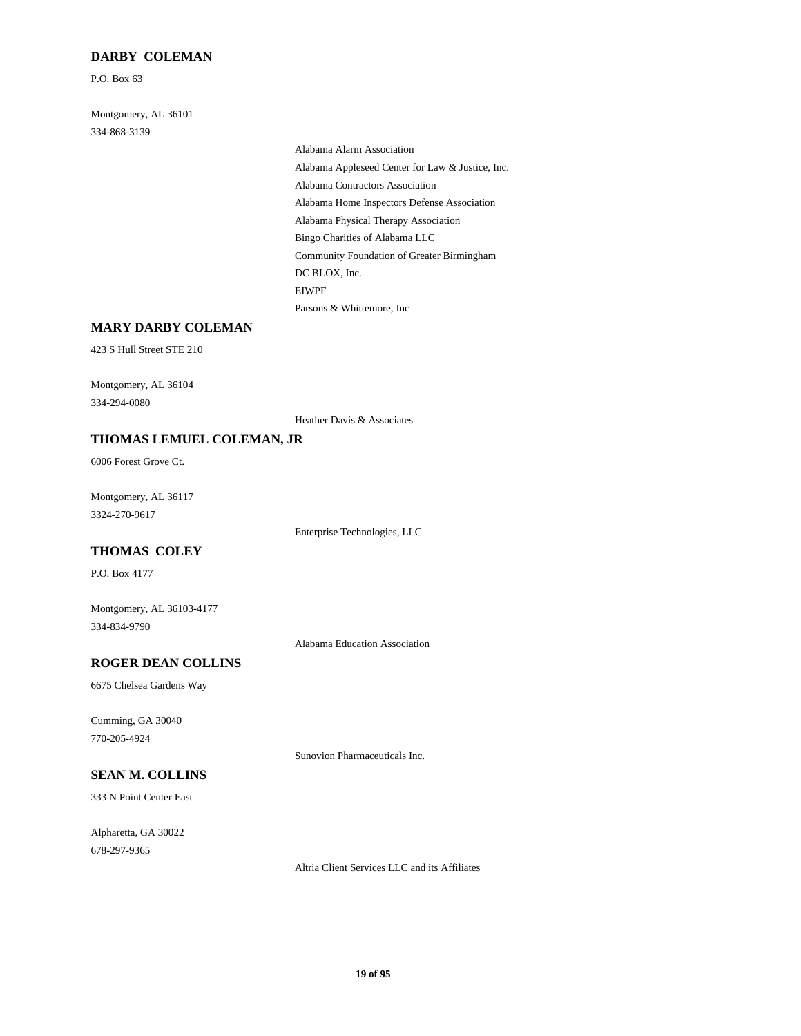#### **DARBY COLEMAN**

P.O. Box 63

Montgomery, AL 36101 334-868-3139

> Alabama Alarm Association Alabama Appleseed Center for Law & Justice, Inc. Alabama Contractors Association Alabama Home Inspectors Defense Association Alabama Physical Therapy Association Bingo Charities of Alabama LLC Community Foundation of Greater Birmingham DC BLOX, Inc. EIWPF Parsons & Whittemore, Inc

#### **MARY DARBY COLEMAN**

423 S Hull Street STE 210

Montgomery, AL 36104 334-294-0080

Heather Davis & Associates

#### **THOMAS LEMUEL COLEMAN, JR**

6006 Forest Grove Ct.

Montgomery, AL 36117 3324-270-9617

Enterprise Technologies, LLC

#### **THOMAS COLEY**

P.O. Box 4177

Montgomery, AL 36103-4177 334-834-9790

Alabama Education Association

#### **ROGER DEAN COLLINS**

6675 Chelsea Gardens Way

Cumming, GA 30040 770-205-4924

Sunovion Pharmaceuticals Inc.

#### **SEAN M. COLLINS**

333 N Point Center East

Alpharetta, GA 30022 678-297-9365

Altria Client Services LLC and its Affiliates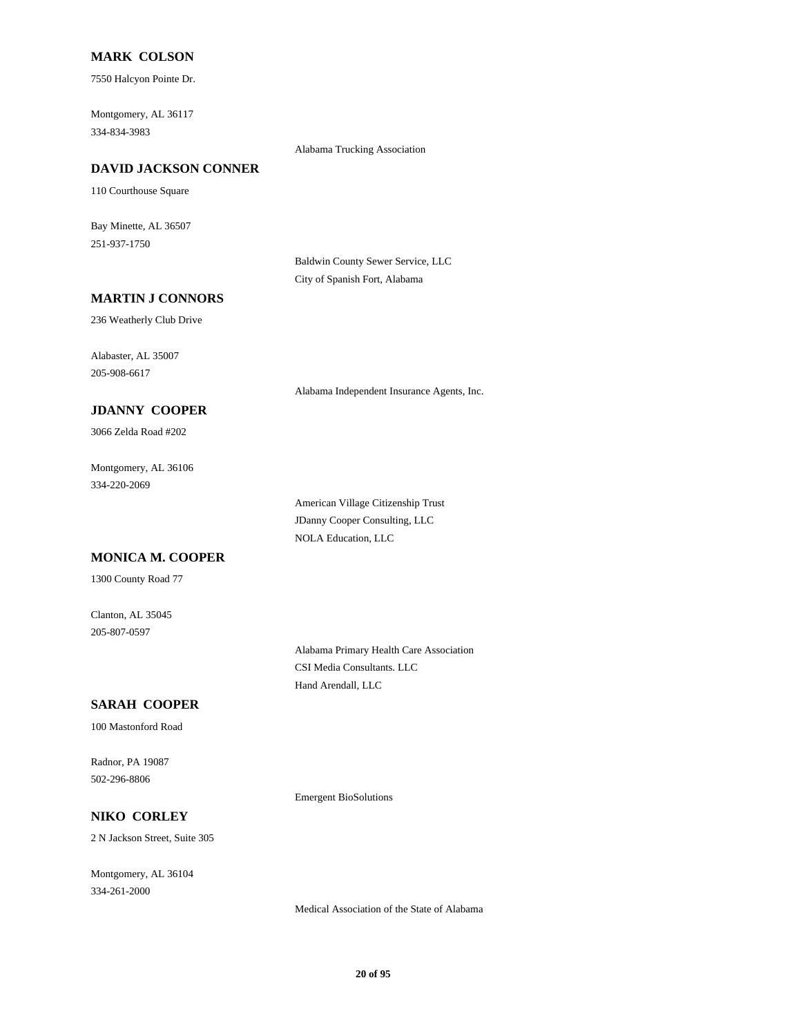#### **MARK COLSON**

7550 Halcyon Pointe Dr.

Montgomery, AL 36117 334-834-3983

Alabama Trucking Association

### **DAVID JACKSON CONNER**

110 Courthouse Square

Bay Minette, AL 36507 251-937-1750

> Baldwin County Sewer Service, LLC City of Spanish Fort, Alabama

Alabama Independent Insurance Agents, Inc.

#### **MARTIN J CONNORS**

236 Weatherly Club Drive

Alabaster, AL 35007 205-908-6617

### **JDANNY COOPER**

3066 Zelda Road #202

Montgomery, AL 36106 334-220-2069

> American Village Citizenship Trust JDanny Cooper Consulting, LLC NOLA Education, LLC

#### **MONICA M. COOPER**

1300 County Road 77

Clanton, AL 35045 205-807-0597

> Alabama Primary Health Care Association CSI Media Consultants. LLC Hand Arendall, LLC

### **SARAH COOPER**

100 Mastonford Road

Radnor, PA 19087 502-296-8806

Emergent BioSolutions

### **NIKO CORLEY**

2 N Jackson Street, Suite 305

Montgomery, AL 36104 334-261-2000

Medical Association of the State of Alabama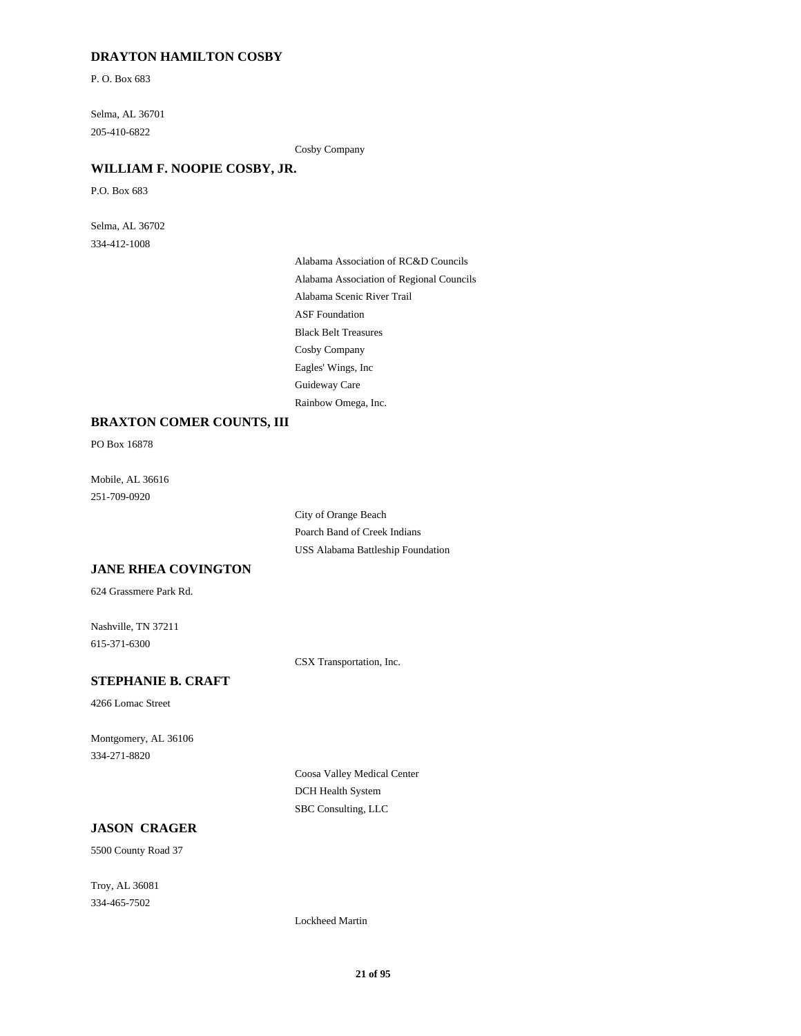#### **DRAYTON HAMILTON COSBY**

P. O. Box 683

Selma, AL 36701 205-410-6822

Cosby Company

### **WILLIAM F. NOOPIE COSBY, JR.**

P.O. Box 683

Selma, AL 36702 334-412-1008

> Alabama Association of RC&D Councils Alabama Association of Regional Councils Alabama Scenic River Trail ASF Foundation Black Belt Treasures Cosby Company Eagles' Wings, Inc Guideway Care Rainbow Omega, Inc.

#### **BRAXTON COMER COUNTS, III**

PO Box 16878

Mobile, AL 36616 251-709-0920

> City of Orange Beach Poarch Band of Creek Indians USS Alabama Battleship Foundation

# **JANE RHEA COVINGTON**

624 Grassmere Park Rd.

Nashville, TN 37211 615-371-6300

CSX Transportation, Inc.

### **STEPHANIE B. CRAFT**

4266 Lomac Street

Montgomery, AL 36106 334-271-8820

> Coosa Valley Medical Center DCH Health System SBC Consulting, LLC

#### **JASON CRAGER**

5500 County Road 37

Troy, AL 36081 334-465-7502

Lockheed Martin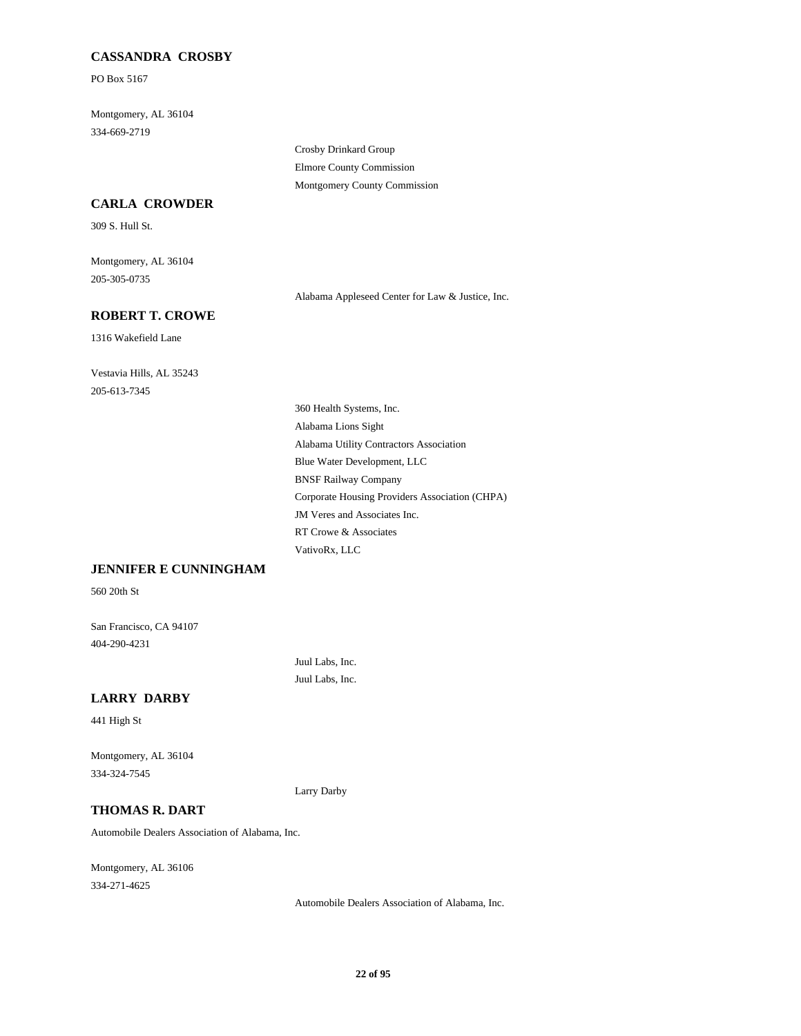### **CASSANDRA CROSBY**

PO Box 5167

Montgomery, AL 36104 334-669-2719

> Crosby Drinkard Group Elmore County Commission Montgomery County Commission

#### **CARLA CROWDER**

309 S. Hull St.

Montgomery, AL 36104 205-305-0735

Alabama Appleseed Center for Law & Justice, Inc.

# **ROBERT T. CROWE**

1316 Wakefield Lane

Vestavia Hills, AL 35243 205-613-7345

> 360 Health Systems, Inc. Alabama Lions Sight Alabama Utility Contractors Association Blue Water Development, LLC BNSF Railway Company Corporate Housing Providers Association (CHPA) JM Veres and Associates Inc. RT Crowe & Associates VativoRx, LLC

### **JENNIFER E CUNNINGHAM**

560 20th St

San Francisco, CA 94107 404-290-4231

> Juul Labs, Inc. Juul Labs, Inc.

### **LARRY DARBY**

441 High St

Montgomery, AL 36104 334-324-7545

Larry Darby

#### **THOMAS R. DART**

Automobile Dealers Association of Alabama, Inc.

Montgomery, AL 36106 334-271-4625

Automobile Dealers Association of Alabama, Inc.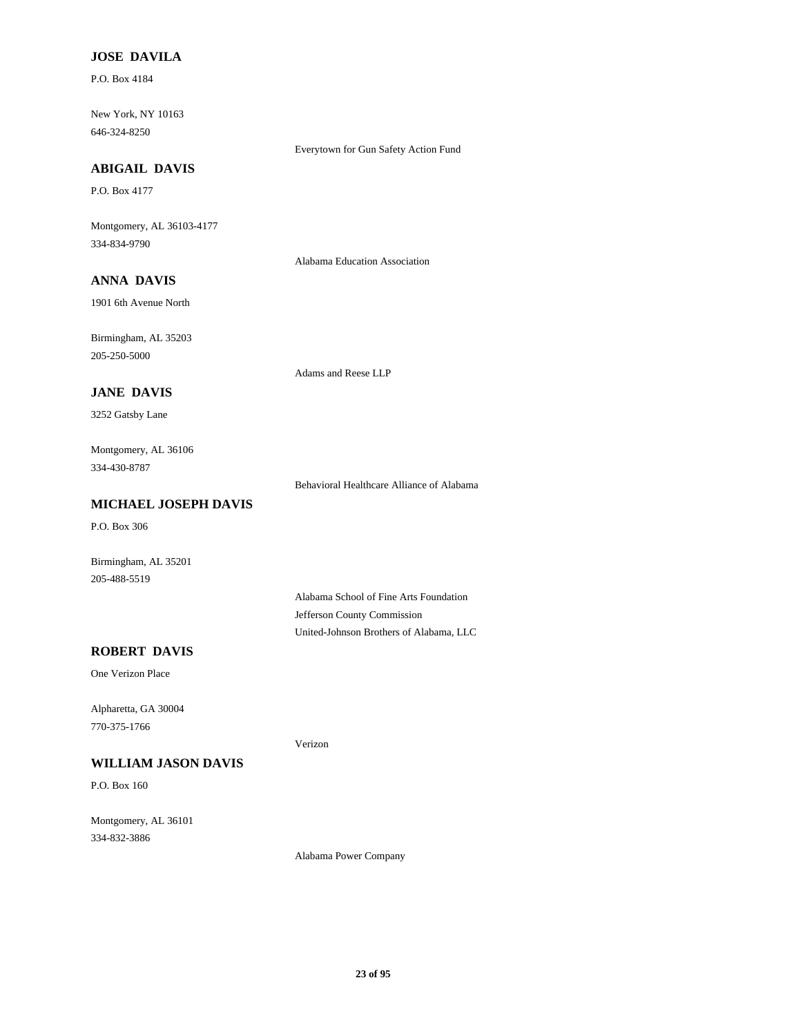### **JOSE DAVILA**

P.O. Box 4184

New York, NY 10163 646-324-8250

Everytown for Gun Safety Action Fund

#### **ABIGAIL DAVIS**

P.O. Box 4177

Montgomery, AL 36103-4177 334-834-9790

Alabama Education Association

# **ANNA DAVIS**

1901 6th Avenue North

Birmingham, AL 35203 205-250-5000

Adams and Reese LLP

#### **JANE DAVIS**

3252 Gatsby Lane

Montgomery, AL 36106 334-430-8787

Behavioral Healthcare Alliance of Alabama

#### **MICHAEL JOSEPH DAVIS**

P.O. Box 306

Birmingham, AL 35201 205-488-5519

> Alabama School of Fine Arts Foundation Jefferson County Commission United-Johnson Brothers of Alabama, LLC

### **ROBERT DAVIS**

One Verizon Place

Alpharetta, GA 30004 770-375-1766

### **WILLIAM JASON DAVIS**

P.O. Box 160

Montgomery, AL 36101 334-832-3886

Alabama Power Company

Verizon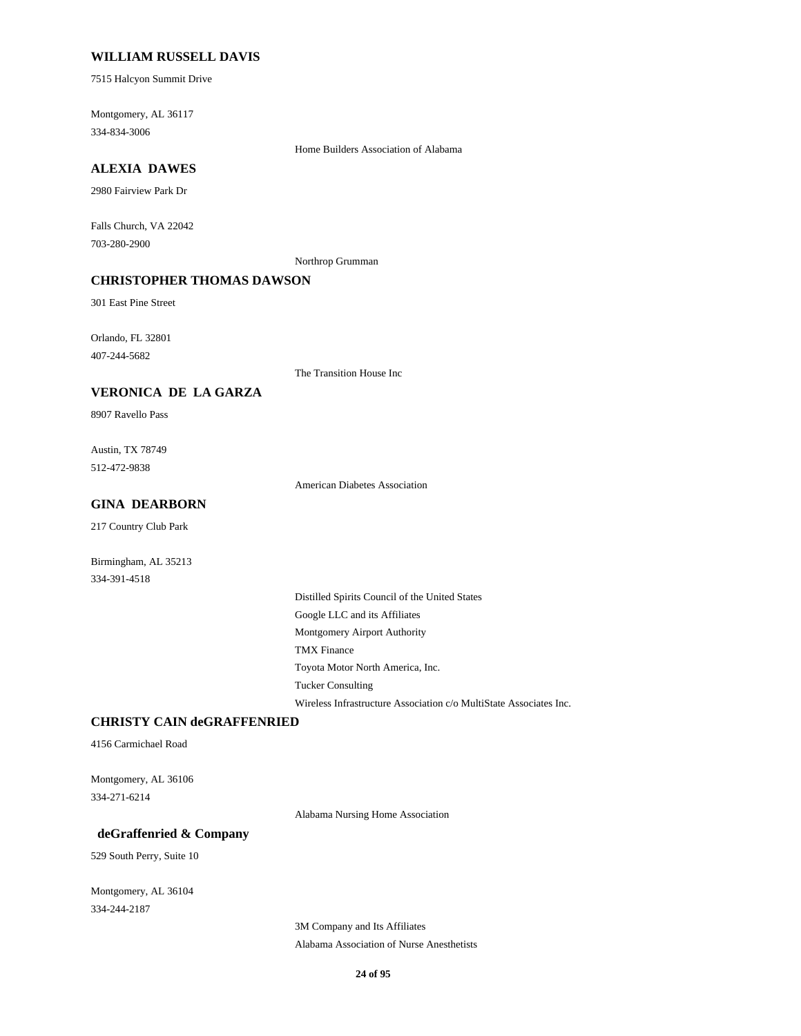### **WILLIAM RUSSELL DAVIS**

7515 Halcyon Summit Drive

Montgomery, AL 36117 334-834-3006

Home Builders Association of Alabama

### **ALEXIA DAWES**

2980 Fairview Park Dr

Falls Church, VA 22042 703-280-2900

Northrop Grumman

### **CHRISTOPHER THOMAS DAWSON**

301 East Pine Street

Orlando, FL 32801 407-244-5682

The Transition House Inc

#### **VERONICA DE LA GARZA**

8907 Ravello Pass

Austin, TX 78749 512-472-9838

American Diabetes Association

#### **GINA DEARBORN**

217 Country Club Park

Birmingham, AL 35213 334-391-4518

> Distilled Spirits Council of the United States Google LLC and its Affiliates Montgomery Airport Authority TMX Finance Toyota Motor North America, Inc. Tucker Consulting Wireless Infrastructure Association c/o MultiState Associates Inc.

#### **CHRISTY CAIN deGRAFFENRIED**

4156 Carmichael Road

Montgomery, AL 36106 334-271-6214

Alabama Nursing Home Association

#### **deGraffenried & Company**

529 South Perry, Suite 10

Montgomery, AL 36104 334-244-2187

> 3M Company and Its Affiliates Alabama Association of Nurse Anesthetists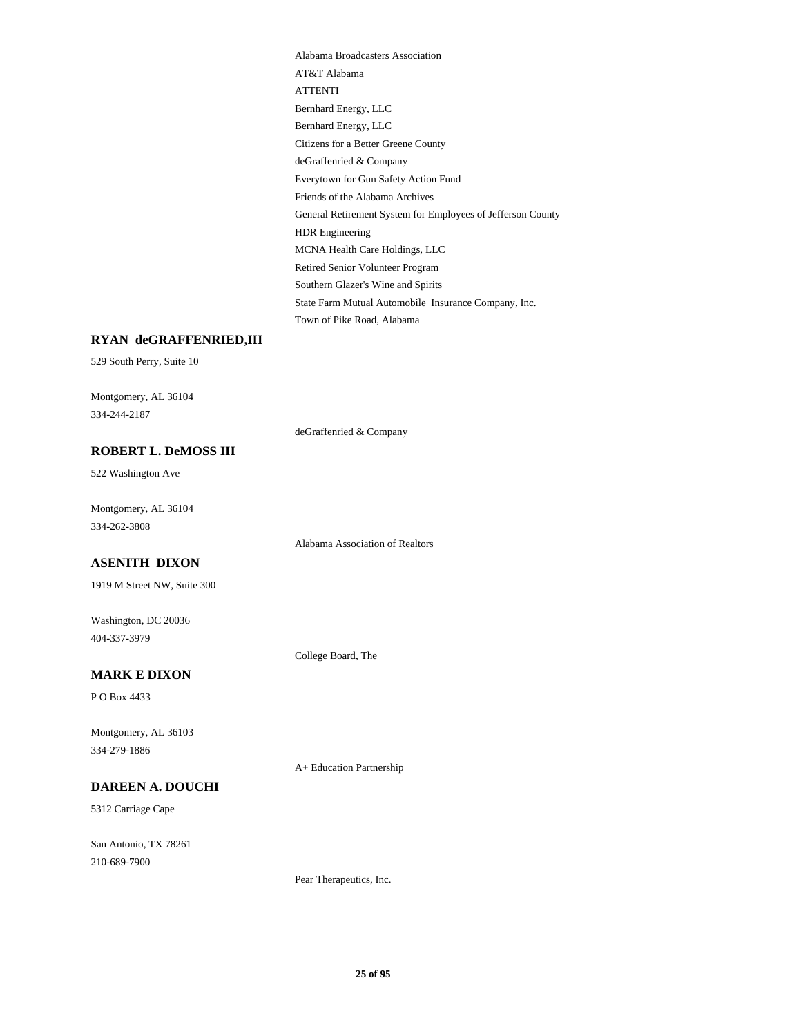Alabama Broadcasters Association AT&T Alabama ATTENTI Bernhard Energy, LLC Bernhard Energy, LLC Citizens for a Better Greene County deGraffenried & Company Everytown for Gun Safety Action Fund Friends of the Alabama Archives General Retirement System for Employees of Jefferson County HDR Engineering MCNA Health Care Holdings, LLC Retired Senior Volunteer Program Southern Glazer's Wine and Spirits State Farm Mutual Automobile Insurance Company, Inc. Town of Pike Road, Alabama

#### **RYAN deGRAFFENRIED,III**

529 South Perry, Suite 10

Montgomery, AL 36104 334-244-2187

deGraffenried & Company

# **ROBERT L. DeMOSS III**

522 Washington Ave

Montgomery, AL 36104 334-262-3808

Alabama Association of Realtors

### **ASENITH DIXON**

1919 M Street NW, Suite 300

Washington, DC 20036 404-337-3979

College Board, The

#### **MARK E DIXON**

P O Box 4433

Montgomery, AL 36103 334-279-1886

#### **DAREEN A. DOUCHI**

5312 Carriage Cape

San Antonio, TX 78261 210-689-7900

A+ Education Partnership

Pear Therapeutics, Inc.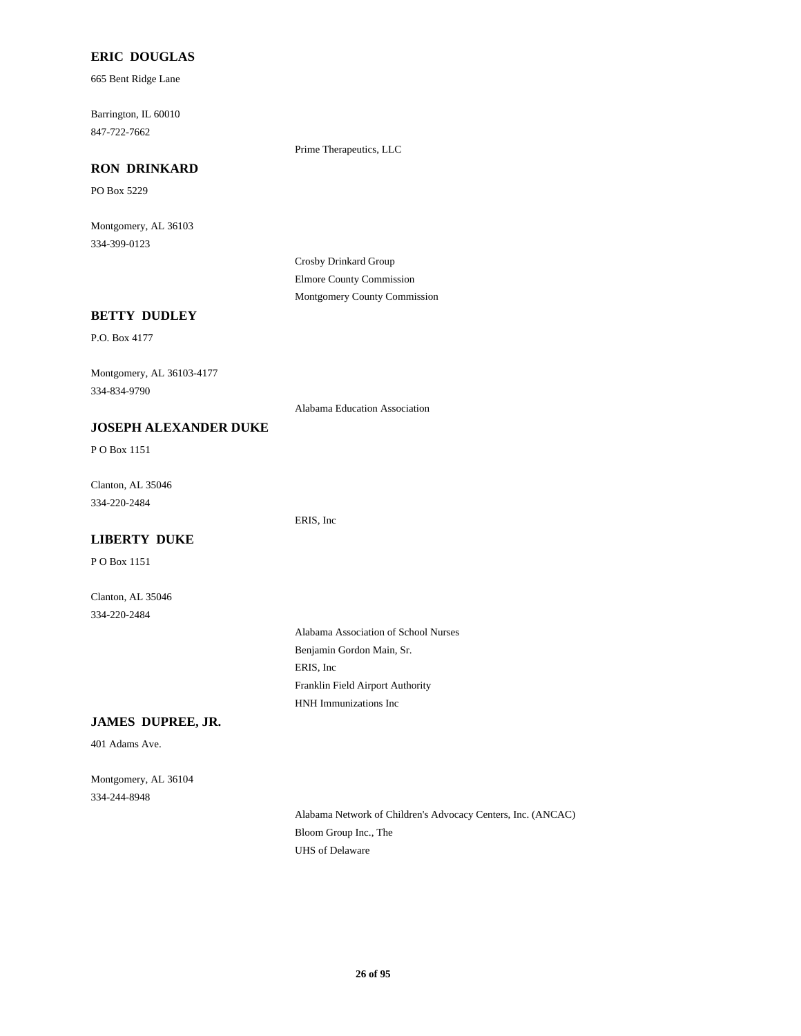#### **ERIC DOUGLAS**

665 Bent Ridge Lane

Barrington, IL 60010 847-722-7662

Prime Therapeutics, LLC

#### **RON DRINKARD**

PO Box 5229

Montgomery, AL 36103 334-399-0123

> Crosby Drinkard Group Elmore County Commission Montgomery County Commission

# **BETTY DUDLEY**

P.O. Box 4177

Montgomery, AL 36103-4177 334-834-9790

Alabama Education Association

#### **JOSEPH ALEXANDER DUKE**

P O Box 1151

Clanton, AL 35046 334-220-2484

ERIS, Inc

# **LIBERTY DUKE** P O Box 1151

Clanton, AL 35046 334-220-2484

> Alabama Association of School Nurses Benjamin Gordon Main, Sr. ERIS, Inc Franklin Field Airport Authority HNH Immunizations Inc

#### **JAMES DUPREE, JR.**

401 Adams Ave.

Montgomery, AL 36104 334-244-8948

> Alabama Network of Children's Advocacy Centers, Inc. (ANCAC) Bloom Group Inc., The UHS of Delaware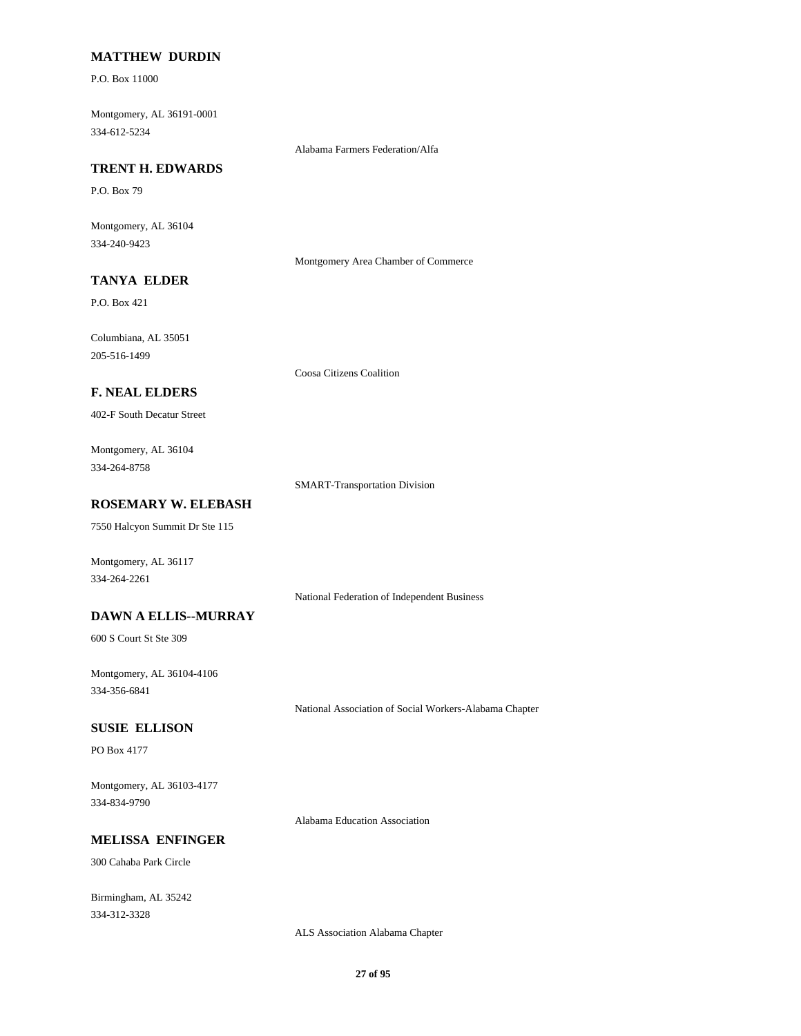#### **MATTHEW DURDIN**

P.O. Box 11000

Montgomery, AL 36191-0001 334-612-5234

Alabama Farmers Federation/Alfa

#### **TRENT H. EDWARDS**

P.O. Box 79

Montgomery, AL 36104 334-240-9423

Montgomery Area Chamber of Commerce

# **TANYA ELDER**

P.O. Box 421

Columbiana, AL 35051 205-516-1499

Coosa Citizens Coalition

### **F. NEAL ELDERS**

402-F South Decatur Street

Montgomery, AL 36104 334-264-8758

SMART-Transportation Division

### **ROSEMARY W. ELEBASH**

7550 Halcyon Summit Dr Ste 115

Montgomery, AL 36117 334-264-2261

National Federation of Independent Business

### **DAWN A ELLIS--MURRAY**

600 S Court St Ste 309

Montgomery, AL 36104-4106 334-356-6841

National Association of Social Workers-Alabama Chapter

#### **SUSIE ELLISON**

PO Box 4177

Montgomery, AL 36103-4177 334-834-9790

Alabama Education Association

#### **MELISSA ENFINGER**

300 Cahaba Park Circle

Birmingham, AL 35242 334-312-3328

ALS Association Alabama Chapter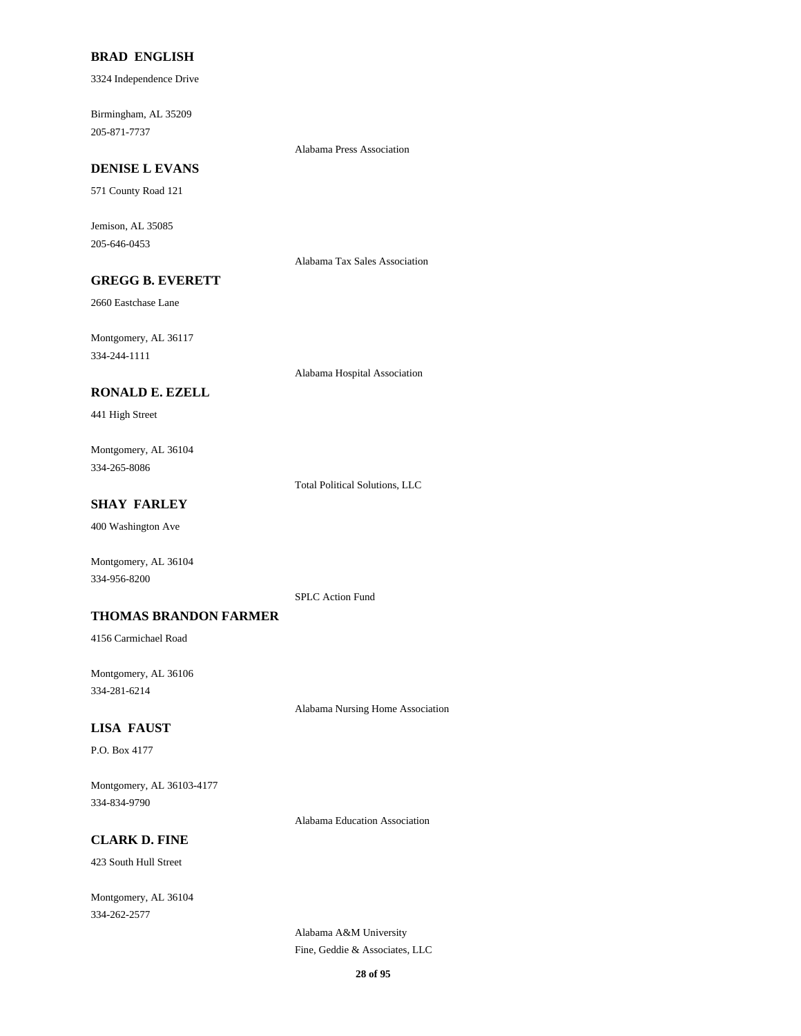#### **BRAD ENGLISH**

3324 Independence Drive

Birmingham, AL 35209 205-871-7737

Alabama Press Association

# **DENISE L EVANS**

571 County Road 121

Jemison, AL 35085 205-646-0453

Alabama Tax Sales Association

# **GREGG B. EVERETT**

2660 Eastchase Lane

Montgomery, AL 36117 334-244-1111

Alabama Hospital Association

### **RONALD E. EZELL**

441 High Street

Montgomery, AL 36104 334-265-8086

Total Political Solutions, LLC

### **SHAY FARLEY**

400 Washington Ave

Montgomery, AL 36104 334-956-8200

SPLC Action Fund

#### **THOMAS BRANDON FARMER**

4156 Carmichael Road

Montgomery, AL 36106 334-281-6214

Alabama Nursing Home Association

#### **LISA FAUST**

P.O. Box 4177

Montgomery, AL 36103-4177 334-834-9790

Alabama Education Association

# **CLARK D. FINE**

423 South Hull Street

Montgomery, AL 36104 334-262-2577

> Alabama A&M University Fine, Geddie & Associates, LLC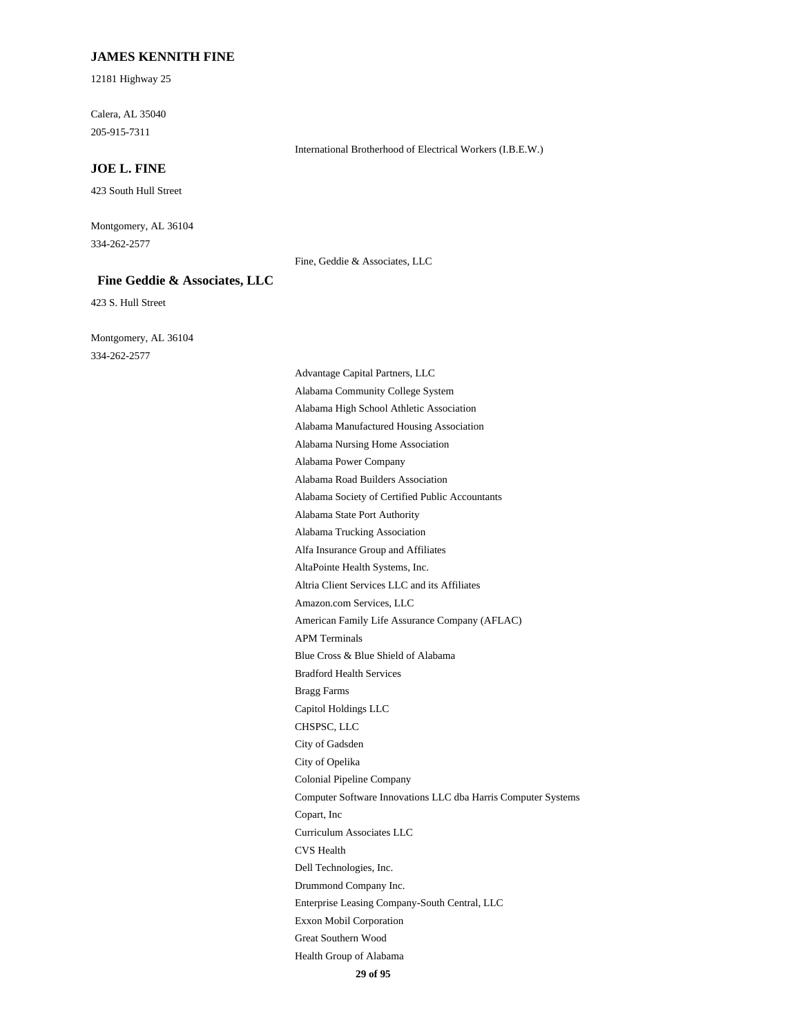#### **JAMES KENNITH FINE**

12181 Highway 25

Calera, AL 35040 205-915-7311

#### **JOE L. FINE**

423 South Hull Street

Montgomery, AL 36104 334-262-2577

Fine, Geddie & Associates, LLC

International Brotherhood of Electrical Workers (I.B.E.W.)

#### **Fine Geddie & Associates, LLC**

423 S. Hull Street

Montgomery, AL 36104 334-262-2577

Advantage Capital Partners, LLC Alabama Community College System Alabama High School Athletic Association Alabama Manufactured Housing Association Alabama Nursing Home Association Alabama Power Company Alabama Road Builders Association Alabama Society of Certified Public Accountants Alabama State Port Authority Alabama Trucking Association Alfa Insurance Group and Affiliates AltaPointe Health Systems, Inc. Altria Client Services LLC and its Affiliates Amazon.com Services, LLC American Family Life Assurance Company (AFLAC) APM Terminals Blue Cross & Blue Shield of Alabama Bradford Health Services Bragg Farms Capitol Holdings LLC CHSPSC, LLC City of Gadsden City of Opelika Colonial Pipeline Company Computer Software Innovations LLC dba Harris Computer Systems Copart, Inc Curriculum Associates LLC CVS Health Dell Technologies, Inc. Drummond Company Inc. Enterprise Leasing Company-South Central, LLC Exxon Mobil Corporation Great Southern Wood Health Group of Alabama

**29 of 95**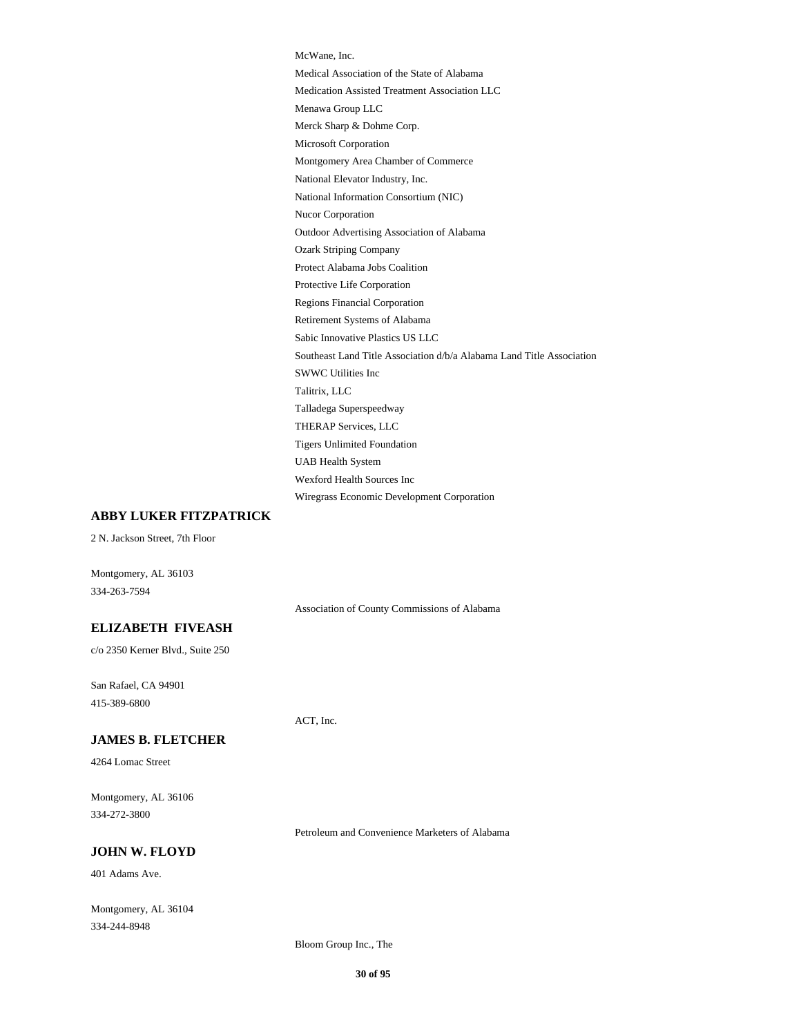McWane, Inc. Medical Association of the State of Alabama Medication Assisted Treatment Association LLC Menawa Group LLC Merck Sharp & Dohme Corp. Microsoft Corporation Montgomery Area Chamber of Commerce National Elevator Industry, Inc. National Information Consortium (NIC) Nucor Corporation Outdoor Advertising Association of Alabama Ozark Striping Company Protect Alabama Jobs Coalition Protective Life Corporation Regions Financial Corporation Retirement Systems of Alabama Sabic Innovative Plastics US LLC Southeast Land Title Association d/b/a Alabama Land Title Association SWWC Utilities Inc Talitrix, LLC Talladega Superspeedway THERAP Services, LLC Tigers Unlimited Foundation UAB Health System Wexford Health Sources Inc Wiregrass Economic Development Corporation

### **ABBY LUKER FITZPATRICK**

2 N. Jackson Street, 7th Floor

Montgomery, AL 36103 334-263-7594

Association of County Commissions of Alabama

#### **ELIZABETH FIVEASH**

c/o 2350 Kerner Blvd., Suite 250

San Rafael, CA 94901 415-389-6800

#### **JAMES B. FLETCHER**

4264 Lomac Street

Montgomery, AL 36106 334-272-3800

Petroleum and Convenience Marketers of Alabama

### **JOHN W. FLOYD**

401 Adams Ave.

Montgomery, AL 36104 334-244-8948

Bloom Group Inc., The

ACT, Inc.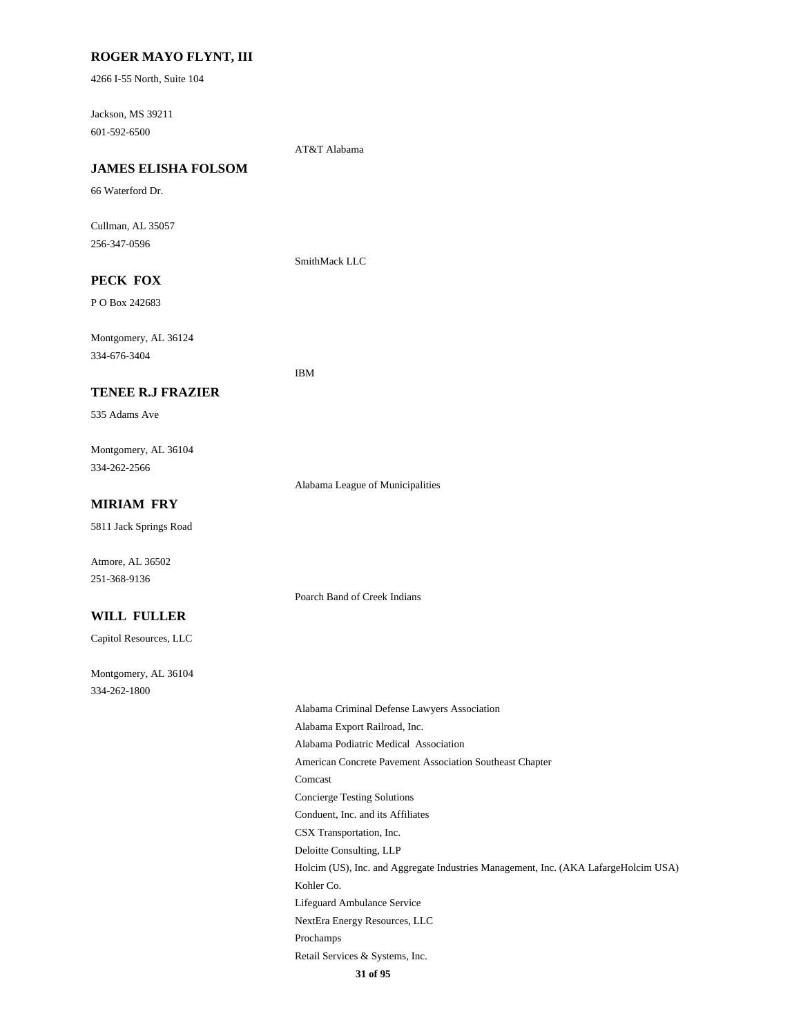### **ROGER MAYO FLYNT, III**

4266 I-55 North, Suite 104

Jackson, MS 39211 601-592-6500

AT&T Alabama

# **JAMES ELISHA FOLSOM**

66 Waterford Dr.

Cullman, AL 35057 256-347-0596

SmithMack LLC

# **PECK FOX**

P O Box 242683

Montgomery, AL 36124 334-676-3404

IBM

### **TENEE R.J FRAZIER**

535 Adams Ave

Montgomery, AL 36104 334-262-2566

Alabama League of Municipalities

Poarch Band of Creek Indians

#### **MIRIAM FRY**

5811 Jack Springs Road

Atmore, AL 36502 251-368-9136

#### **WILL FULLER**

Capitol Resources, LLC

Montgomery, AL 36104 334-262-1800

> Alabama Criminal Defense Lawyers Association Alabama Export Railroad, Inc. Alabama Podiatric Medical Association American Concrete Pavement Association Southeast Chapter Comcast Concierge Testing Solutions Conduent, Inc. and its Affiliates CSX Transportation, Inc. Deloitte Consulting, LLP Holcim (US), Inc. and Aggregate Industries Management, Inc. (AKA LafargeHolcim USA) Kohler Co. Lifeguard Ambulance Service NextEra Energy Resources, LLC Prochamps Retail Services & Systems, Inc.

**31 of 95**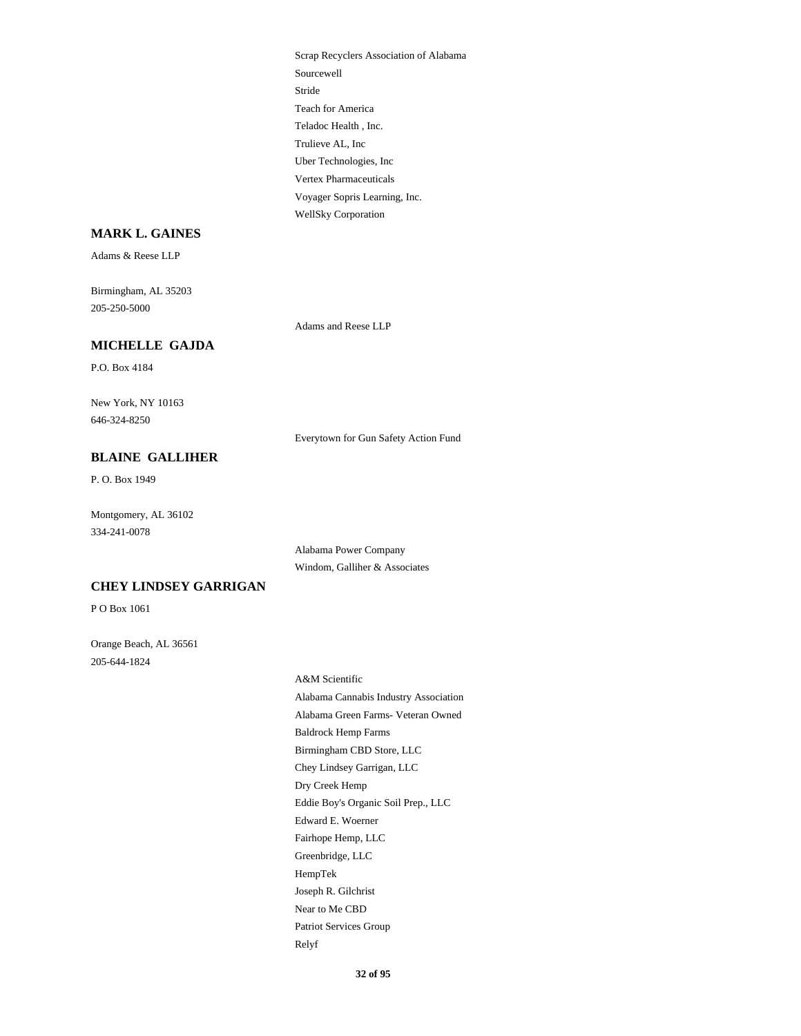Scrap Recyclers Association of Alabama Sourcewell Stride Teach for America Teladoc Health , Inc. Trulieve AL, Inc Uber Technologies, Inc Vertex Pharmaceuticals Voyager Sopris Learning, Inc. WellSky Corporation

### **MARK L. GAINES**

Adams & Reese LLP

Birmingham, AL 35203 205-250-5000

Adams and Reese LLP

# **MICHELLE GAJDA**

P.O. Box 4184

New York, NY 10163 646-324-8250

Everytown for Gun Safety Action Fund

# **BLAINE GALLIHER**

P. O. Box 1949

Montgomery, AL 36102 334-241-0078

> Alabama Power Company Windom, Galliher & Associates

### **CHEY LINDSEY GARRIGAN**

P O Box 1061

Orange Beach, AL 36561 205-644-1824

> A&M Scientific Alabama Cannabis Industry Association Alabama Green Farms- Veteran Owned Baldrock Hemp Farms Birmingham CBD Store, LLC Chey Lindsey Garrigan, LLC Dry Creek Hemp Eddie Boy's Organic Soil Prep., LLC Edward E. Woerner Fairhope Hemp, LLC Greenbridge, LLC HempTek Joseph R. Gilchrist Near to Me CBD Patriot Services Group Relyf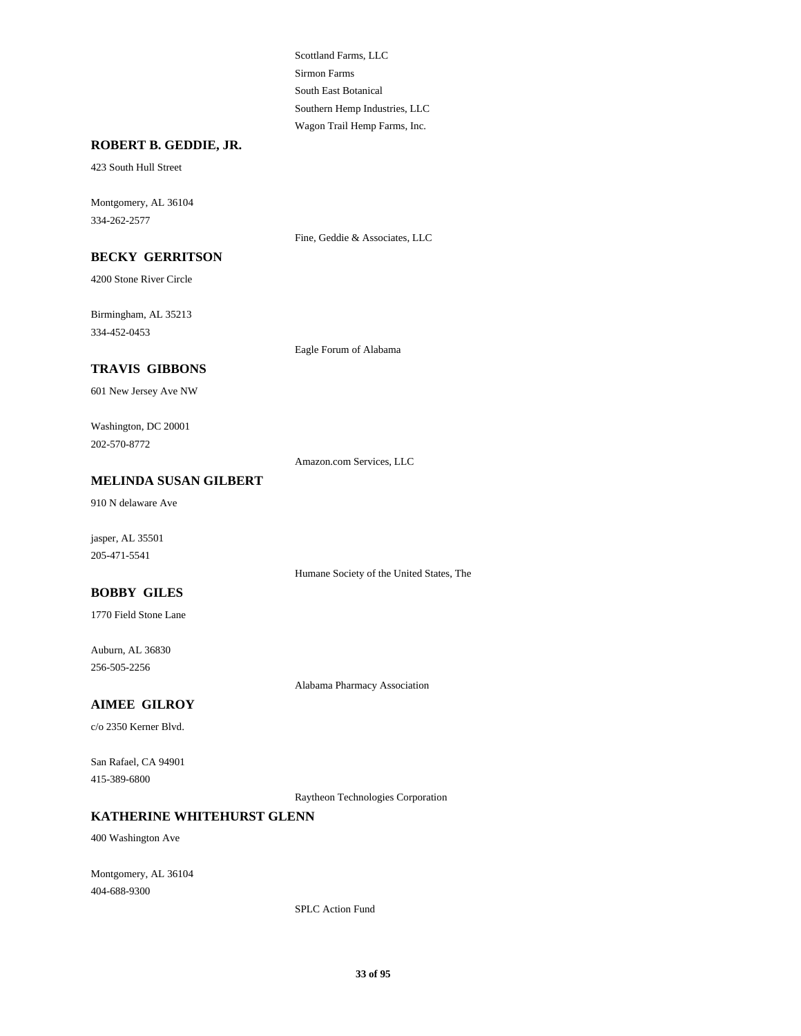Scottland Farms, LLC Sirmon Farms South East Botanical Southern Hemp Industries, LLC Wagon Trail Hemp Farms, Inc.

#### **ROBERT B. GEDDIE, JR.**

423 South Hull Street

Montgomery, AL 36104 334-262-2577

Fine, Geddie & Associates, LLC

**BECKY GERRITSON**

4200 Stone River Circle

Birmingham, AL 35213 334-452-0453

Eagle Forum of Alabama

# **TRAVIS GIBBONS**

601 New Jersey Ave NW

Washington, DC 20001 202-570-8772

Amazon.com Services, LLC

### **MELINDA SUSAN GILBERT**

910 N delaware Ave

jasper, AL 35501 205-471-5541

Humane Society of the United States, The

## **BOBBY GILES**

1770 Field Stone Lane

Auburn, AL 36830 256-505-2256

Alabama Pharmacy Association

### **AIMEE GILROY**

c/o 2350 Kerner Blvd.

San Rafael, CA 94901 415-389-6800

Raytheon Technologies Corporation

#### **KATHERINE WHITEHURST GLENN**

400 Washington Ave

Montgomery, AL 36104 404-688-9300

SPLC Action Fund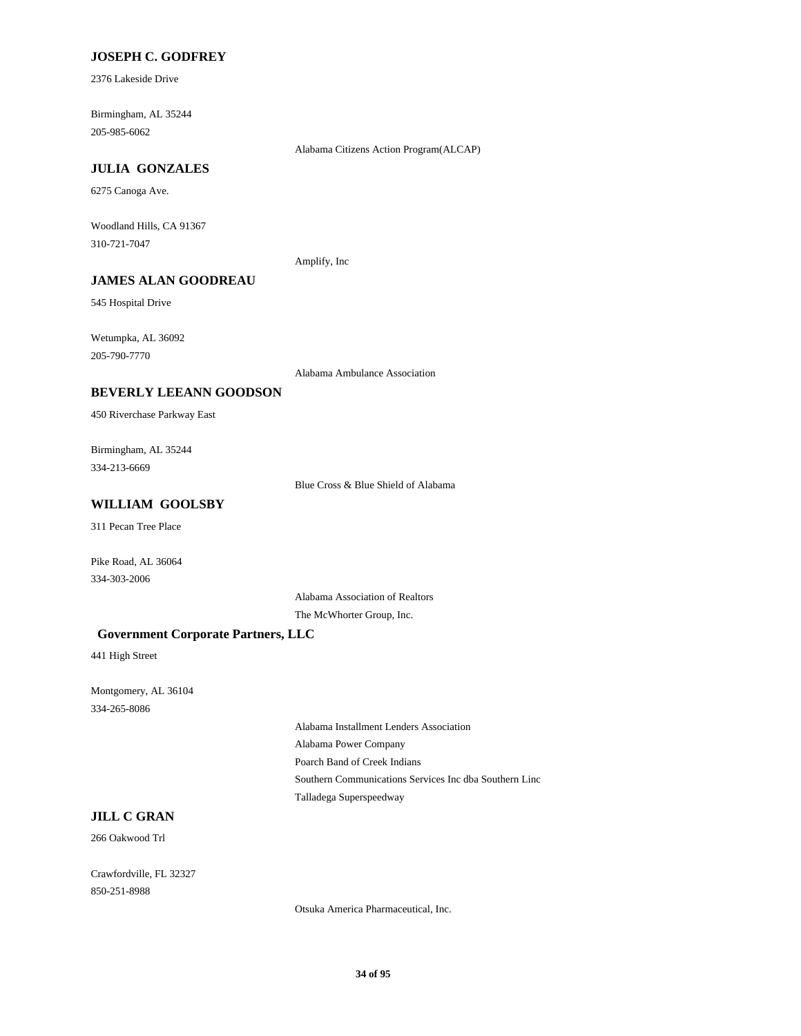### **JOSEPH C. GODFREY**

2376 Lakeside Drive

Birmingham, AL 35244 205-985-6062

Alabama Citizens Action Program(ALCAP)

#### **JULIA GONZALES**

6275 Canoga Ave.

Woodland Hills, CA 91367 310-721-7047

Amplify, Inc

# **JAMES ALAN GOODREAU**

545 Hospital Drive

Wetumpka, AL 36092 205-790-7770

Alabama Ambulance Association

#### **BEVERLY LEEANN GOODSON**

450 Riverchase Parkway East

Birmingham, AL 35244 334-213-6669

Blue Cross & Blue Shield of Alabama

# **WILLIAM GOOLSBY**

311 Pecan Tree Place

Pike Road, AL 36064 334-303-2006

Alabama Association of Realtors

The McWhorter Group, Inc.

#### **Government Corporate Partners, LLC**

441 High Street

Montgomery, AL 36104 334-265-8086

> Alabama Installment Lenders Association Alabama Power Company Poarch Band of Creek Indians Southern Communications Services Inc dba Southern Linc Talladega Superspeedway

#### **JILL C GRAN**

266 Oakwood Trl

Crawfordville, FL 32327 850-251-8988

Otsuka America Pharmaceutical, Inc.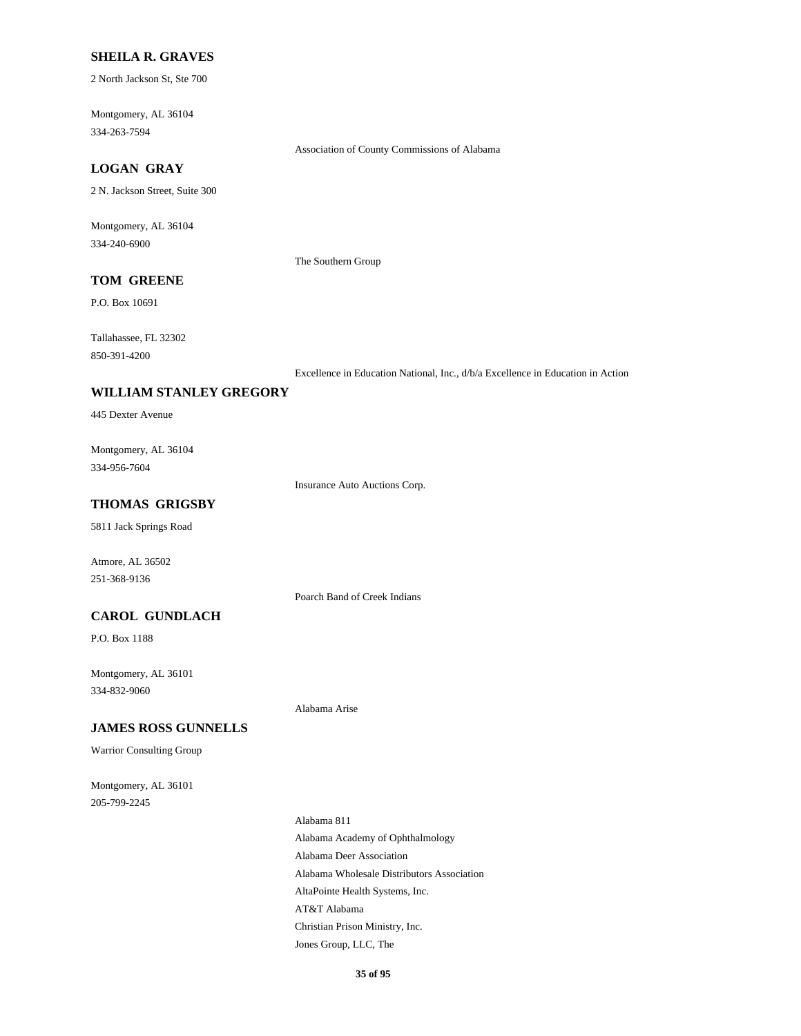### **SHEILA R. GRAVES**

2 North Jackson St, Ste 700

Montgomery, AL 36104 334-263-7594

Association of County Commissions of Alabama

# **LOGAN GRAY**

2 N. Jackson Street, Suite 300

Montgomery, AL 36104 334-240-6900

The Southern Group

# **TOM GREENE**

P.O. Box 10691

Tallahassee, FL 32302 850-391-4200

Excellence in Education National, Inc., d/b/a Excellence in Education in Action

#### **WILLIAM STANLEY GREGORY**

445 Dexter Avenue

Montgomery, AL 36104 334-956-7604

Insurance Auto Auctions Corp.

### **THOMAS GRIGSBY**

5811 Jack Springs Road

Atmore, AL 36502 251-368-9136

Poarch Band of Creek Indians

#### **CAROL GUNDLACH**

P.O. Box 1188

Montgomery, AL 36101 334-832-9060

Alabama Arise

### **JAMES ROSS GUNNELLS**

Warrior Consulting Group

Montgomery, AL 36101 205-799-2245

> Alabama 811 Alabama Academy of Ophthalmology Alabama Deer Association Alabama Wholesale Distributors Association AltaPointe Health Systems, Inc. AT&T Alabama Christian Prison Ministry, Inc. Jones Group, LLC, The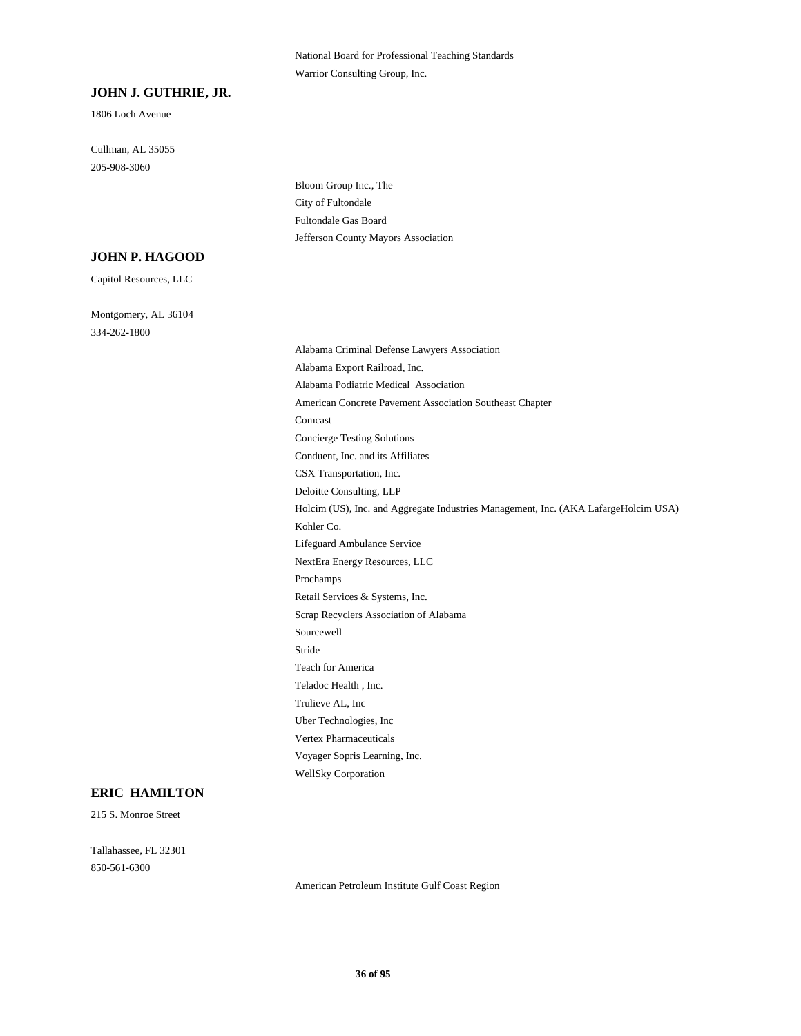National Board for Professional Teaching Standards Warrior Consulting Group, Inc.

#### **JOHN J. GUTHRIE, JR.**

1806 Loch Avenue

Cullman, AL 35055 205-908-3060

> Bloom Group Inc., The City of Fultondale Fultondale Gas Board Jefferson County Mayors Association

#### **JOHN P. HAGOOD**

Capitol Resources, LLC

Montgomery, AL 36104 334-262-1800

> Alabama Criminal Defense Lawyers Association Alabama Export Railroad, Inc. Alabama Podiatric Medical Association American Concrete Pavement Association Southeast Chapter Comcast Concierge Testing Solutions Conduent, Inc. and its Affiliates CSX Transportation, Inc. Deloitte Consulting, LLP Holcim (US), Inc. and Aggregate Industries Management, Inc. (AKA LafargeHolcim USA) Kohler Co. Lifeguard Ambulance Service NextEra Energy Resources, LLC Prochamps Retail Services & Systems, Inc. Scrap Recyclers Association of Alabama Sourcewell Stride Teach for America Teladoc Health , Inc. Trulieve AL, Inc Uber Technologies, Inc Vertex Pharmaceuticals Voyager Sopris Learning, Inc. WellSky Corporation

#### **ERIC HAMILTON**

215 S. Monroe Street

Tallahassee, FL 32301 850-561-6300

American Petroleum Institute Gulf Coast Region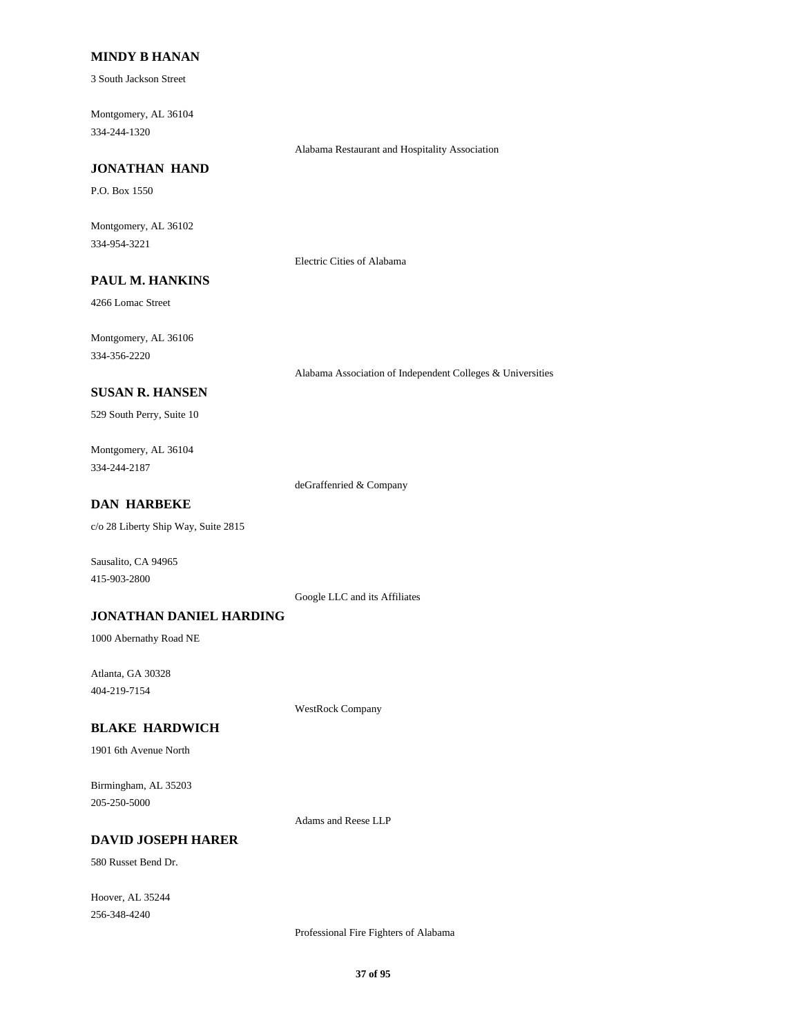### **MINDY B HANAN**

3 South Jackson Street

Montgomery, AL 36104 334-244-1320

Alabama Restaurant and Hospitality Association

# **JONATHAN HAND**

P.O. Box 1550

Montgomery, AL 36102 334-954-3221

Electric Cities of Alabama

# **PAUL M. HANKINS**

4266 Lomac Street

Montgomery, AL 36106 334-356-2220

Alabama Association of Independent Colleges & Universities

### **SUSAN R. HANSEN**

529 South Perry, Suite 10

Montgomery, AL 36104 334-244-2187

deGraffenried & Company

### **DAN HARBEKE**

c/o 28 Liberty Ship Way, Suite 2815

Sausalito, CA 94965 415-903-2800

Google LLC and its Affiliates

## **JONATHAN DANIEL HARDING**

1000 Abernathy Road NE

Atlanta, GA 30328 404-219-7154

WestRock Company

#### **BLAKE HARDWICH**

1901 6th Avenue North

Birmingham, AL 35203 205-250-5000

Adams and Reese LLP

#### **DAVID JOSEPH HARER**

580 Russet Bend Dr.

Hoover, AL 35244 256-348-4240

Professional Fire Fighters of Alabama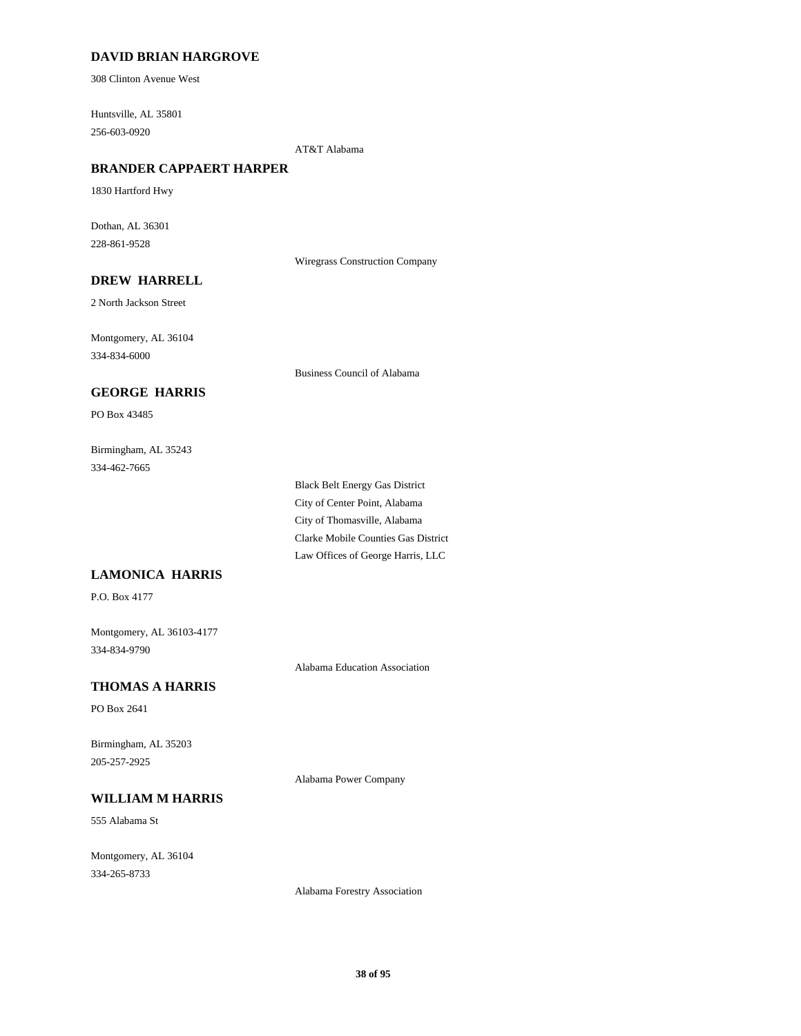## **DAVID BRIAN HARGROVE**

308 Clinton Avenue West

Huntsville, AL 35801 256-603-0920

AT&T Alabama

## **BRANDER CAPPAERT HARPER**

1830 Hartford Hwy

Dothan, AL 36301 228-861-9528

Wiregrass Construction Company

## **DREW HARRELL**

2 North Jackson Street

Montgomery, AL 36104 334-834-6000

Business Council of Alabama

### **GEORGE HARRIS**

PO Box 43485

Birmingham, AL 35243 334-462-7665

> Black Belt Energy Gas District City of Center Point, Alabama City of Thomasville, Alabama Clarke Mobile Counties Gas District Law Offices of George Harris, LLC

## **LAMONICA HARRIS**

P.O. Box 4177

Montgomery, AL 36103-4177 334-834-9790

Alabama Education Association

## **THOMAS A HARRIS**

PO Box 2641

Birmingham, AL 35203 205-257-2925

Alabama Power Company

# **WILLIAM M HARRIS**

555 Alabama St

Montgomery, AL 36104 334-265-8733

Alabama Forestry Association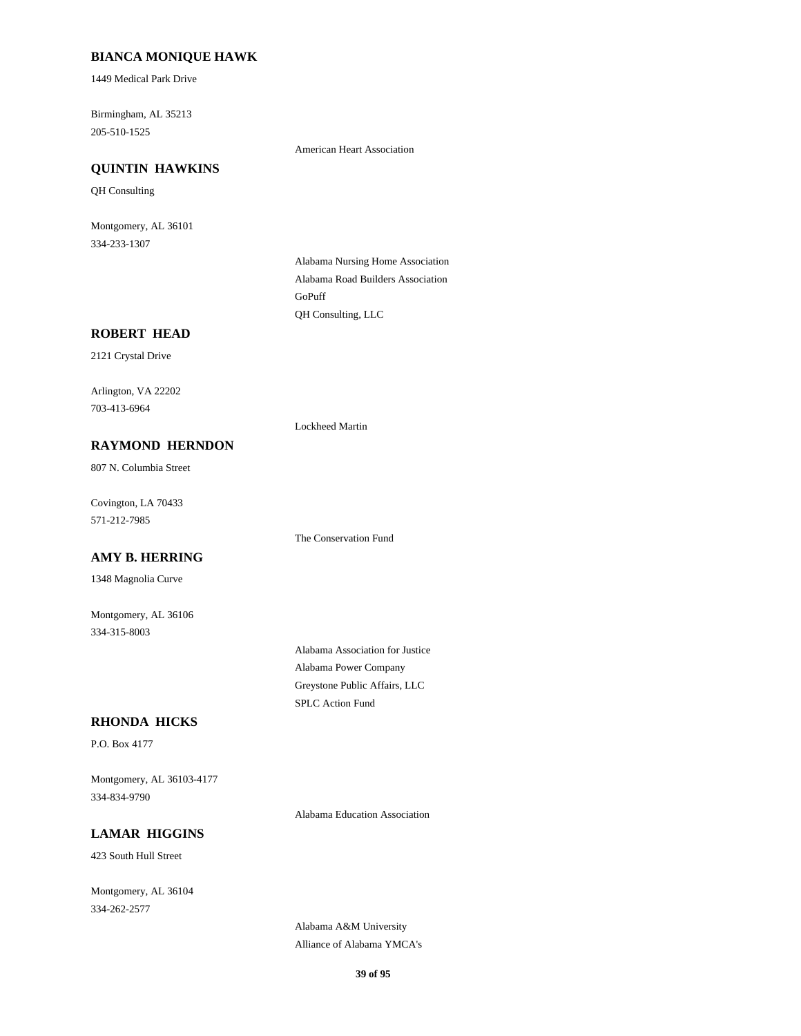## **BIANCA MONIQUE HAWK**

1449 Medical Park Drive

Birmingham, AL 35213 205-510-1525

American Heart Association

## **QUINTIN HAWKINS**

QH Consulting

Montgomery, AL 36101 334-233-1307

> Alabama Nursing Home Association Alabama Road Builders Association GoPuff QH Consulting, LLC

## **ROBERT HEAD**

2121 Crystal Drive

Arlington, VA 22202 703-413-6964

Lockheed Martin

## **RAYMOND HERNDON**

807 N. Columbia Street

Covington, LA 70433 571-212-7985

### **AMY B. HERRING**

1348 Magnolia Curve

Montgomery, AL 36106 334-315-8003

Alabama Association for Justice

Alabama Power Company Greystone Public Affairs, LLC

SPLC Action Fund

The Conservation Fund

**RHONDA HICKS**

P.O. Box 4177

Montgomery, AL 36103-4177 334-834-9790

Alabama Education Association

## **LAMAR HIGGINS**

423 South Hull Street

Montgomery, AL 36104 334-262-2577

> Alabama A&M University Alliance of Alabama YMCA's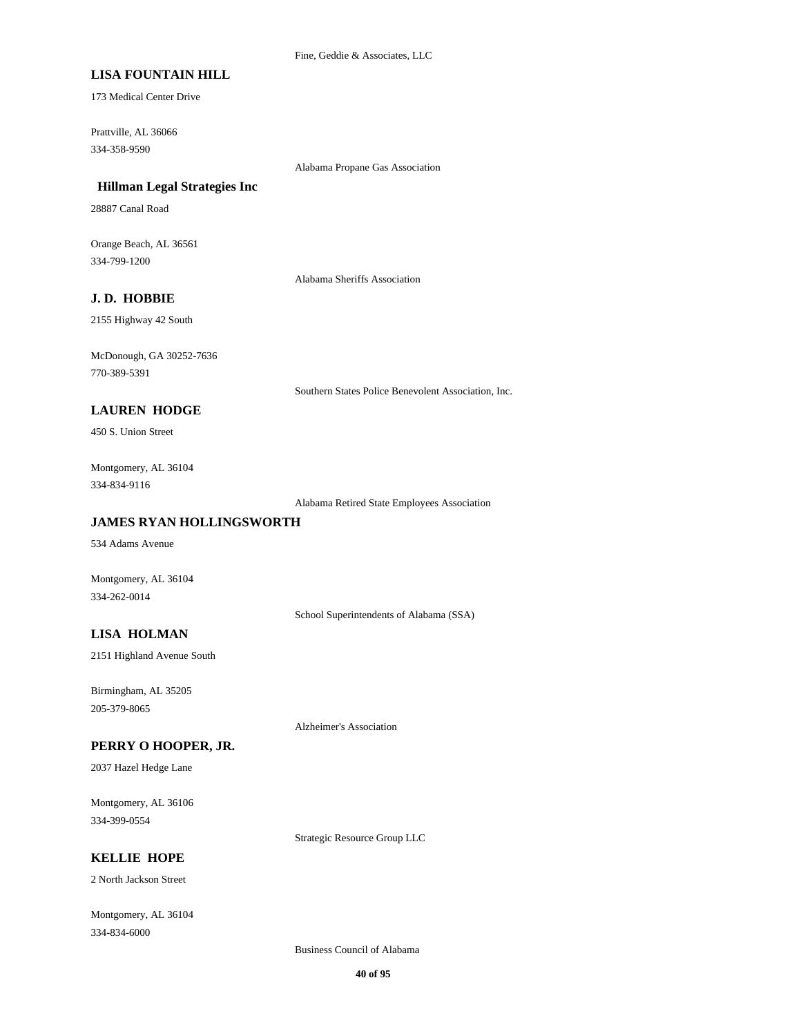## **LISA FOUNTAIN HILL**

173 Medical Center Drive

Prattville, AL 36066 334-358-9590

Alabama Propane Gas Association

### **Hillman Legal Strategies Inc**

28887 Canal Road

Orange Beach, AL 36561 334-799-1200

Alabama Sheriffs Association

## **J. D. HOBBIE**

2155 Highway 42 South

McDonough, GA 30252-7636 770-389-5391

Southern States Police Benevolent Association, Inc.

### **LAUREN HODGE**

450 S. Union Street

Montgomery, AL 36104 334-834-9116

Alabama Retired State Employees Association

## **JAMES RYAN HOLLINGSWORTH**

534 Adams Avenue

Montgomery, AL 36104 334-262-0014

School Superintendents of Alabama (SSA)

## **LISA HOLMAN**

2151 Highland Avenue South

Birmingham, AL 35205 205-379-8065

Alzheimer's Association

#### **PERRY O HOOPER, JR.**

2037 Hazel Hedge Lane

Montgomery, AL 36106 334-399-0554

Strategic Resource Group LLC

# **KELLIE HOPE**

2 North Jackson Street

Montgomery, AL 36104 334-834-6000

Business Council of Alabama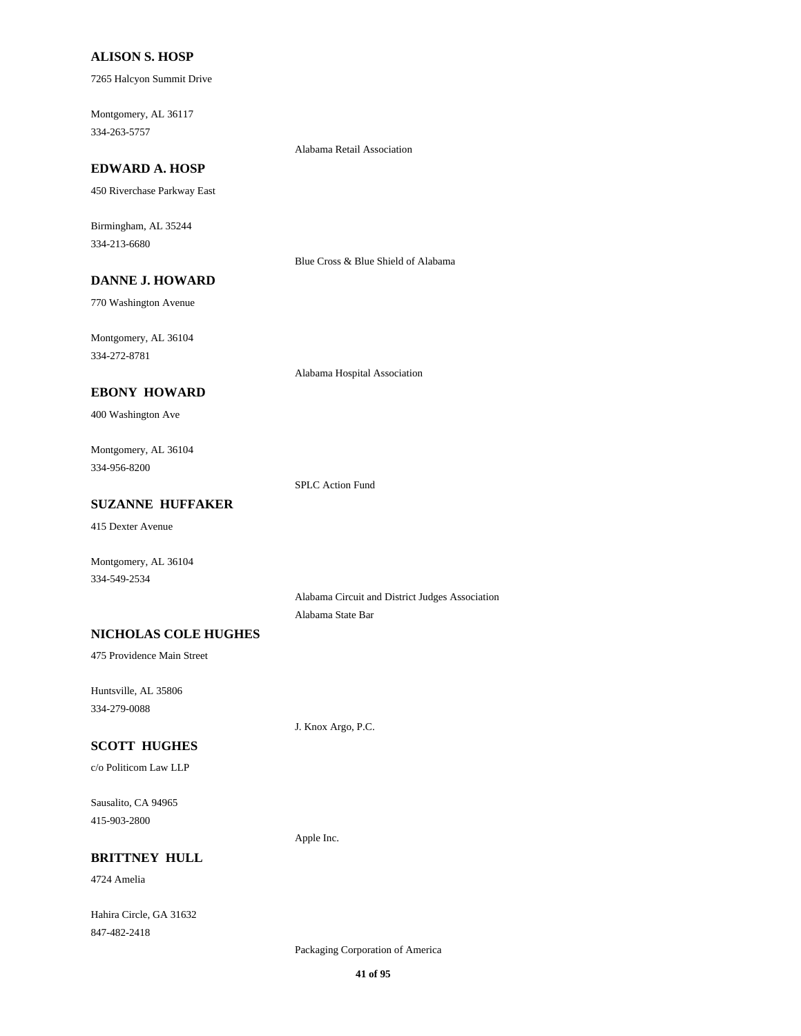### **ALISON S. HOSP**

7265 Halcyon Summit Drive

Montgomery, AL 36117 334-263-5757

## **EDWARD A. HOSP**

450 Riverchase Parkway East

Birmingham, AL 35244 334-213-6680

Blue Cross & Blue Shield of Alabama

Alabama Retail Association

# **DANNE J. HOWARD**

770 Washington Avenue

Montgomery, AL 36104 334-272-8781

Alabama Hospital Association

## **EBONY HOWARD**

400 Washington Ave

Montgomery, AL 36104 334-956-8200

SPLC Action Fund

## **SUZANNE HUFFAKER**

415 Dexter Avenue

Montgomery, AL 36104 334-549-2534

> Alabama Circuit and District Judges Association Alabama State Bar

## **NICHOLAS COLE HUGHES**

475 Providence Main Street

Huntsville, AL 35806 334-279-0088

J. Knox Argo, P.C.

## **SCOTT HUGHES**

c/o Politicom Law LLP

Sausalito, CA 94965 415-903-2800

Apple Inc.

## **BRITTNEY HULL**

4724 Amelia

Hahira Circle, GA 31632 847-482-2418

Packaging Corporation of America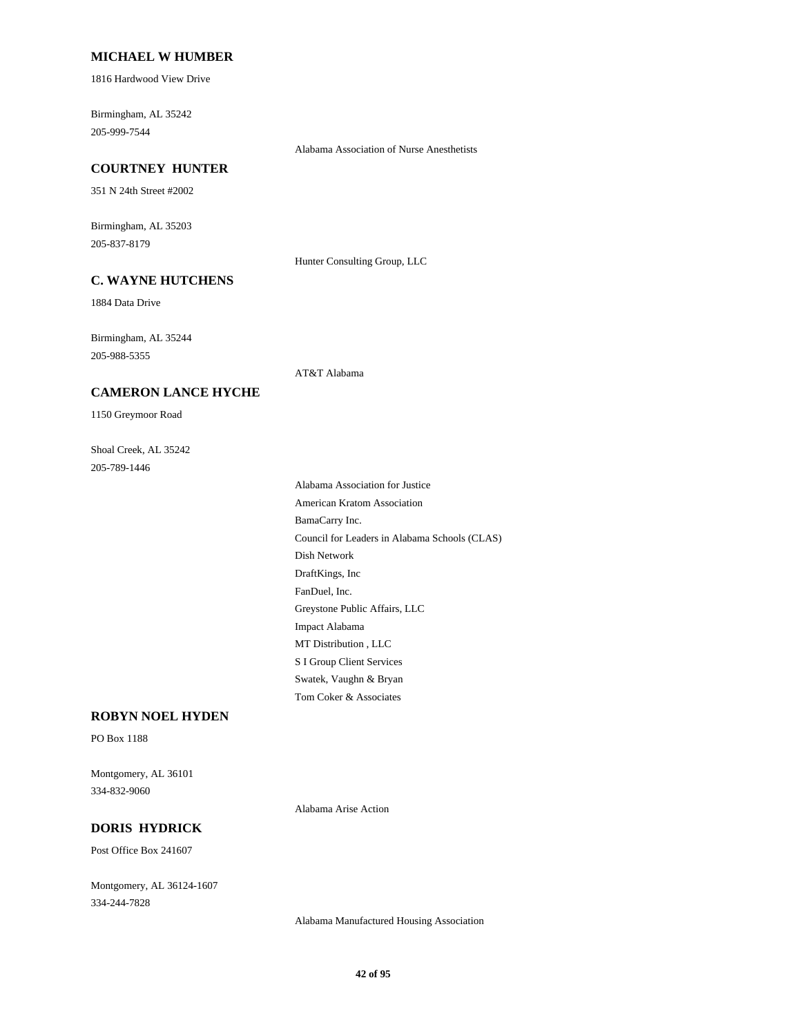### **MICHAEL W HUMBER**

1816 Hardwood View Drive

Birmingham, AL 35242 205-999-7544

Alabama Association of Nurse Anesthetists

### **COURTNEY HUNTER**

351 N 24th Street #2002

Birmingham, AL 35203 205-837-8179

Hunter Consulting Group, LLC

## **C. WAYNE HUTCHENS**

1884 Data Drive

Birmingham, AL 35244 205-988-5355

AT&T Alabama

### **CAMERON LANCE HYCHE**

1150 Greymoor Road

Shoal Creek, AL 35242 205-789-1446

> Alabama Association for Justice American Kratom Association BamaCarry Inc. Council for Leaders in Alabama Schools (CLAS) Dish Network DraftKings, Inc FanDuel, Inc. Greystone Public Affairs, LLC Impact Alabama MT Distribution , LLC S I Group Client Services Swatek, Vaughn & Bryan Tom Coker & Associates

## **ROBYN NOEL HYDEN**

PO Box 1188

Montgomery, AL 36101 334-832-9060

Alabama Arise Action

## **DORIS HYDRICK**

Post Office Box 241607

Montgomery, AL 36124-1607 334-244-7828

Alabama Manufactured Housing Association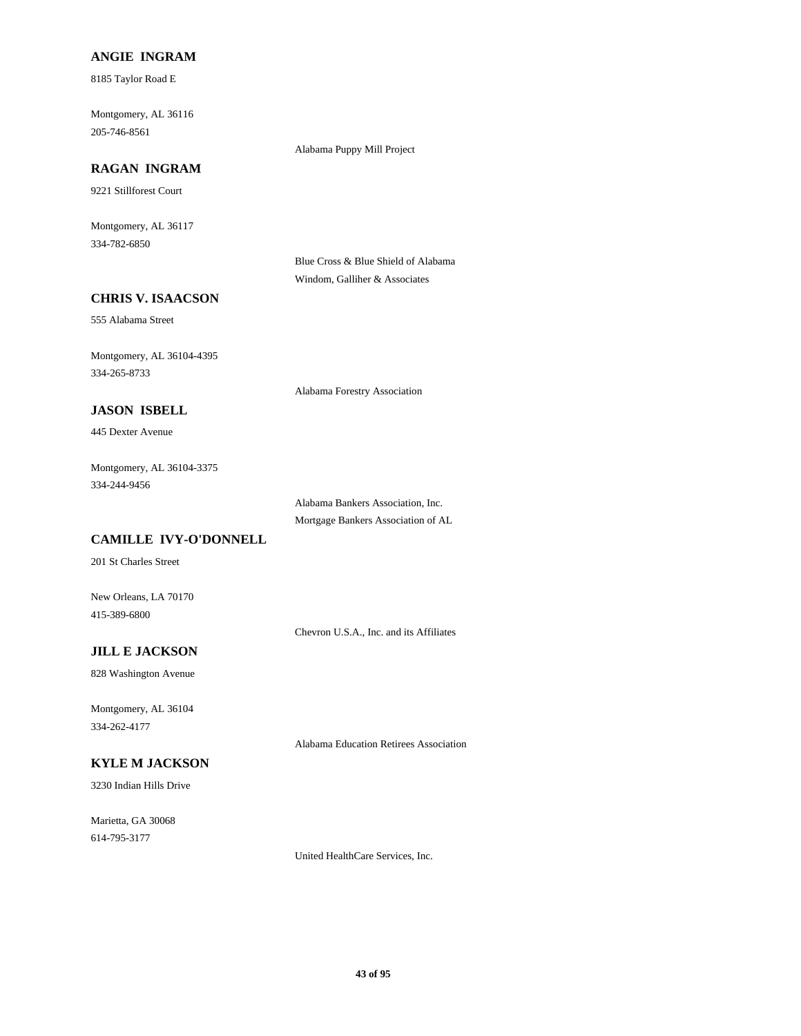## **ANGIE INGRAM**

8185 Taylor Road E

Montgomery, AL 36116 205-746-8561

Alabama Puppy Mill Project

# **RAGAN INGRAM**

9221 Stillforest Court

Montgomery, AL 36117 334-782-6850

> Blue Cross & Blue Shield of Alabama Windom, Galliher & Associates

## **CHRIS V. ISAACSON**

555 Alabama Street

Montgomery, AL 36104-4395 334-265-8733

Alabama Forestry Association

## **JASON ISBELL**

445 Dexter Avenue

Montgomery, AL 36104-3375 334-244-9456

> Alabama Bankers Association, Inc. Mortgage Bankers Association of AL

## **CAMILLE IVY-O'DONNELL**

201 St Charles Street

New Orleans, LA 70170 415-389-6800

Chevron U.S.A., Inc. and its Affiliates

## **JILL E JACKSON**

828 Washington Avenue

Montgomery, AL 36104 334-262-4177

Alabama Education Retirees Association

# **KYLE M JACKSON**

3230 Indian Hills Drive

Marietta, GA 30068 614-795-3177

United HealthCare Services, Inc.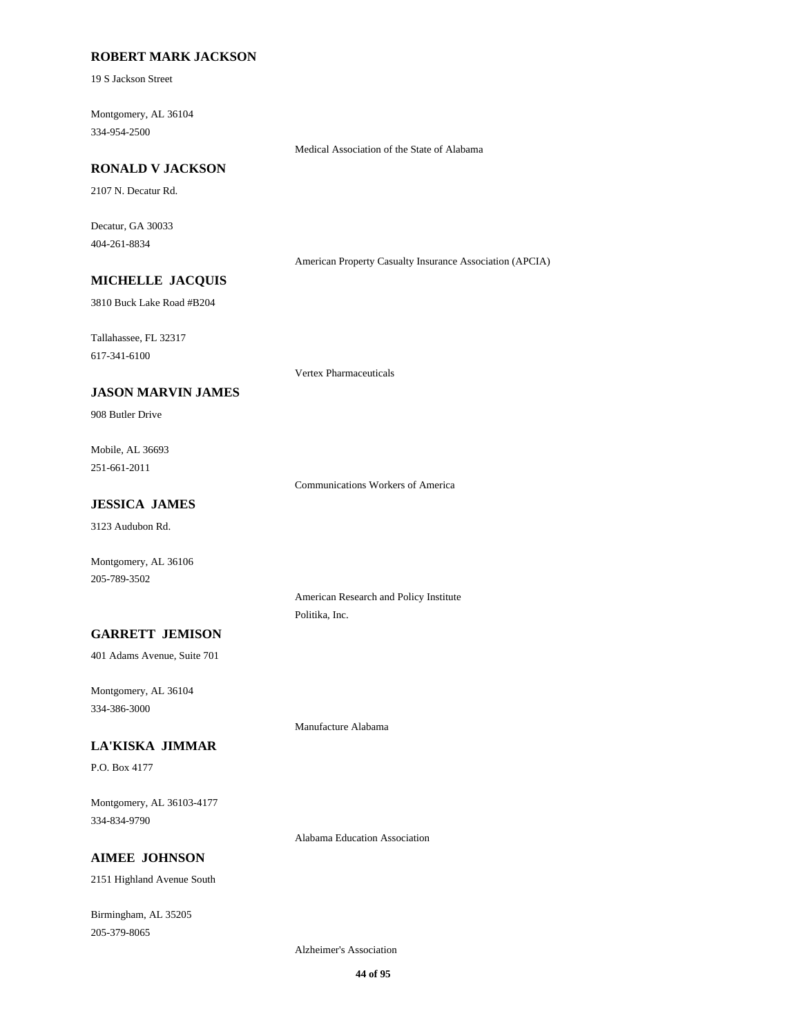## **ROBERT MARK JACKSON**

19 S Jackson Street

Montgomery, AL 36104 334-954-2500

Medical Association of the State of Alabama

## **RONALD V JACKSON**

2107 N. Decatur Rd.

Decatur, GA 30033 404-261-8834

American Property Casualty Insurance Association (APCIA)

# **MICHELLE JACQUIS**

3810 Buck Lake Road #B204

Tallahassee, FL 32317

617-341-6100

### **JASON MARVIN JAMES**

908 Butler Drive

Mobile, AL 36693 251-661-2011

Communications Workers of America

Vertex Pharmaceuticals

## **JESSICA JAMES**

3123 Audubon Rd.

Montgomery, AL 36106 205-789-3502

> American Research and Policy Institute Politika, Inc.

# **GARRETT JEMISON**

401 Adams Avenue, Suite 701

Montgomery, AL 36104 334-386-3000

### **LA'KISKA JIMMAR**

P.O. Box 4177

Montgomery, AL 36103-4177 334-834-9790

Alabama Education Association

# **AIMEE JOHNSON**

2151 Highland Avenue South

Birmingham, AL 35205 205-379-8065

Alzheimer's Association

Manufacture Alabama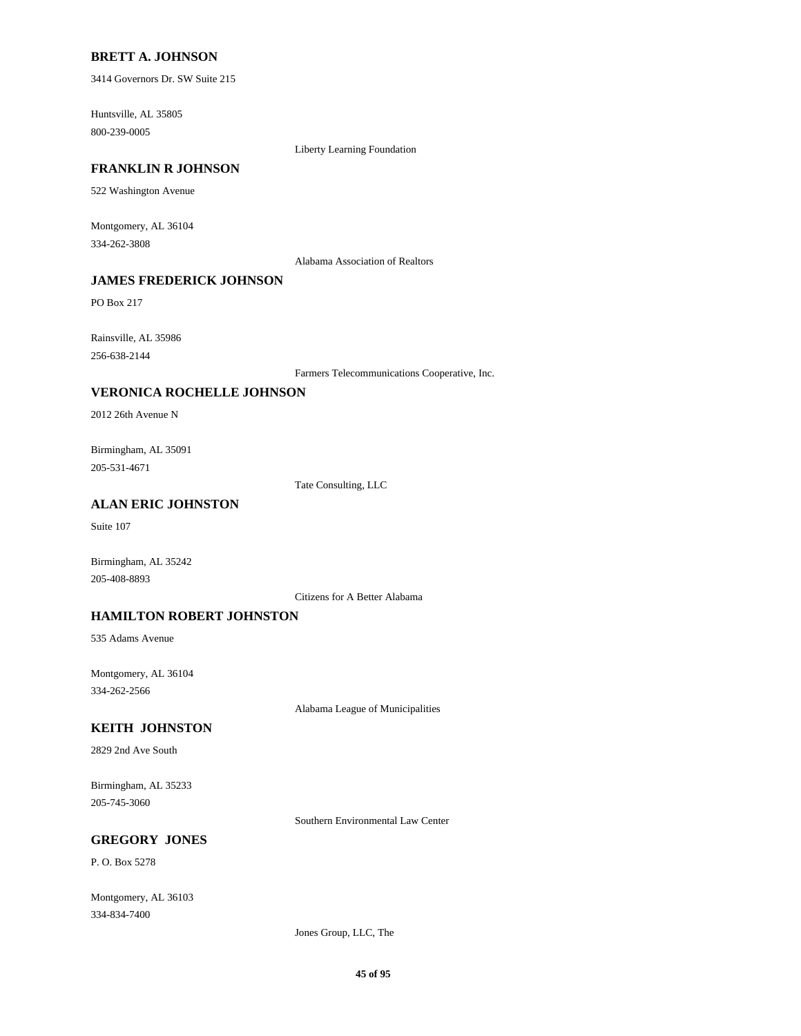### **BRETT A. JOHNSON**

3414 Governors Dr. SW Suite 215

Huntsville, AL 35805 800-239-0005

Liberty Learning Foundation

#### **FRANKLIN R JOHNSON**

522 Washington Avenue

Montgomery, AL 36104 334-262-3808

Alabama Association of Realtors

## **JAMES FREDERICK JOHNSON**

PO Box 217

Rainsville, AL 35986 256-638-2144

Farmers Telecommunications Cooperative, Inc.

### **VERONICA ROCHELLE JOHNSON**

2012 26th Avenue N

Birmingham, AL 35091 205-531-4671

Tate Consulting, LLC

## **ALAN ERIC JOHNSTON**

Suite 107

Birmingham, AL 35242 205-408-8893

Citizens for A Better Alabama

### **HAMILTON ROBERT JOHNSTON**

535 Adams Avenue

Montgomery, AL 36104 334-262-2566

Alabama League of Municipalities

## **KEITH JOHNSTON**

2829 2nd Ave South

Birmingham, AL 35233 205-745-3060

Southern Environmental Law Center

## **GREGORY JONES**

P. O. Box 5278

Montgomery, AL 36103 334-834-7400

Jones Group, LLC, The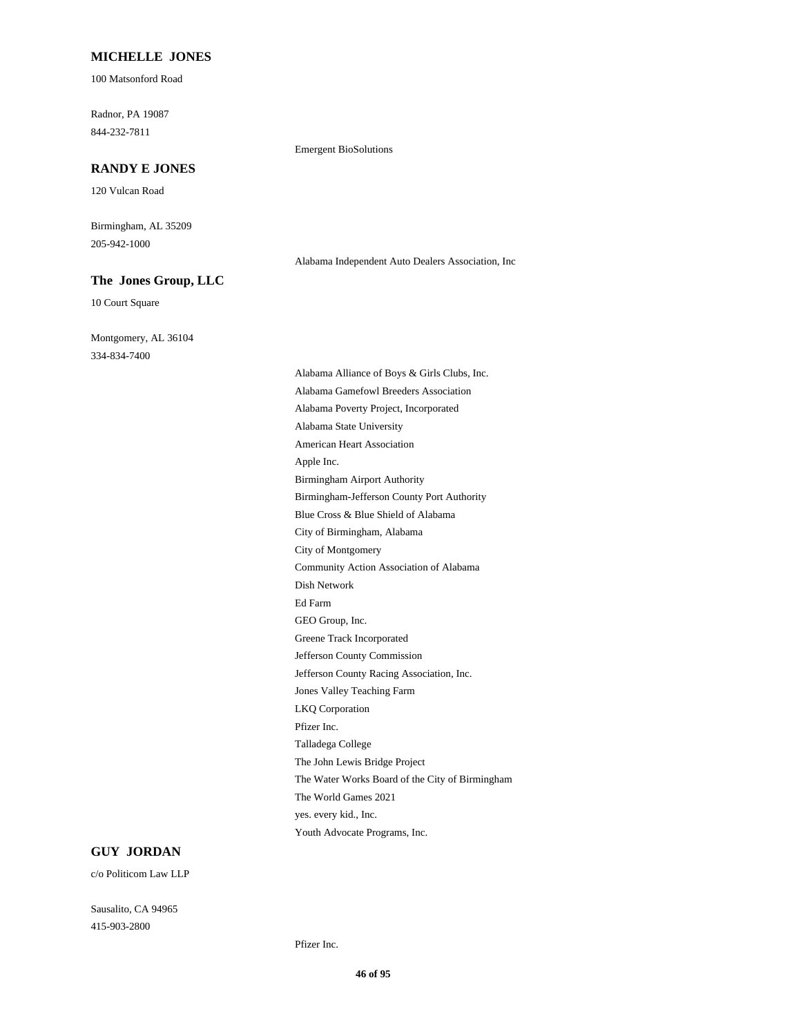### **MICHELLE JONES**

100 Matsonford Road

Radnor, PA 19087 844-232-7811

#### **RANDY E JONES**

120 Vulcan Road

Birmingham, AL 35209 205-942-1000

#### **The Jones Group, LLC**

10 Court Square

Montgomery, AL 36104 334-834-7400

Emergent BioSolutions

Alabama Alliance of Boys & Girls Clubs, Inc. Alabama Gamefowl Breeders Association Alabama Poverty Project, Incorporated Alabama State University American Heart Association Apple Inc. Birmingham Airport Authority Birmingham-Jefferson County Port Authority Blue Cross & Blue Shield of Alabama City of Birmingham, Alabama City of Montgomery Community Action Association of Alabama Dish Network Ed Farm GEO Group, Inc. Greene Track Incorporated Jefferson County Commission Jefferson County Racing Association, Inc. Jones Valley Teaching Farm LKQ Corporation Pfizer Inc. Talladega College The John Lewis Bridge Project The Water Works Board of the City of Birmingham The World Games 2021 yes. every kid., Inc. Youth Advocate Programs, Inc.

Alabama Independent Auto Dealers Association, Inc

# **GUY JORDAN**

c/o Politicom Law LLP

Sausalito, CA 94965 415-903-2800

Pfizer Inc.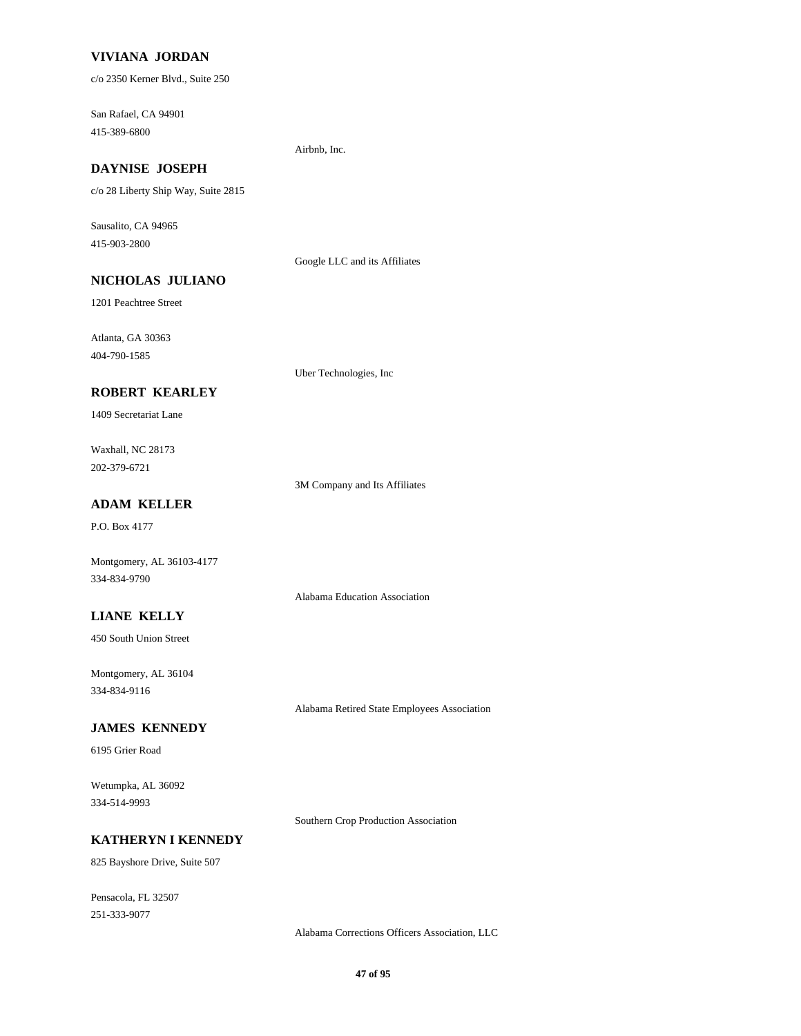### **VIVIANA JORDAN**

c/o 2350 Kerner Blvd., Suite 250

San Rafael, CA 94901 415-389-6800

#### Airbnb, Inc.

# **DAYNISE JOSEPH**

c/o 28 Liberty Ship Way, Suite 2815

Sausalito, CA 94965 415-903-2800

Google LLC and its Affiliates

# **NICHOLAS JULIANO**

1201 Peachtree Street

Atlanta, GA 30363 404-790-1585

Uber Technologies, Inc

### **ROBERT KEARLEY**

1409 Secretariat Lane

Waxhall, NC 28173 202-379-6721

3M Company and Its Affiliates

Alabama Education Association

## **ADAM KELLER**

P.O. Box 4177

Montgomery, AL 36103-4177 334-834-9790

**LIANE KELLY**

450 South Union Street

Montgomery, AL 36104 334-834-9116

Alabama Retired State Employees Association

## **JAMES KENNEDY**

6195 Grier Road

Wetumpka, AL 36092 334-514-9993

Southern Crop Production Association

#### **KATHERYN I KENNEDY**

825 Bayshore Drive, Suite 507

Pensacola, FL 32507 251-333-9077

Alabama Corrections Officers Association, LLC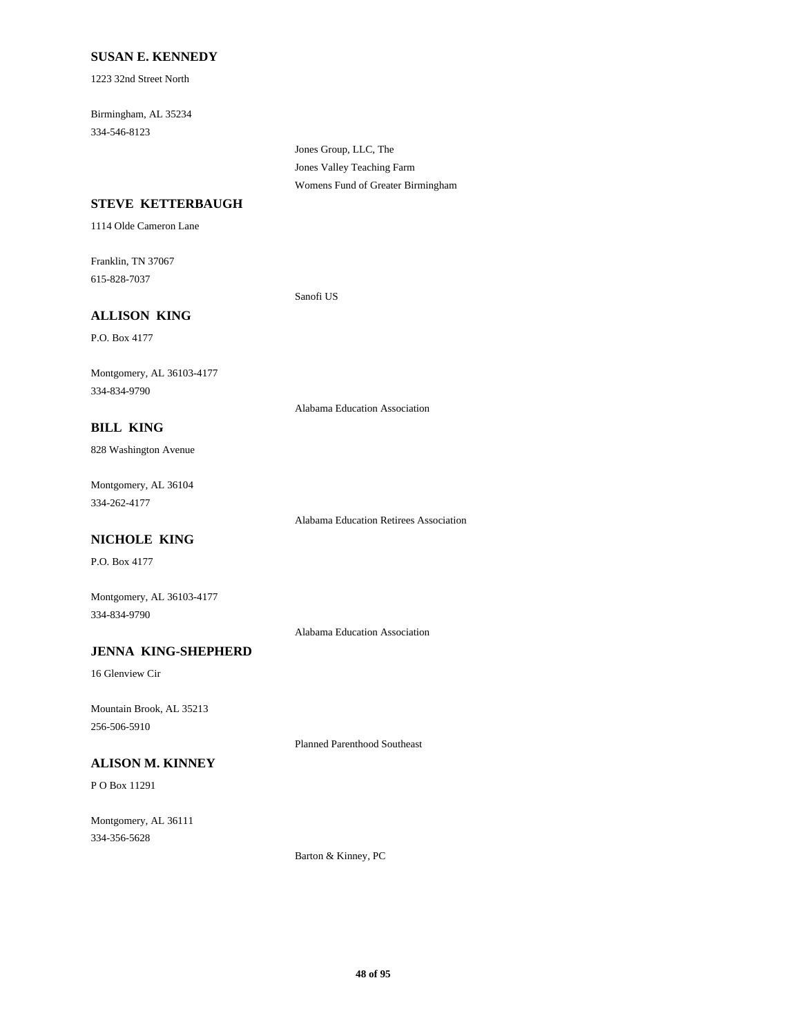### **SUSAN E. KENNEDY**

1223 32nd Street North

Birmingham, AL 35234 334-546-8123

> Jones Group, LLC, The Jones Valley Teaching Farm Womens Fund of Greater Birmingham

### **STEVE KETTERBAUGH**

1114 Olde Cameron Lane

Franklin, TN 37067 615-828-7037

Sanofi US

## **ALLISON KING**

P.O. Box 4177

Montgomery, AL 36103-4177 334-834-9790

Alabama Education Association

## **BILL KING**

828 Washington Avenue

Montgomery, AL 36104 334-262-4177

Alabama Education Retirees Association

## **NICHOLE KING**

P.O. Box 4177

Montgomery, AL 36103-4177 334-834-9790

Alabama Education Association

## **JENNA KING-SHEPHERD**

16 Glenview Cir

Mountain Brook, AL 35213 256-506-5910

Planned Parenthood Southeast

# **ALISON M. KINNEY**

P O Box 11291

Montgomery, AL 36111 334-356-5628

Barton & Kinney, PC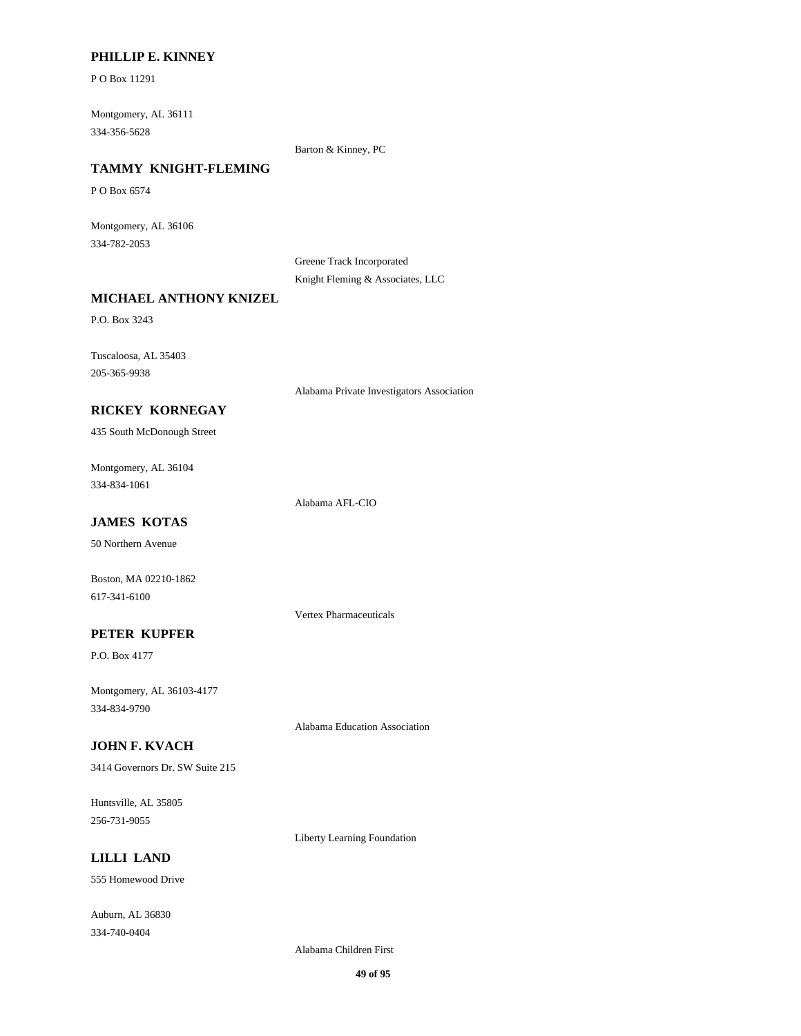### **PHILLIP E. KINNEY**

P O Box 11291

Montgomery, AL 36111 334-356-5628

Barton & Kinney, PC

# **TAMMY KNIGHT-FLEMING**

P O Box 6574

Montgomery, AL 36106 334-782-2053

> Greene Track Incorporated Knight Fleming & Associates, LLC

### **MICHAEL ANTHONY KNIZEL**

P.O. Box 3243

Tuscaloosa, AL 35403 205-365-9938

Alabama Private Investigators Association

# **RICKEY KORNEGAY**

435 South McDonough Street

Montgomery, AL 36104 334-834-1061

Alabama AFL-CIO

## **JAMES KOTAS**

50 Northern Avenue

Boston, MA 02210-1862 617-341-6100

Vertex Pharmaceuticals

## **PETER KUPFER**

P.O. Box 4177

Montgomery, AL 36103-4177 334-834-9790

Alabama Education Association

## **JOHN F. KVACH**

3414 Governors Dr. SW Suite 215

Huntsville, AL 35805 256-731-9055

Liberty Learning Foundation

# **LILLI LAND**

555 Homewood Drive

Auburn, AL 36830 334-740-0404

Alabama Children First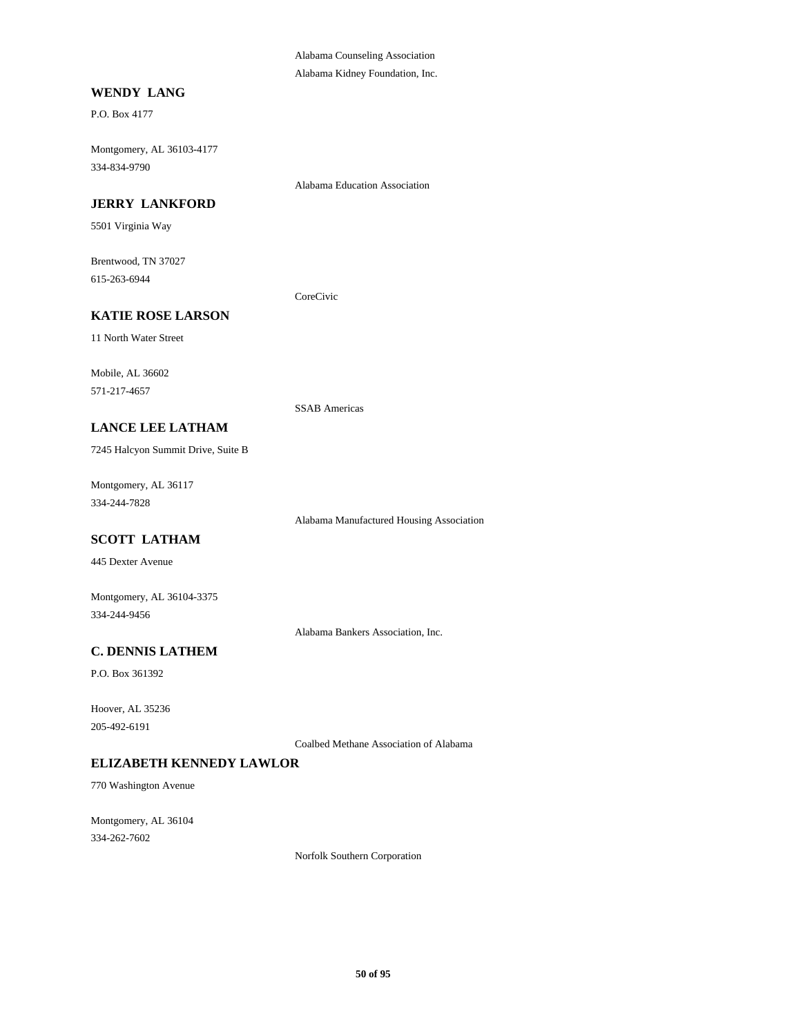Alabama Counseling Association Alabama Kidney Foundation, Inc.

#### **WENDY LANG**

P.O. Box 4177

Montgomery, AL 36103-4177 334-834-9790

Alabama Education Association

## **JERRY LANKFORD**

5501 Virginia Way

Brentwood, TN 37027 615-263-6944

CoreCivic

## **KATIE ROSE LARSON**

11 North Water Street

Mobile, AL 36602 571-217-4657

SSAB Americas

### **LANCE LEE LATHAM**

7245 Halcyon Summit Drive, Suite B

Montgomery, AL 36117 334-244-7828

Alabama Manufactured Housing Association

# **SCOTT LATHAM**

445 Dexter Avenue

Montgomery, AL 36104-3375 334-244-9456

Alabama Bankers Association, Inc.

# **C. DENNIS LATHEM**

P.O. Box 361392

Hoover, AL 35236 205-492-6191

Coalbed Methane Association of Alabama

### **ELIZABETH KENNEDY LAWLOR**

770 Washington Avenue

Montgomery, AL 36104 334-262-7602

Norfolk Southern Corporation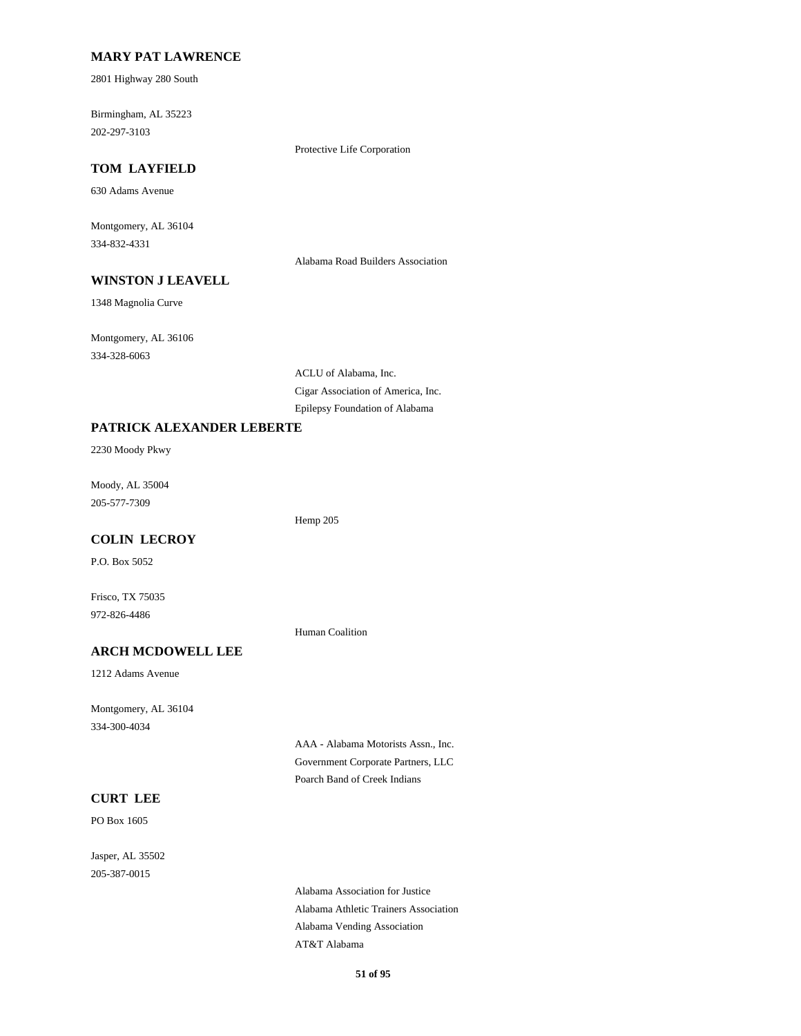### **MARY PAT LAWRENCE**

2801 Highway 280 South

Birmingham, AL 35223 202-297-3103

Protective Life Corporation

## **TOM LAYFIELD**

630 Adams Avenue

Montgomery, AL 36104 334-832-4331

Alabama Road Builders Association

## **WINSTON J LEAVELL**

1348 Magnolia Curve

Montgomery, AL 36106 334-328-6063

> ACLU of Alabama, Inc. Cigar Association of America, Inc. Epilepsy Foundation of Alabama

#### **PATRICK ALEXANDER LEBERTE**

2230 Moody Pkwy

Moody, AL 35004 205-577-7309

Hemp 205

# **COLIN LECROY**

P.O. Box 5052

Frisco, TX 75035 972-826-4486

# Human Coalition

**ARCH MCDOWELL LEE**

1212 Adams Avenue

Montgomery, AL 36104 334-300-4034

> AAA - Alabama Motorists Assn., Inc. Government Corporate Partners, LLC Poarch Band of Creek Indians

## **CURT LEE**

PO Box 1605

Jasper, AL 35502 205-387-0015

> Alabama Association for Justice Alabama Athletic Trainers Association Alabama Vending Association AT&T Alabama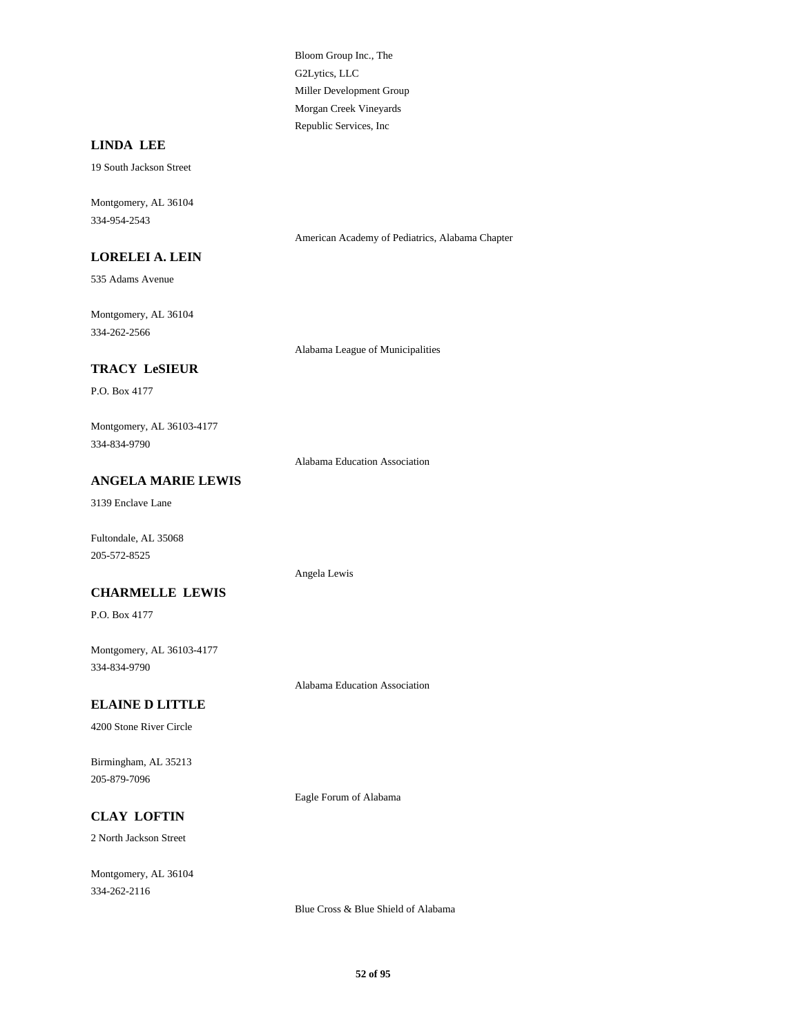Bloom Group Inc., The G2Lytics, LLC Miller Development Group Morgan Creek Vineyards Republic Services, Inc

## **LINDA LEE**

19 South Jackson Street

Montgomery, AL 36104 334-954-2543

American Academy of Pediatrics, Alabama Chapter

### **LORELEI A. LEIN**

535 Adams Avenue

Montgomery, AL 36104 334-262-2566

Alabama League of Municipalities

## **TRACY LeSIEUR**

P.O. Box 4177

Montgomery, AL 36103-4177 334-834-9790

Alabama Education Association

## **ANGELA MARIE LEWIS**

3139 Enclave Lane

Fultondale, AL 35068 205-572-8525

### **CHARMELLE LEWIS**

P.O. Box 4177

Montgomery, AL 36103-4177 334-834-9790

Alabama Education Association

Angela Lewis

### **ELAINE D LITTLE**

4200 Stone River Circle

Birmingham, AL 35213 205-879-7096

Eagle Forum of Alabama

## **CLAY LOFTIN**

2 North Jackson Street

Montgomery, AL 36104 334-262-2116

Blue Cross & Blue Shield of Alabama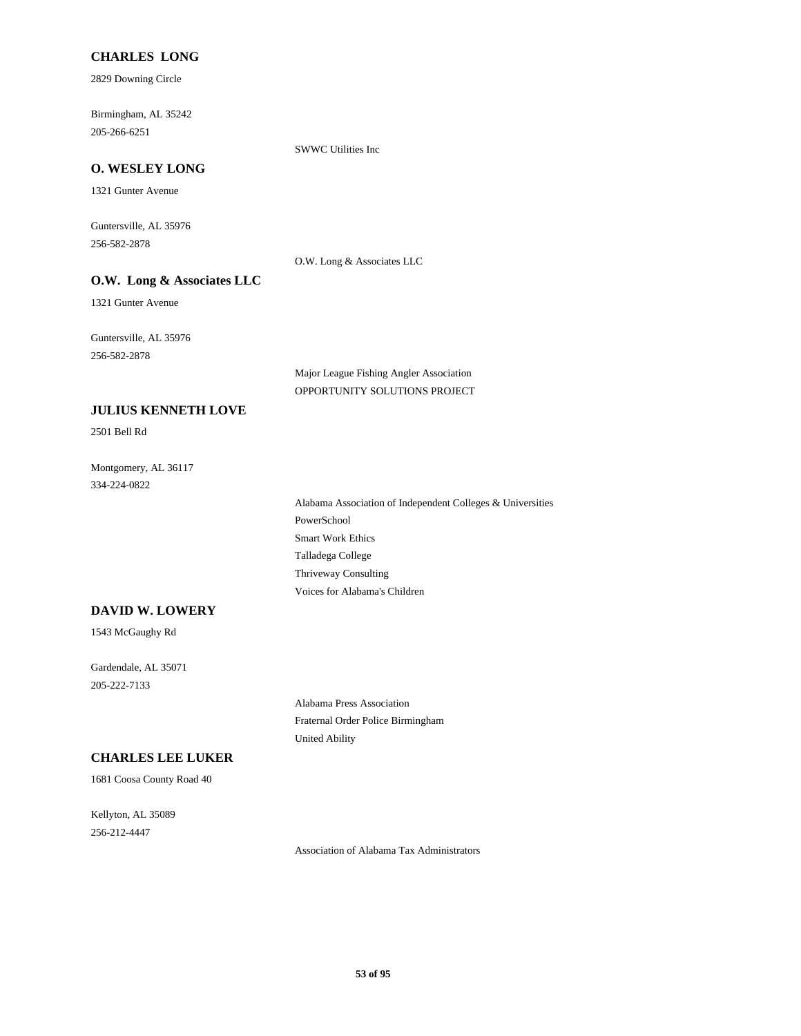## **CHARLES LONG**

2829 Downing Circle

Birmingham, AL 35242 205-266-6251

SWWC Utilities Inc

### **O. WESLEY LONG**

1321 Gunter Avenue

Guntersville, AL 35976 256-582-2878

O.W. Long & Associates LLC

## **O.W. Long & Associates LLC**

1321 Gunter Avenue

Guntersville, AL 35976 256-582-2878

> Major League Fishing Angler Association OPPORTUNITY SOLUTIONS PROJECT

### **JULIUS KENNETH LOVE**

2501 Bell Rd

Montgomery, AL 36117 334-224-0822

> Alabama Association of Independent Colleges & Universities PowerSchool Smart Work Ethics Talladega College Thriveway Consulting Voices for Alabama's Children

#### **DAVID W. LOWERY**

1543 McGaughy Rd

Gardendale, AL 35071 205-222-7133

> Alabama Press Association Fraternal Order Police Birmingham United Ability

# **CHARLES LEE LUKER**

1681 Coosa County Road 40

Kellyton, AL 35089 256-212-4447

Association of Alabama Tax Administrators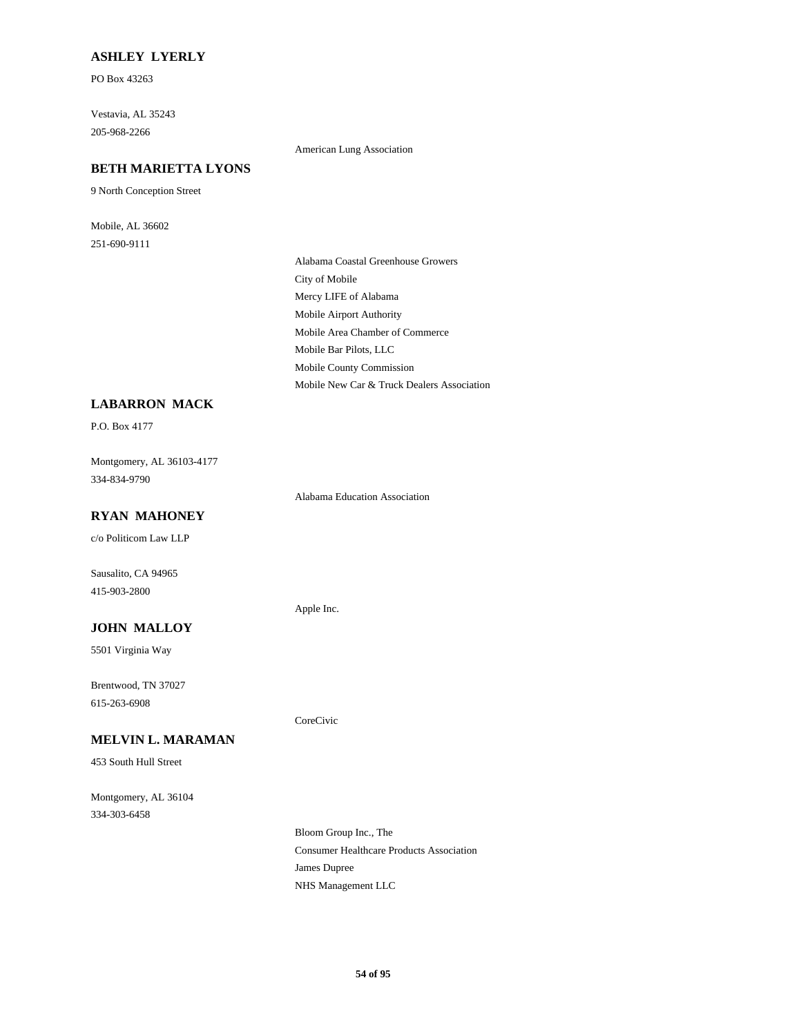## **ASHLEY LYERLY**

PO Box 43263

Vestavia, AL 35243 205-968-2266

American Lung Association

#### **BETH MARIETTA LYONS**

9 North Conception Street

Mobile, AL 36602 251-690-9111

> Alabama Coastal Greenhouse Growers City of Mobile Mercy LIFE of Alabama Mobile Airport Authority Mobile Area Chamber of Commerce Mobile Bar Pilots, LLC Mobile County Commission Mobile New Car & Truck Dealers Association

## **LABARRON MACK**

P.O. Box 4177

Montgomery, AL 36103-4177 334-834-9790

Alabama Education Association

# **RYAN MAHONEY**

c/o Politicom Law LLP

Sausalito, CA 94965 415-903-2800

### **JOHN MALLOY**

5501 Virginia Way

Brentwood, TN 37027 615-263-6908

### **MELVIN L. MARAMAN**

453 South Hull Street

Montgomery, AL 36104 334-303-6458

Apple Inc.

CoreCivic

Bloom Group Inc., The Consumer Healthcare Products Association James Dupree NHS Management LLC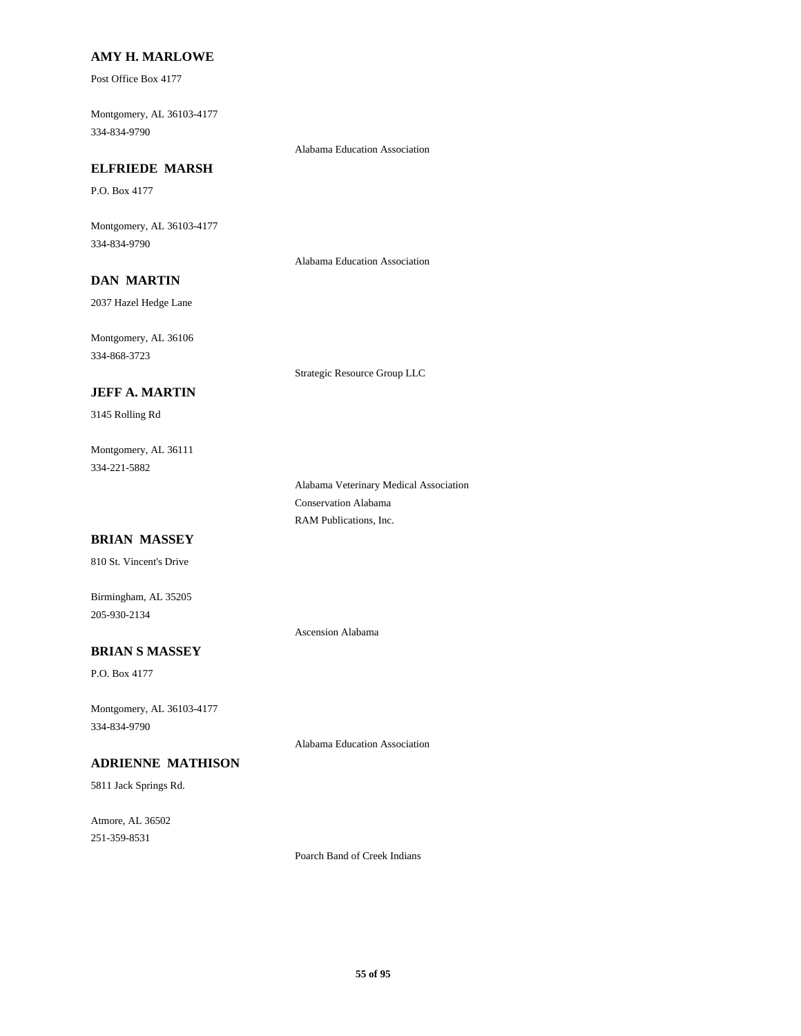### **AMY H. MARLOWE**

Post Office Box 4177

Montgomery, AL 36103-4177 334-834-9790

Alabama Education Association

## **ELFRIEDE MARSH**

P.O. Box 4177

Montgomery, AL 36103-4177 334-834-9790

Alabama Education Association

Strategic Resource Group LLC

# **DAN MARTIN**

2037 Hazel Hedge Lane

Montgomery, AL 36106 334-868-3723

#### **JEFF A. MARTIN**

3145 Rolling Rd

Montgomery, AL 36111 334-221-5882

> Alabama Veterinary Medical Association Conservation Alabama RAM Publications, Inc.

## **BRIAN MASSEY**

810 St. Vincent's Drive

Birmingham, AL 35205 205-930-2134

Ascension Alabama

## **BRIAN S MASSEY**

P.O. Box 4177

Montgomery, AL 36103-4177 334-834-9790

Alabama Education Association

## **ADRIENNE MATHISON**

5811 Jack Springs Rd.

Atmore, AL 36502 251-359-8531

Poarch Band of Creek Indians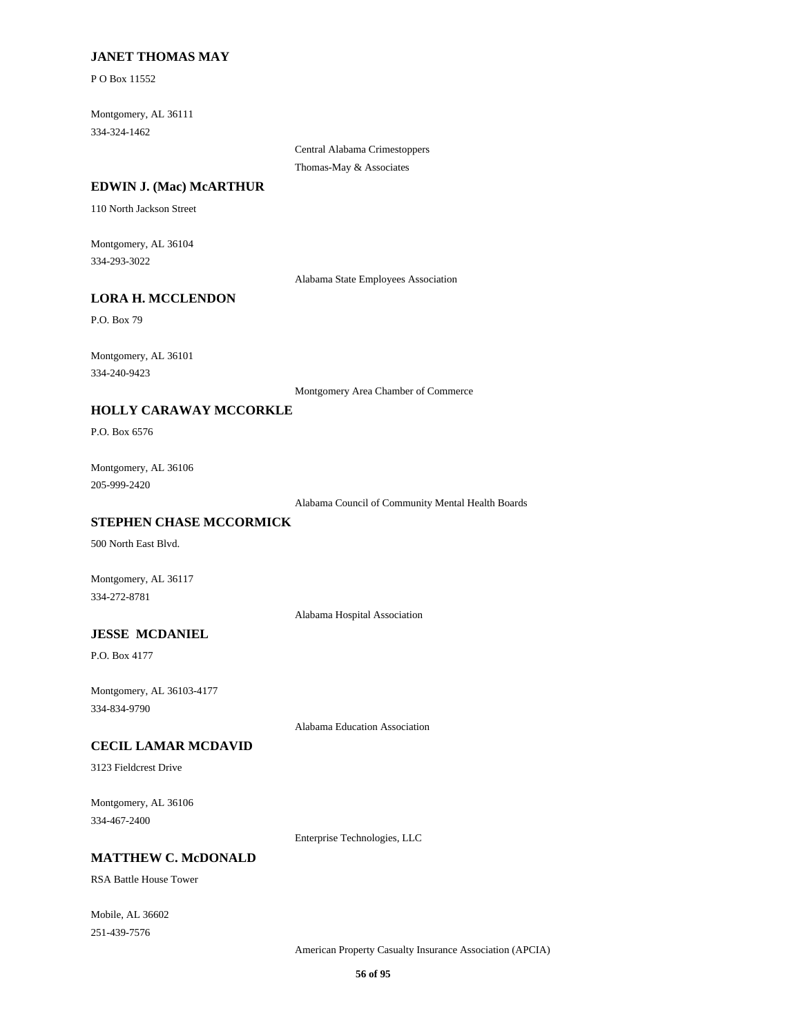## **JANET THOMAS MAY**

P O Box 11552

Montgomery, AL 36111 334-324-1462

> Central Alabama Crimestoppers Thomas-May & Associates

#### **EDWIN J. (Mac) McARTHUR**

110 North Jackson Street

Montgomery, AL 36104 334-293-3022

Alabama State Employees Association

#### **LORA H. MCCLENDON**

P.O. Box 79

Montgomery, AL 36101 334-240-9423

Montgomery Area Chamber of Commerce

## **HOLLY CARAWAY MCCORKLE**

P.O. Box 6576

Montgomery, AL 36106 205-999-2420

Alabama Council of Community Mental Health Boards

## **STEPHEN CHASE MCCORMICK**

500 North East Blvd.

Montgomery, AL 36117 334-272-8781

Alabama Hospital Association

## **JESSE MCDANIEL**

P.O. Box 4177

Montgomery, AL 36103-4177 334-834-9790

Alabama Education Association

#### **CECIL LAMAR MCDAVID**

3123 Fieldcrest Drive

Montgomery, AL 36106 334-467-2400

Enterprise Technologies, LLC

## **MATTHEW C. McDONALD**

RSA Battle House Tower

Mobile, AL 36602 251-439-7576

American Property Casualty Insurance Association (APCIA)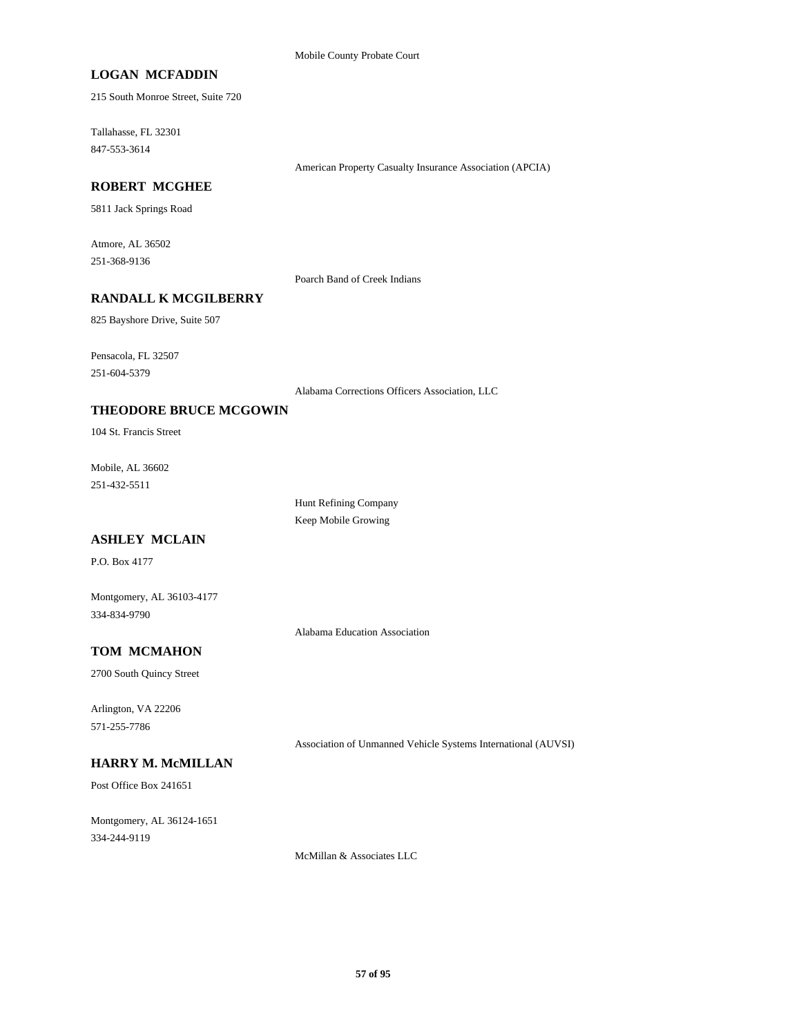## **LOGAN MCFADDIN**

215 South Monroe Street, Suite 720

Tallahasse, FL 32301 847-553-3614

American Property Casualty Insurance Association (APCIA)

## **ROBERT MCGHEE**

5811 Jack Springs Road

Atmore, AL 36502 251-368-9136

Poarch Band of Creek Indians

## **RANDALL K MCGILBERRY**

825 Bayshore Drive, Suite 507

Pensacola, FL 32507 251-604-5379

Alabama Corrections Officers Association, LLC

## **THEODORE BRUCE MCGOWIN**

104 St. Francis Street

Mobile, AL 36602 251-432-5511

> Hunt Refining Company Keep Mobile Growing

# **ASHLEY MCLAIN**

P.O. Box 4177

Montgomery, AL 36103-4177 334-834-9790

Alabama Education Association

## **TOM MCMAHON**

2700 South Quincy Street

Arlington, VA 22206 571-255-7786

Association of Unmanned Vehicle Systems International (AUVSI)

# **HARRY M. McMILLAN**

Post Office Box 241651

Montgomery, AL 36124-1651 334-244-9119

McMillan & Associates LLC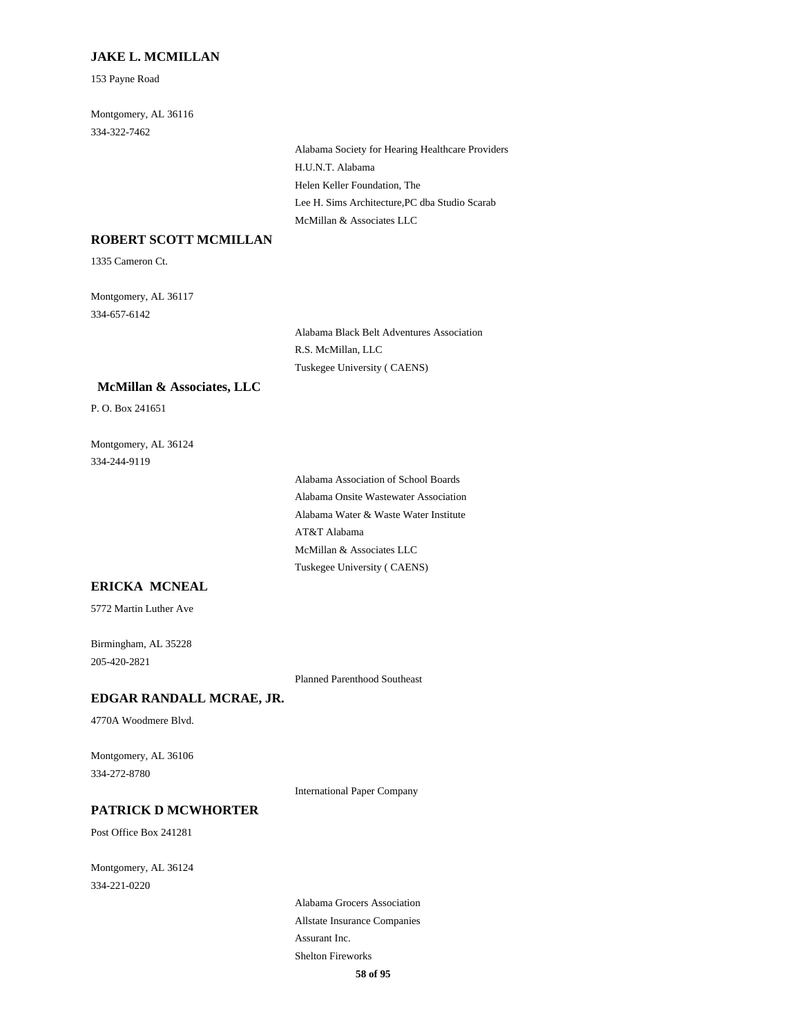### **JAKE L. MCMILLAN**

153 Payne Road

Montgomery, AL 36116 334-322-7462

> Alabama Society for Hearing Healthcare Providers H.U.N.T. Alabama Helen Keller Foundation, The Lee H. Sims Architecture,PC dba Studio Scarab McMillan & Associates LLC

## **ROBERT SCOTT MCMILLAN**

1335 Cameron Ct.

Montgomery, AL 36117 334-657-6142

> Alabama Black Belt Adventures Association R.S. McMillan, LLC Tuskegee University ( CAENS)

#### **McMillan & Associates, LLC**

P. O. Box 241651

Montgomery, AL 36124 334-244-9119

> Alabama Association of School Boards Alabama Onsite Wastewater Association Alabama Water & Waste Water Institute AT&T Alabama McMillan & Associates LLC Tuskegee University ( CAENS)

#### **ERICKA MCNEAL**

5772 Martin Luther Ave

Birmingham, AL 35228 205-420-2821

Planned Parenthood Southeast

### **EDGAR RANDALL MCRAE, JR.**

4770A Woodmere Blvd.

Montgomery, AL 36106 334-272-8780

International Paper Company

#### **PATRICK D MCWHORTER**

Post Office Box 241281

Montgomery, AL 36124 334-221-0220

> Alabama Grocers Association Allstate Insurance Companies Assurant Inc. Shelton Fireworks **58 of 95**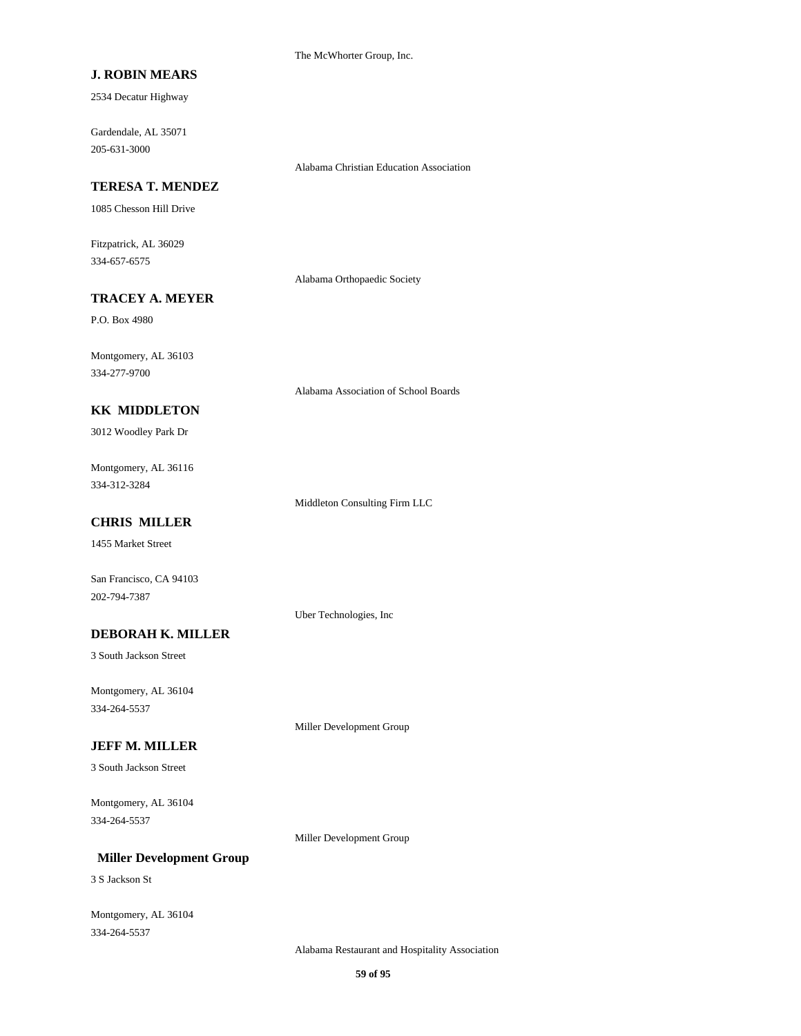The McWhorter Group, Inc.

## **J. ROBIN MEARS**

2534 Decatur Highway

Gardendale, AL 35071 205-631-3000

### **TERESA T. MENDEZ**

1085 Chesson Hill Drive

Fitzpatrick, AL 36029 334-657-6575

Alabama Orthopaedic Society

Alabama Christian Education Association

### **TRACEY A. MEYER**

P.O. Box 4980

Montgomery, AL 36103 334-277-9700

### **KK MIDDLETON**

3012 Woodley Park Dr

Montgomery, AL 36116 334-312-3284

Middleton Consulting Firm LLC

Alabama Association of School Boards

## **CHRIS MILLER**

1455 Market Street

San Francisco, CA 94103 202-794-7387

Uber Technologies, Inc

## **DEBORAH K. MILLER**

3 South Jackson Street

Montgomery, AL 36104 334-264-5537

Miller Development Group

### **JEFF M. MILLER**

3 South Jackson Street

Montgomery, AL 36104 334-264-5537

Miller Development Group

## **Miller Development Group**

3 S Jackson St

Montgomery, AL 36104 334-264-5537

Alabama Restaurant and Hospitality Association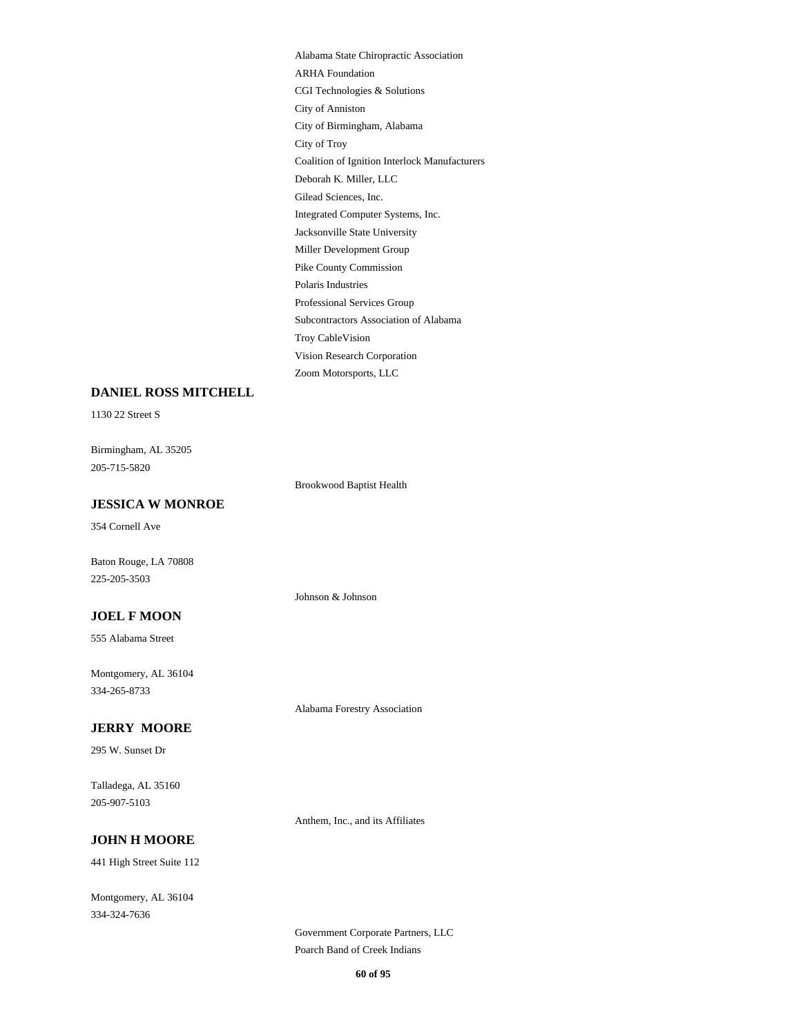Alabama State Chiropractic Association ARHA Foundation CGI Technologies & Solutions City of Anniston City of Birmingham, Alabama City of Troy Coalition of Ignition Interlock Manufacturers Deborah K. Miller, LLC Gilead Sciences, Inc. Integrated Computer Systems, Inc. Jacksonville State University Miller Development Group Pike County Commission Polaris Industries Professional Services Group Subcontractors Association of Alabama Troy CableVision Vision Research Corporation Zoom Motorsports, LLC

#### **DANIEL ROSS MITCHELL**

1130 22 Street S

Birmingham, AL 35205 205-715-5820

Brookwood Baptist Health

Johnson & Johnson

### **JESSICA W MONROE**

354 Cornell Ave

Baton Rouge, LA 70808 225-205-3503

#### **JOEL F MOON**

555 Alabama Street

Montgomery, AL 36104 334-265-8733

#### **JERRY MOORE**

295 W. Sunset Dr

Talladega, AL 35160 205-907-5103

Anthem, Inc., and its Affiliates

Alabama Forestry Association

# **JOHN H MOORE**

441 High Street Suite 112

Montgomery, AL 36104 334-324-7636

> Government Corporate Partners, LLC Poarch Band of Creek Indians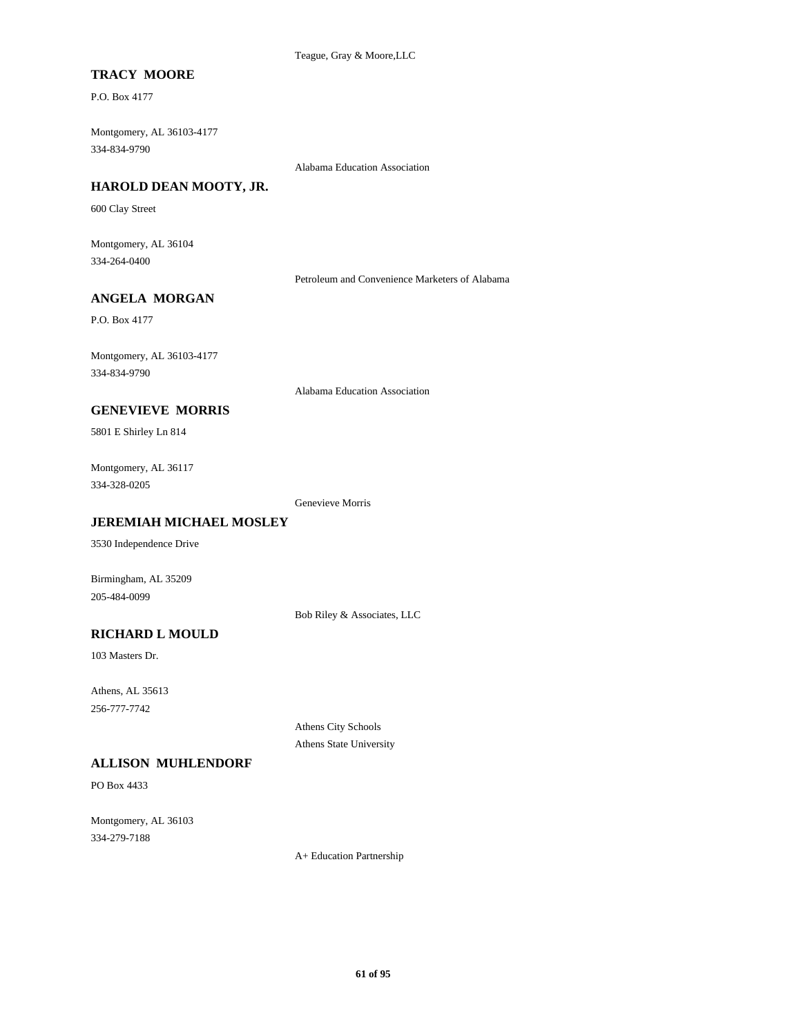## **TRACY MOORE**

P.O. Box 4177

Montgomery, AL 36103-4177 334-834-9790

Alabama Education Association

### **HAROLD DEAN MOOTY, JR.**

600 Clay Street

Montgomery, AL 36104 334-264-0400

Petroleum and Convenience Marketers of Alabama

## **ANGELA MORGAN**

P.O. Box 4177

Montgomery, AL 36103-4177 334-834-9790

Alabama Education Association

## **GENEVIEVE MORRIS**

5801 E Shirley Ln 814

Montgomery, AL 36117 334-328-0205

Genevieve Morris

### **JEREMIAH MICHAEL MOSLEY**

3530 Independence Drive

Birmingham, AL 35209 205-484-0099

Bob Riley & Associates, LLC

# **RICHARD L MOULD**

103 Masters Dr.

Athens, AL 35613 256-777-7742

> Athens City Schools Athens State University

#### **ALLISON MUHLENDORF**

PO Box 4433

Montgomery, AL 36103 334-279-7188

A+ Education Partnership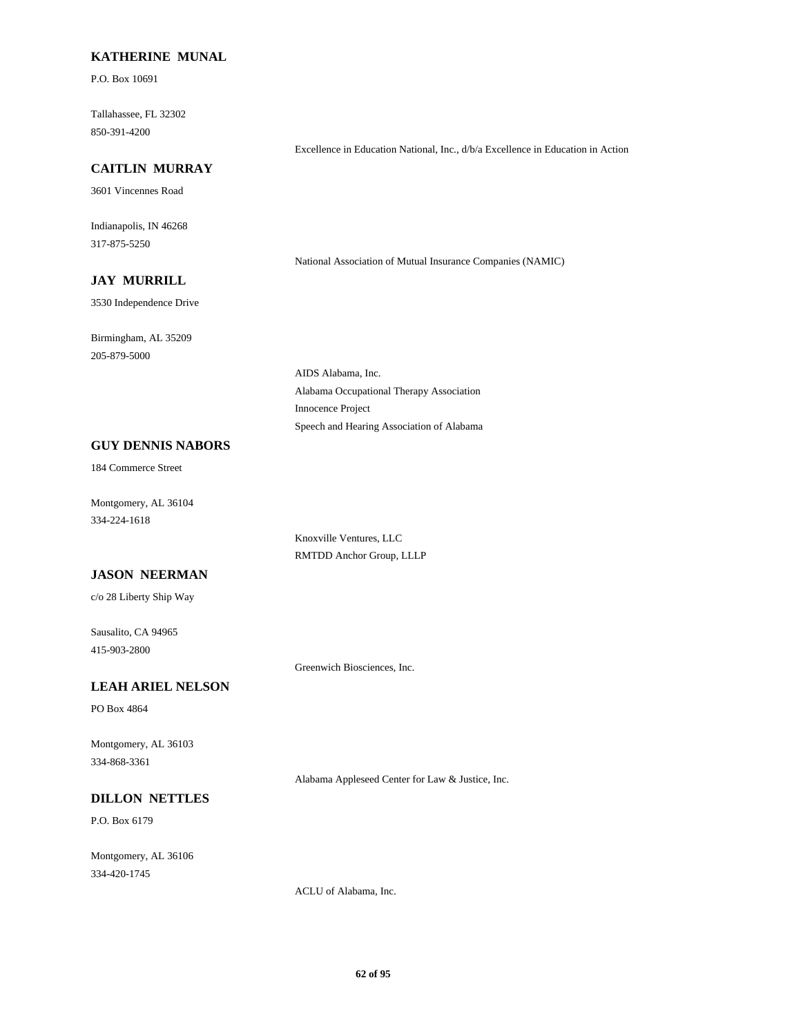### **KATHERINE MUNAL**

P.O. Box 10691

Tallahassee, FL 32302 850-391-4200

#### **CAITLIN MURRAY**

3601 Vincennes Road

Indianapolis, IN 46268 317-875-5250

National Association of Mutual Insurance Companies (NAMIC)

Excellence in Education National, Inc., d/b/a Excellence in Education in Action

# **JAY MURRILL**

3530 Independence Drive

Birmingham, AL 35209 205-879-5000

> AIDS Alabama, Inc. Alabama Occupational Therapy Association Innocence Project Speech and Hearing Association of Alabama

## **GUY DENNIS NABORS**

184 Commerce Street

Montgomery, AL 36104 334-224-1618

> Knoxville Ventures, LLC RMTDD Anchor Group, LLLP

## **JASON NEERMAN**

c/o 28 Liberty Ship Way

Sausalito, CA 94965 415-903-2800

Greenwich Biosciences, Inc.

## **LEAH ARIEL NELSON**

PO Box 4864

Montgomery, AL 36103 334-868-3361

Alabama Appleseed Center for Law & Justice, Inc.

## **DILLON NETTLES**

P.O. Box 6179

Montgomery, AL 36106 334-420-1745

ACLU of Alabama, Inc.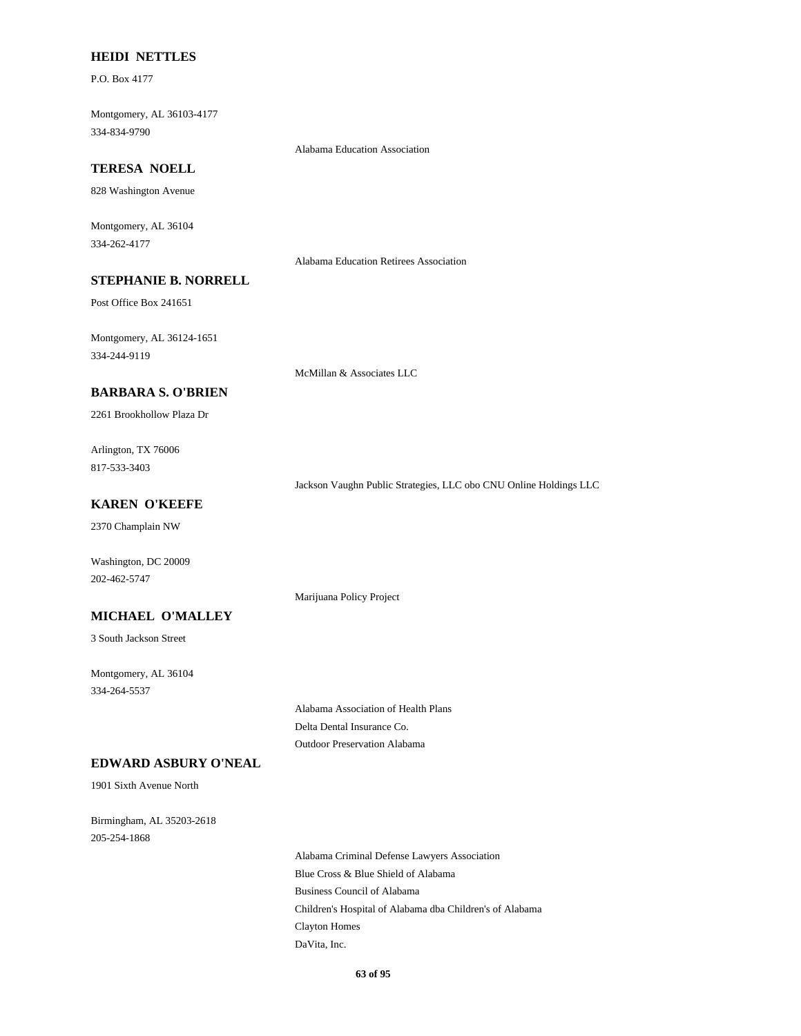### **HEIDI NETTLES**

P.O. Box 4177

Montgomery, AL 36103-4177 334-834-9790

Alabama Education Association

## **TERESA NOELL**

828 Washington Avenue

Montgomery, AL 36104 334-262-4177

Alabama Education Retirees Association

## **STEPHANIE B. NORRELL**

Post Office Box 241651

Montgomery, AL 36124-1651 334-244-9119

McMillan & Associates LLC

## **BARBARA S. O'BRIEN**

2261 Brookhollow Plaza Dr

Arlington, TX 76006 817-533-3403

Jackson Vaughn Public Strategies, LLC obo CNU Online Holdings LLC

### **KAREN O'KEEFE**

2370 Champlain NW

Washington, DC 20009 202-462-5747

Marijuana Policy Project

### **MICHAEL O'MALLEY**

3 South Jackson Street

Montgomery, AL 36104 334-264-5537

> Alabama Association of Health Plans Delta Dental Insurance Co. Outdoor Preservation Alabama

## **EDWARD ASBURY O'NEAL**

1901 Sixth Avenue North

Birmingham, AL 35203-2618 205-254-1868

> Alabama Criminal Defense Lawyers Association Blue Cross & Blue Shield of Alabama Business Council of Alabama Children's Hospital of Alabama dba Children's of Alabama Clayton Homes DaVita, Inc.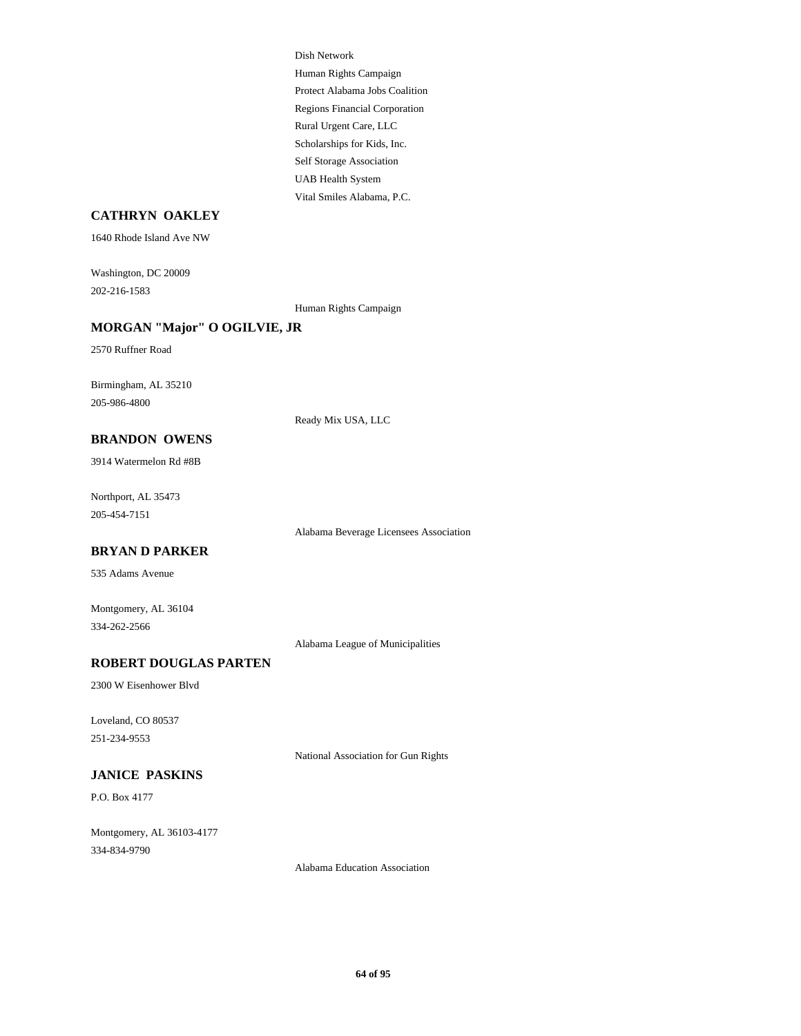Dish Network Human Rights Campaign Protect Alabama Jobs Coalition Regions Financial Corporation Rural Urgent Care, LLC Scholarships for Kids, Inc. Self Storage Association UAB Health System Vital Smiles Alabama, P.C.

## **CATHRYN OAKLEY**

1640 Rhode Island Ave NW

Washington, DC 20009 202-216-1583

Human Rights Campaign

### **MORGAN "Major" O OGILVIE, JR**

2570 Ruffner Road

Birmingham, AL 35210 205-986-4800

Ready Mix USA, LLC

**BRANDON OWENS**

3914 Watermelon Rd #8B

Northport, AL 35473 205-454-7151

Alabama Beverage Licensees Association

#### **BRYAN D PARKER**

535 Adams Avenue

Montgomery, AL 36104 334-262-2566

Alabama League of Municipalities

#### **ROBERT DOUGLAS PARTEN**

2300 W Eisenhower Blvd

Loveland, CO 80537 251-234-9553

National Association for Gun Rights

#### **JANICE PASKINS**

P.O. Box 4177

Montgomery, AL 36103-4177 334-834-9790

Alabama Education Association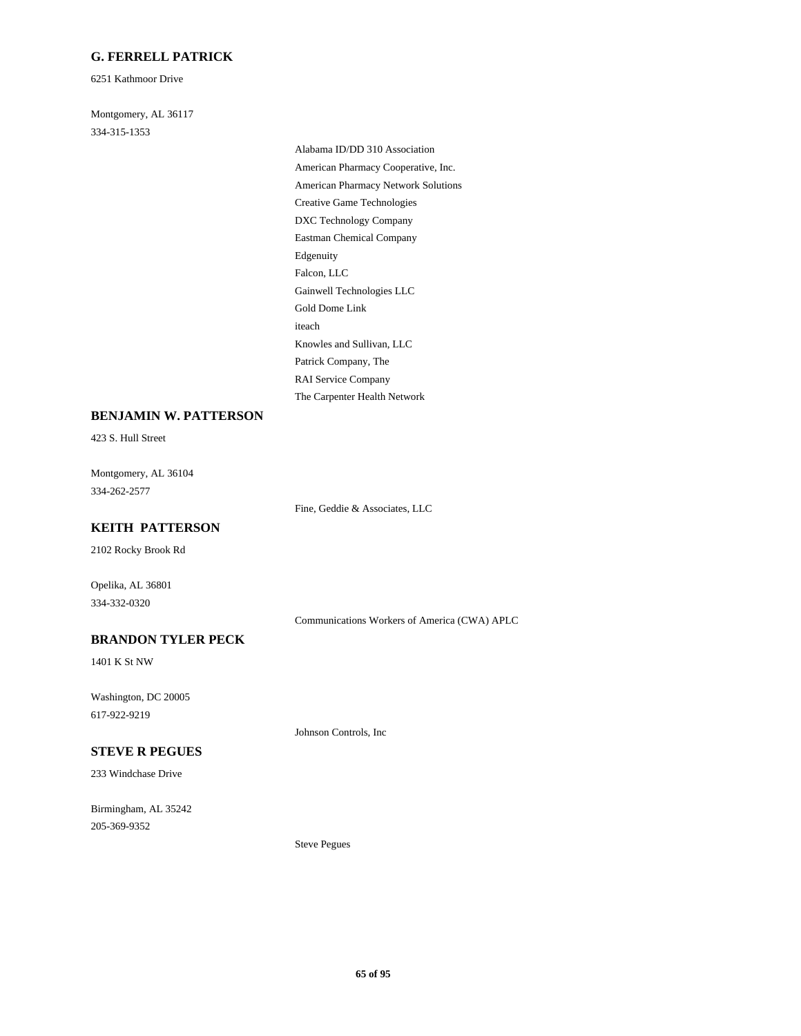## **G. FERRELL PATRICK**

6251 Kathmoor Drive

Montgomery, AL 36117 334-315-1353

> Alabama ID/DD 310 Association American Pharmacy Cooperative, Inc. American Pharmacy Network Solutions Creative Game Technologies DXC Technology Company Eastman Chemical Company Edgenuity Falcon, LLC Gainwell Technologies LLC Gold Dome Link iteach Knowles and Sullivan, LLC Patrick Company, The RAI Service Company The Carpenter Health Network

### **BENJAMIN W. PATTERSON**

423 S. Hull Street

Montgomery, AL 36104 334-262-2577

Fine, Geddie & Associates, LLC

### **KEITH PATTERSON**

2102 Rocky Brook Rd

Opelika, AL 36801 334-332-0320

Communications Workers of America (CWA) APLC

## **BRANDON TYLER PECK**

1401 K St NW

Washington, DC 20005 617-922-9219

Johnson Controls, Inc

## **STEVE R PEGUES**

233 Windchase Drive

Birmingham, AL 35242 205-369-9352

Steve Pegues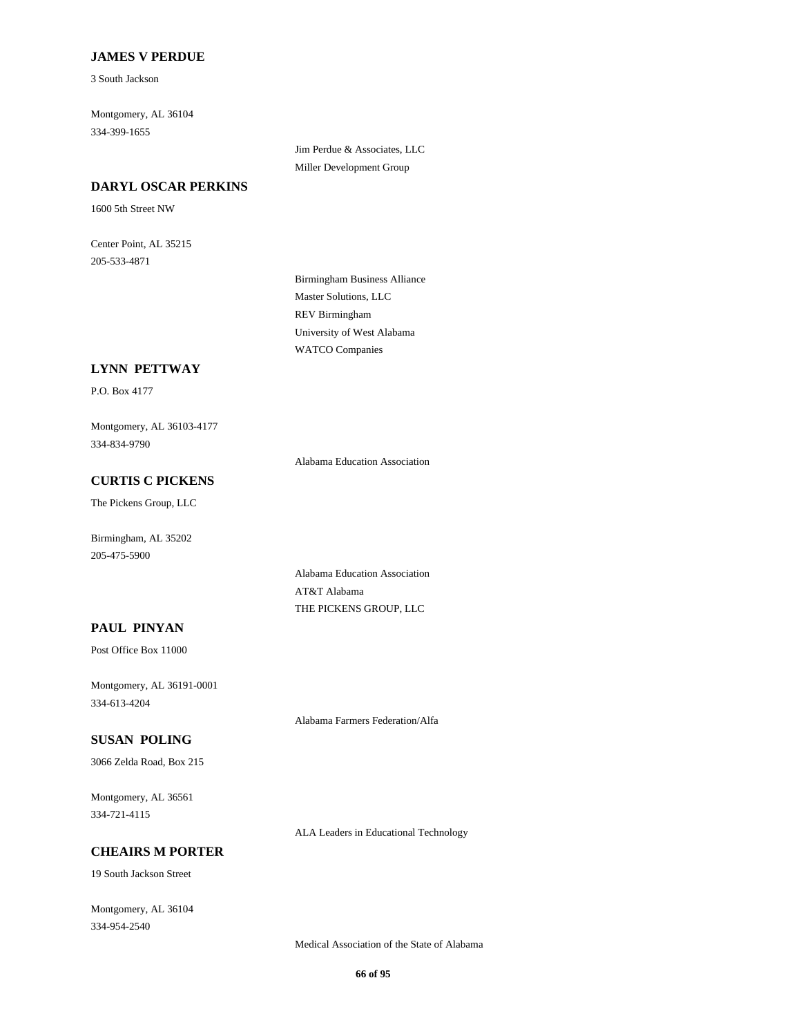## **JAMES V PERDUE**

3 South Jackson

Montgomery, AL 36104 334-399-1655

#### **DARYL OSCAR PERKINS**

1600 5th Street NW

Center Point, AL 35215 205-533-4871

Jim Perdue & Associates, LLC Miller Development Group

Birmingham Business Alliance Master Solutions, LLC REV Birmingham University of West Alabama WATCO Companies

#### **LYNN PETTWAY**

P.O. Box 4177

Montgomery, AL 36103-4177 334-834-9790

Alabama Education Association

## **CURTIS C PICKENS**

The Pickens Group, LLC

Birmingham, AL 35202 205-475-5900

> Alabama Education Association AT&T Alabama THE PICKENS GROUP, LLC

### **PAUL PINYAN**

Post Office Box 11000

Montgomery, AL 36191-0001 334-613-4204

Alabama Farmers Federation/Alfa

#### **SUSAN POLING**

3066 Zelda Road, Box 215

Montgomery, AL 36561 334-721-4115

ALA Leaders in Educational Technology

# **CHEAIRS M PORTER**

19 South Jackson Street

Montgomery, AL 36104 334-954-2540

Medical Association of the State of Alabama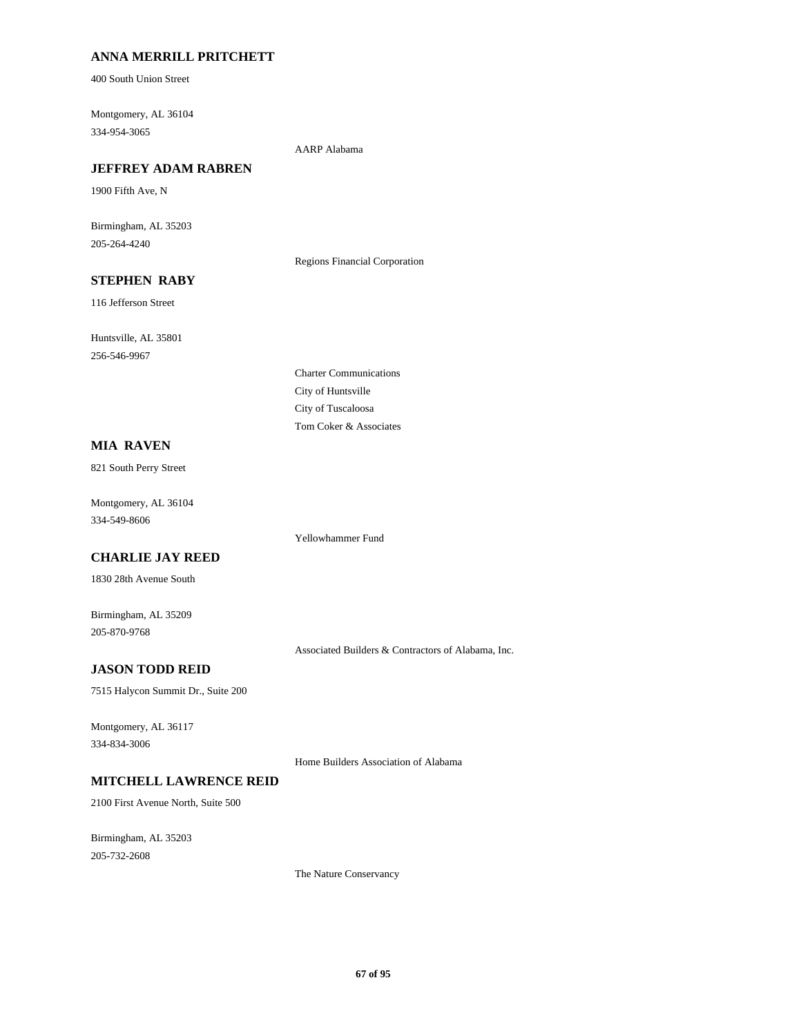## **ANNA MERRILL PRITCHETT**

400 South Union Street

Montgomery, AL 36104 334-954-3065

AARP Alabama

### **JEFFREY ADAM RABREN**

1900 Fifth Ave, N

Birmingham, AL 35203 205-264-4240

Regions Financial Corporation

# **STEPHEN RABY**

116 Jefferson Street

Huntsville, AL 35801 256-546-9967

> Charter Communications City of Huntsville City of Tuscaloosa Tom Coker & Associates

Yellowhammer Fund

## **MIA RAVEN**

821 South Perry Street

Montgomery, AL 36104 334-549-8606

### **CHARLIE JAY REED**

1830 28th Avenue South

Birmingham, AL 35209 205-870-9768

Associated Builders & Contractors of Alabama, Inc.

## **JASON TODD REID**

7515 Halycon Summit Dr., Suite 200

Montgomery, AL 36117 334-834-3006

Home Builders Association of Alabama

## **MITCHELL LAWRENCE REID**

2100 First Avenue North, Suite 500

Birmingham, AL 35203 205-732-2608

The Nature Conservancy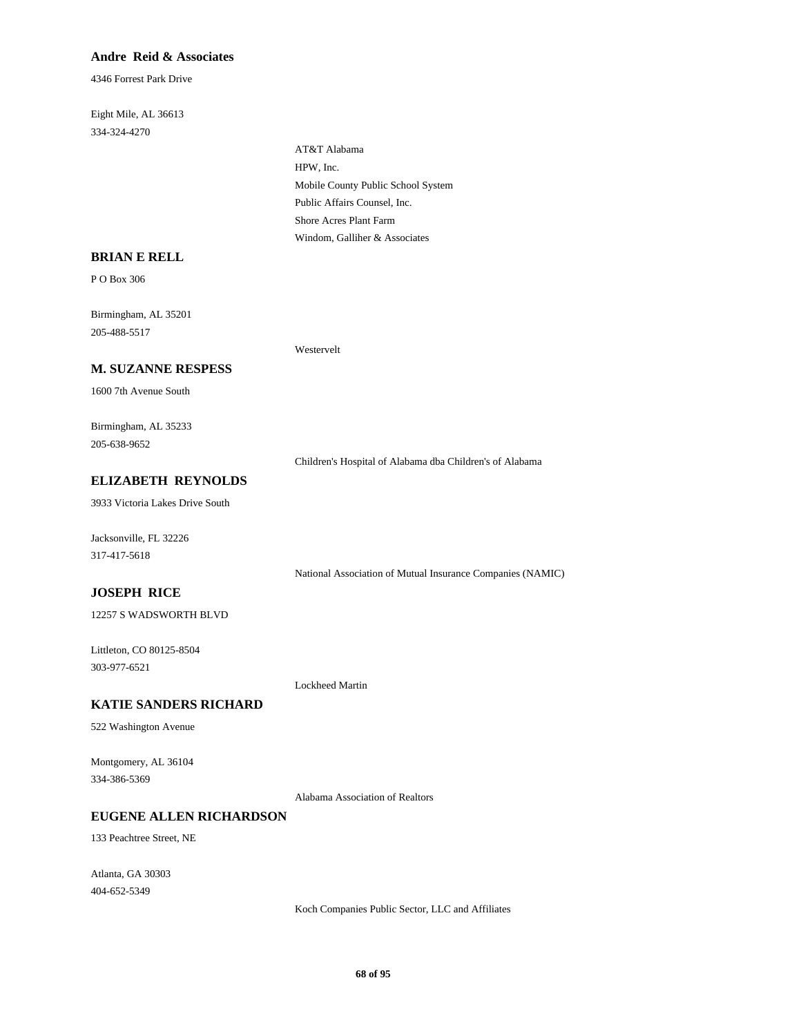## **Andre Reid & Associates**

4346 Forrest Park Drive

Eight Mile, AL 36613 334-324-4270

> AT&T Alabama HPW, Inc. Mobile County Public School System Public Affairs Counsel, Inc. Shore Acres Plant Farm Windom, Galliher & Associates

#### **BRIAN E RELL**

P O Box 306

Birmingham, AL 35201 205-488-5517

Westervelt

## **M. SUZANNE RESPESS**

1600 7th Avenue South

Birmingham, AL 35233 205-638-9652

Children's Hospital of Alabama dba Children's of Alabama

## **ELIZABETH REYNOLDS**

3933 Victoria Lakes Drive South

Jacksonville, FL 32226 317-417-5618

National Association of Mutual Insurance Companies (NAMIC)

## **JOSEPH RICE**

12257 S WADSWORTH BLVD

Littleton, CO 80125-8504 303-977-6521

Lockheed Martin

### **KATIE SANDERS RICHARD**

522 Washington Avenue

Montgomery, AL 36104 334-386-5369

Alabama Association of Realtors

## **EUGENE ALLEN RICHARDSON**

133 Peachtree Street, NE

Atlanta, GA 30303 404-652-5349

Koch Companies Public Sector, LLC and Affiliates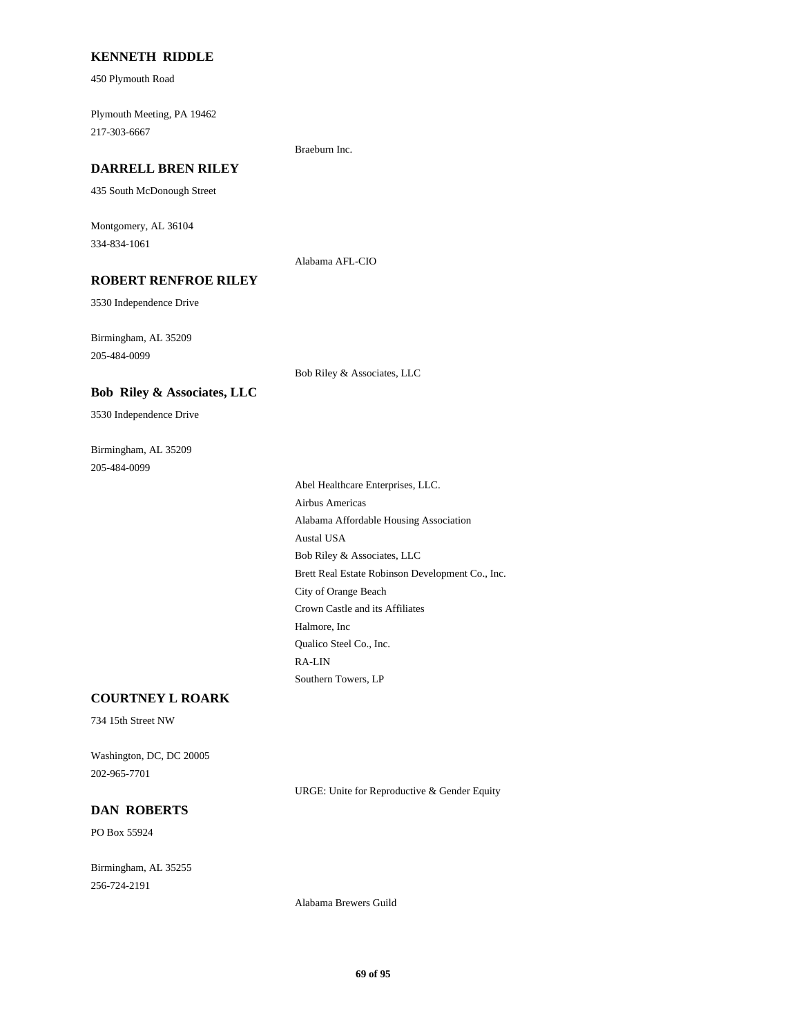### **KENNETH RIDDLE**

450 Plymouth Road

Plymouth Meeting, PA 19462 217-303-6667

#### **DARRELL BREN RILEY**

435 South McDonough Street

Montgomery, AL 36104 334-834-1061

Alabama AFL-CIO

Braeburn Inc.

## **ROBERT RENFROE RILEY**

3530 Independence Drive

Birmingham, AL 35209 205-484-0099

Bob Riley & Associates, LLC

#### **Bob Riley & Associates, LLC**

3530 Independence Drive

Birmingham, AL 35209 205-484-0099

> Abel Healthcare Enterprises, LLC. Airbus Americas Alabama Affordable Housing Association Austal USA Bob Riley & Associates, LLC Brett Real Estate Robinson Development Co., Inc. City of Orange Beach Crown Castle and its Affiliates Halmore, Inc Qualico Steel Co., Inc. RA-LIN Southern Towers, LP

## **COURTNEY L ROARK**

734 15th Street NW

Washington, DC, DC 20005 202-965-7701

URGE: Unite for Reproductive & Gender Equity

### **DAN ROBERTS**

PO Box 55924

Birmingham, AL 35255 256-724-2191

Alabama Brewers Guild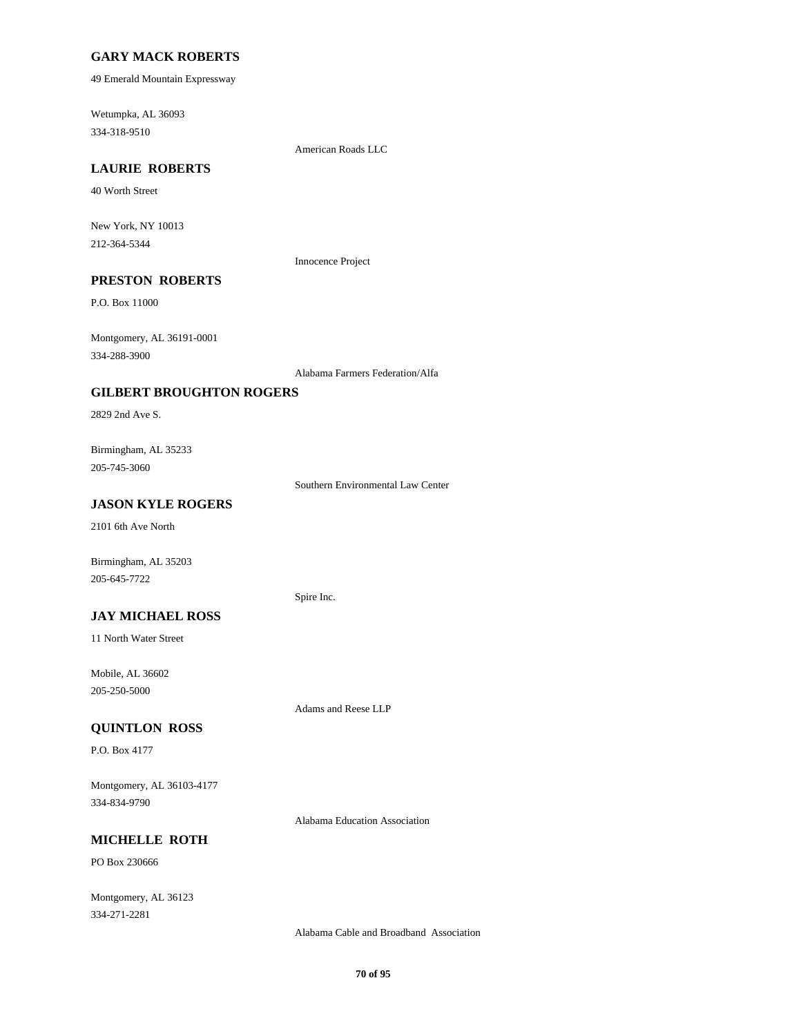### **GARY MACK ROBERTS**

49 Emerald Mountain Expressway

Wetumpka, AL 36093 334-318-9510

American Roads LLC

# **LAURIE ROBERTS**

40 Worth Street

New York, NY 10013 212-364-5344

Innocence Project

# **PRESTON ROBERTS**

P.O. Box 11000

Montgomery, AL 36191-0001 334-288-3900

Alabama Farmers Federation/Alfa

### **GILBERT BROUGHTON ROGERS**

2829 2nd Ave S.

Birmingham, AL 35233 205-745-3060

Southern Environmental Law Center

## **JASON KYLE ROGERS**

2101 6th Ave North

Birmingham, AL 35203 205-645-7722

#### Spire Inc.

**JAY MICHAEL ROSS**

11 North Water Street

Mobile, AL 36602 205-250-5000

Adams and Reese LLP

## **QUINTLON ROSS**

P.O. Box 4177

Montgomery, AL 36103-4177 334-834-9790

Alabama Education Association

## **MICHELLE ROTH**

PO Box 230666

Montgomery, AL 36123 334-271-2281

Alabama Cable and Broadband Association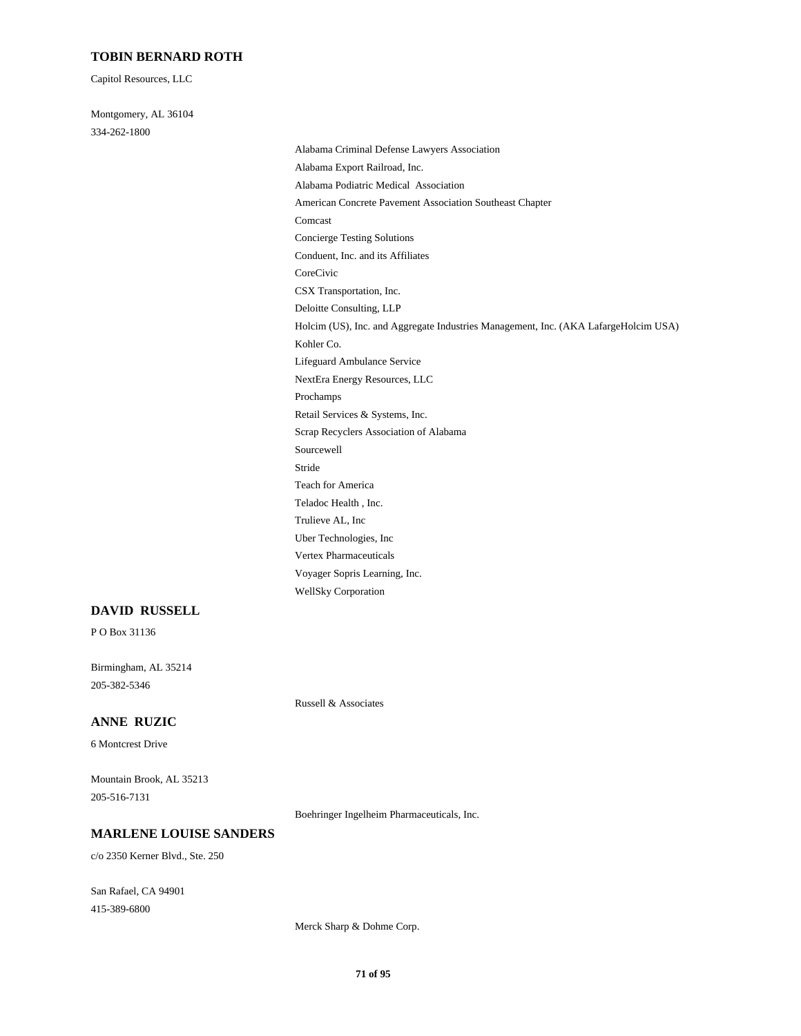## **TOBIN BERNARD ROTH**

Capitol Resources, LLC

Montgomery, AL 36104 334-262-1800

Alabama Criminal Defense Lawyers Association Alabama Export Railroad, Inc. Alabama Podiatric Medical Association American Concrete Pavement Association Southeast Chapter Comcast Concierge Testing Solutions Conduent, Inc. and its Affiliates CoreCivic CSX Transportation, Inc. Deloitte Consulting, LLP Holcim (US), Inc. and Aggregate Industries Management, Inc. (AKA LafargeHolcim USA) Kohler Co. Lifeguard Ambulance Service NextEra Energy Resources, LLC Prochamps Retail Services & Systems, Inc. Scrap Recyclers Association of Alabama Sourcewell Stride Teach for America Teladoc Health , Inc. Trulieve AL, Inc Uber Technologies, Inc Vertex Pharmaceuticals Voyager Sopris Learning, Inc. WellSky Corporation

#### **DAVID RUSSELL**

P O Box 31136

Birmingham, AL 35214 205-382-5346

Russell & Associates

## **ANNE RUZIC**

6 Montcrest Drive

Mountain Brook, AL 35213 205-516-7131

Boehringer Ingelheim Pharmaceuticals, Inc.

### **MARLENE LOUISE SANDERS**

c/o 2350 Kerner Blvd., Ste. 250

San Rafael, CA 94901 415-389-6800

Merck Sharp & Dohme Corp.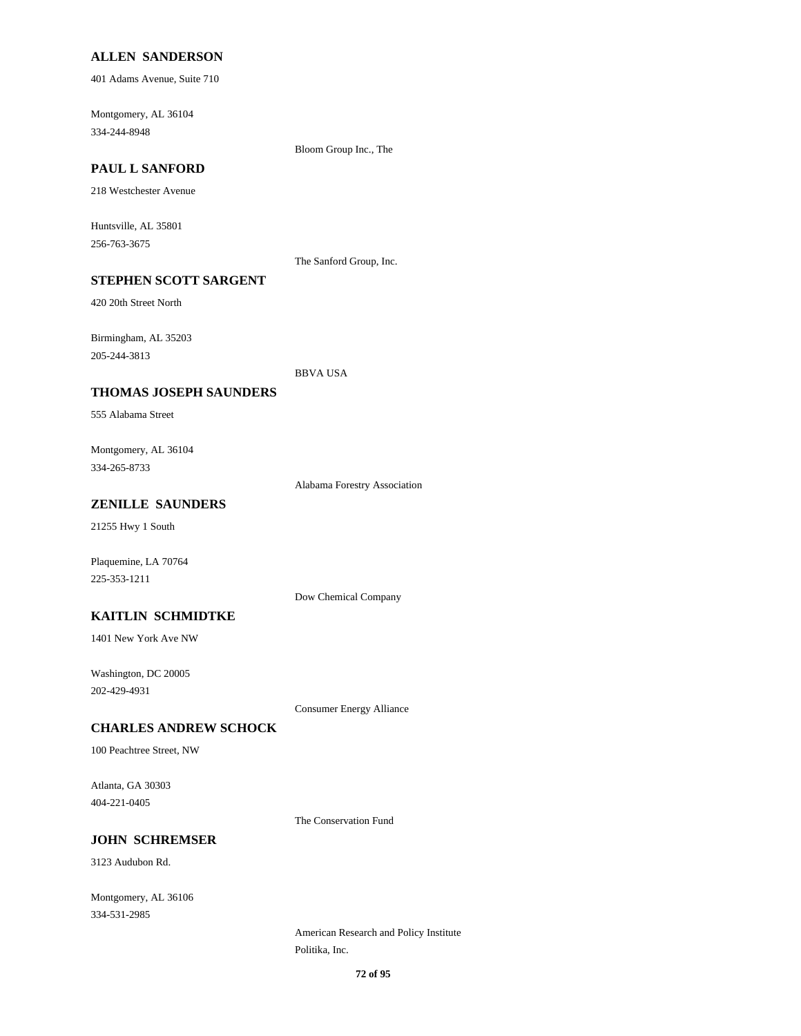### **ALLEN SANDERSON**

401 Adams Avenue, Suite 710

Montgomery, AL 36104 334-244-8948

Bloom Group Inc., The

# **PAUL L SANFORD**

218 Westchester Avenue

Huntsville, AL 35801 256-763-3675

The Sanford Group, Inc.

## **STEPHEN SCOTT SARGENT**

420 20th Street North

Birmingham, AL 35203 205-244-3813

#### BBVA USA

#### **THOMAS JOSEPH SAUNDERS**

555 Alabama Street

Montgomery, AL 36104 334-265-8733

Alabama Forestry Association

## **ZENILLE SAUNDERS**

21255 Hwy 1 South

Plaquemine, LA 70764 225-353-1211

Dow Chemical Company

## **KAITLIN SCHMIDTKE**

1401 New York Ave NW

Washington, DC 20005 202-429-4931

Consumer Energy Alliance

#### **CHARLES ANDREW SCHOCK**

100 Peachtree Street, NW

Atlanta, GA 30303 404-221-0405

The Conservation Fund

### **JOHN SCHREMSER**

3123 Audubon Rd.

Montgomery, AL 36106 334-531-2985

> American Research and Policy Institute Politika, Inc.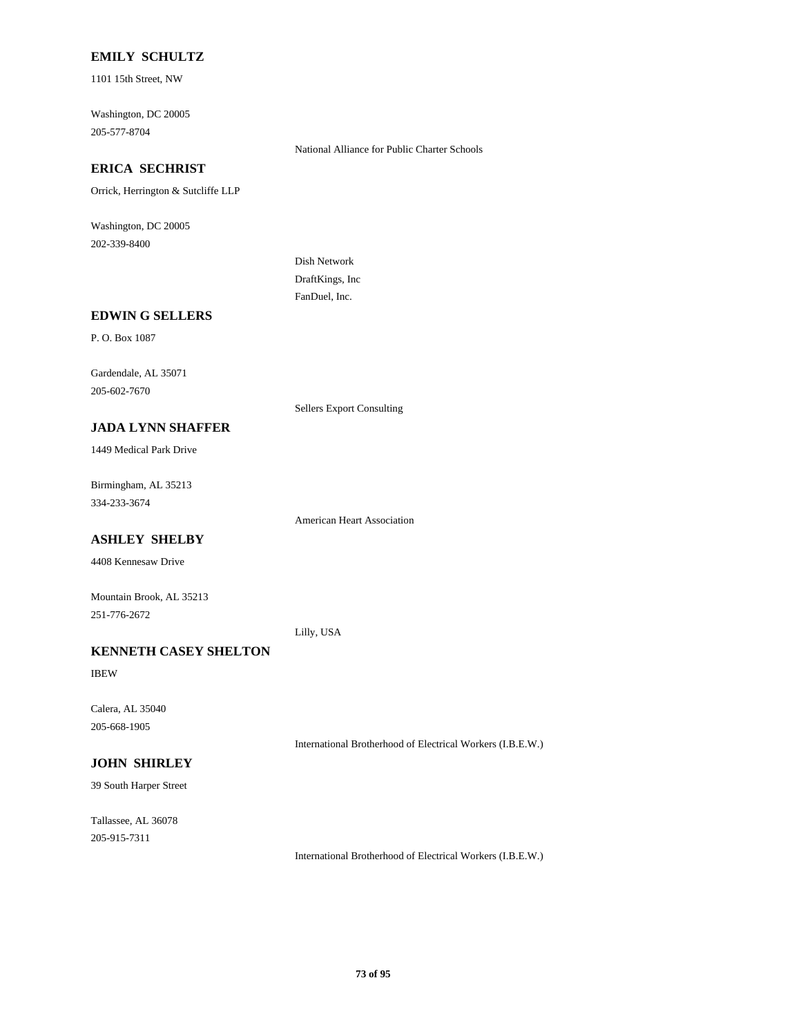## **EMILY SCHULTZ**

1101 15th Street, NW

Washington, DC 20005 205-577-8704

National Alliance for Public Charter Schools

# **ERICA SECHRIST**

Orrick, Herrington & Sutcliffe LLP

Washington, DC 20005 202-339-8400

> Dish Network DraftKings, Inc FanDuel, Inc.

#### **EDWIN G SELLERS**

P. O. Box 1087

Gardendale, AL 35071 205-602-7670

Sellers Export Consulting

#### **JADA LYNN SHAFFER**

1449 Medical Park Drive

Birmingham, AL 35213 334-233-3674

American Heart Association

# **ASHLEY SHELBY**

4408 Kennesaw Drive

Mountain Brook, AL 35213 251-776-2672

Lilly, USA

# **KENNETH CASEY SHELTON**

IBEW

Calera, AL 35040 205-668-1905

International Brotherhood of Electrical Workers (I.B.E.W.)

## **JOHN SHIRLEY**

39 South Harper Street

Tallassee, AL 36078 205-915-7311

International Brotherhood of Electrical Workers (I.B.E.W.)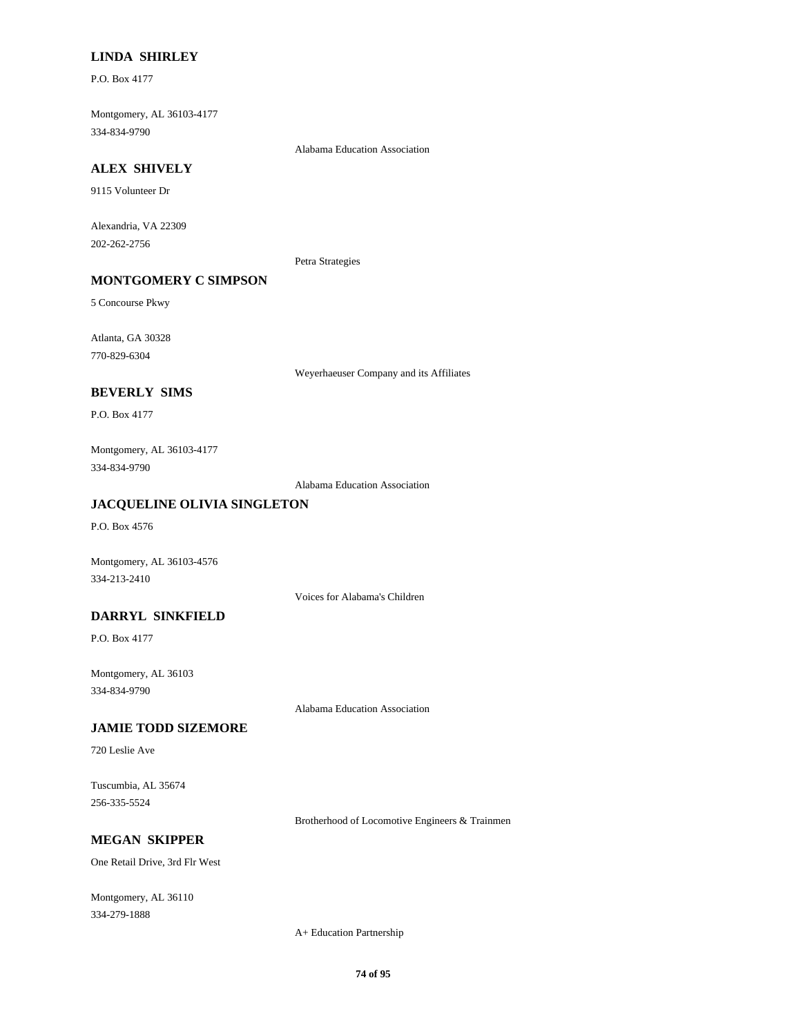### **LINDA SHIRLEY**

P.O. Box 4177

Montgomery, AL 36103-4177 334-834-9790

Alabama Education Association

## **ALEX SHIVELY**

9115 Volunteer Dr

Alexandria, VA 22309 202-262-2756

Petra Strategies

# **MONTGOMERY C SIMPSON**

5 Concourse Pkwy

Atlanta, GA 30328 770-829-6304

Weyerhaeuser Company and its Affiliates

#### **BEVERLY SIMS**

P.O. Box 4177

Montgomery, AL 36103-4177 334-834-9790

Alabama Education Association

## **JACQUELINE OLIVIA SINGLETON**

P.O. Box 4576

Montgomery, AL 36103-4576 334-213-2410

Voices for Alabama's Children

### **DARRYL SINKFIELD**

P.O. Box 4177

Montgomery, AL 36103 334-834-9790

Alabama Education Association

#### **JAMIE TODD SIZEMORE**

720 Leslie Ave

Tuscumbia, AL 35674 256-335-5524

Brotherhood of Locomotive Engineers & Trainmen

## **MEGAN SKIPPER**

One Retail Drive, 3rd Flr West

Montgomery, AL 36110 334-279-1888

A+ Education Partnership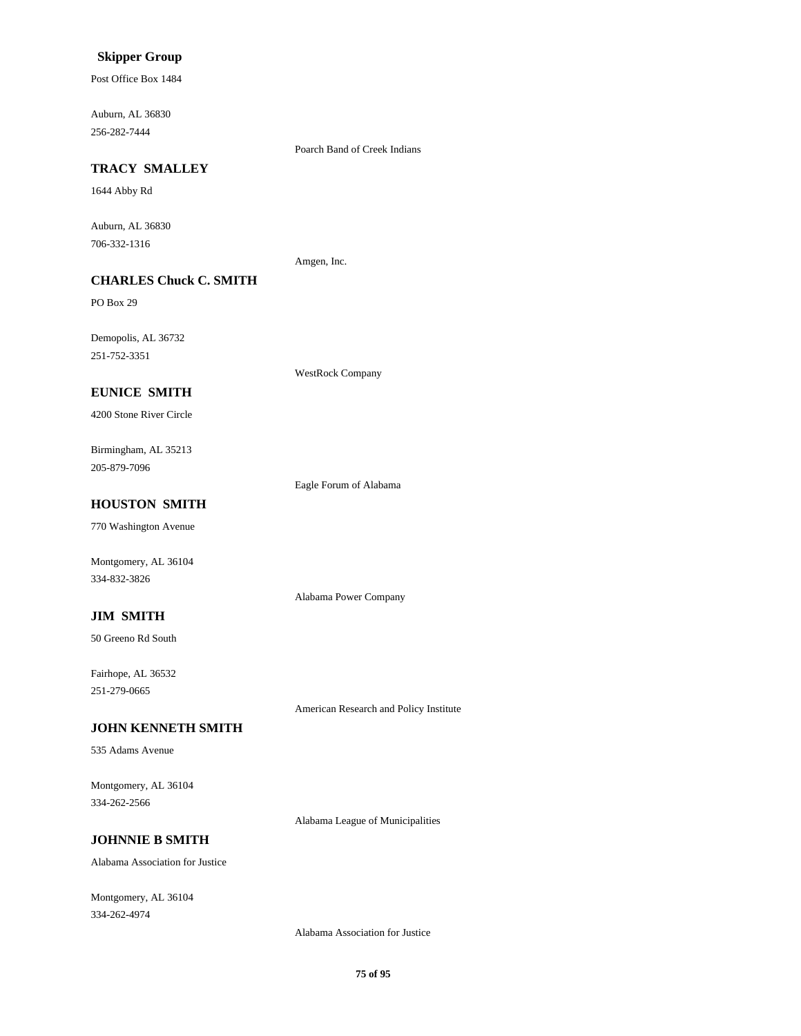## **Skipper Group**

Post Office Box 1484

Auburn, AL 36830 256-282-7444

Poarch Band of Creek Indians

# **TRACY SMALLEY**

1644 Abby Rd

Auburn, AL 36830 706-332-1316

Amgen, Inc.

# **CHARLES Chuck C. SMITH**

PO Box 29

Demopolis, AL 36732 251-752-3351

WestRock Company

## **EUNICE SMITH**

4200 Stone River Circle

Birmingham, AL 35213 205-879-7096

Eagle Forum of Alabama

Alabama Power Company

## **HOUSTON SMITH**

770 Washington Avenue

Montgomery, AL 36104 334-832-3826

#### **JIM SMITH**

50 Greeno Rd South

Fairhope, AL 36532 251-279-0665

American Research and Policy Institute

#### **JOHN KENNETH SMITH**

535 Adams Avenue

Montgomery, AL 36104 334-262-2566

Alabama League of Municipalities

#### **JOHNNIE B SMITH**

Alabama Association for Justice

Montgomery, AL 36104 334-262-4974

Alabama Association for Justice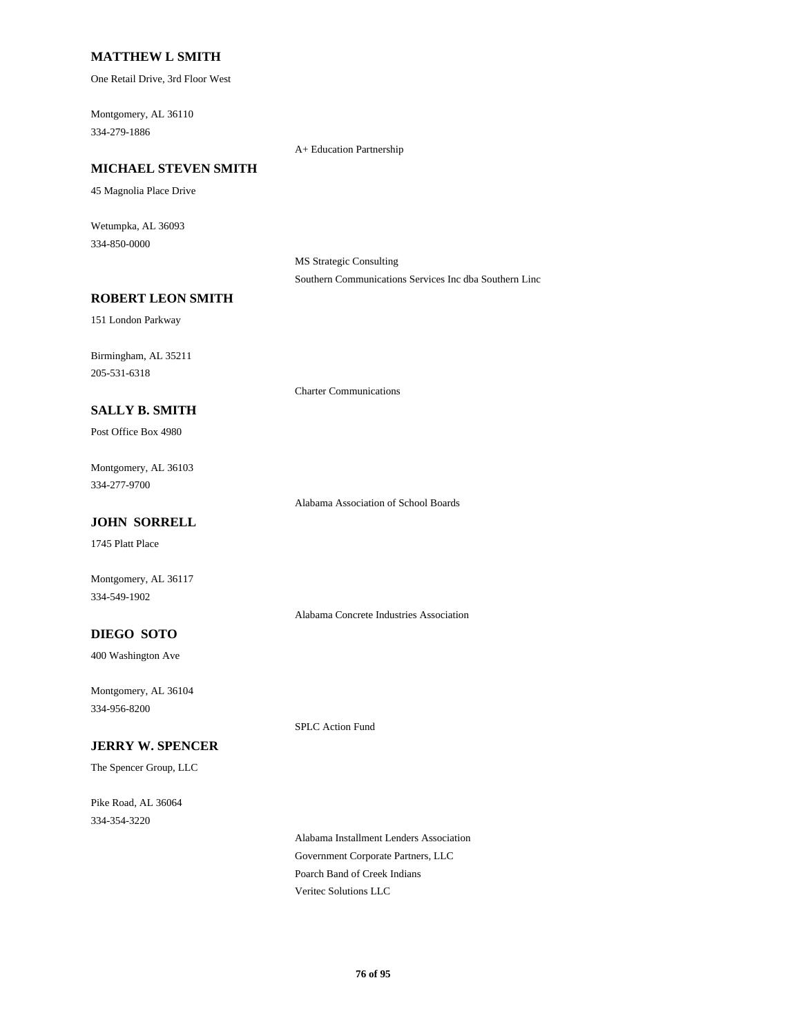### **MATTHEW L SMITH**

One Retail Drive, 3rd Floor West

Montgomery, AL 36110 334-279-1886

A+ Education Partnership

Charter Communications

## **MICHAEL STEVEN SMITH**

45 Magnolia Place Drive

Wetumpka, AL 36093 334-850-0000

> MS Strategic Consulting Southern Communications Services Inc dba Southern Linc

#### **ROBERT LEON SMITH**

151 London Parkway

Birmingham, AL 35211 205-531-6318

#### **SALLY B. SMITH**

Post Office Box 4980

Montgomery, AL 36103 334-277-9700

Alabama Association of School Boards

# **JOHN SORRELL**

1745 Platt Place

Montgomery, AL 36117 334-549-1902

Alabama Concrete Industries Association

SPLC Action Fund

# **DIEGO SOTO**

400 Washington Ave

Montgomery, AL 36104 334-956-8200

**JERRY W. SPENCER**

The Spencer Group, LLC

Pike Road, AL 36064 334-354-3220

> Alabama Installment Lenders Association Government Corporate Partners, LLC Poarch Band of Creek Indians Veritec Solutions LLC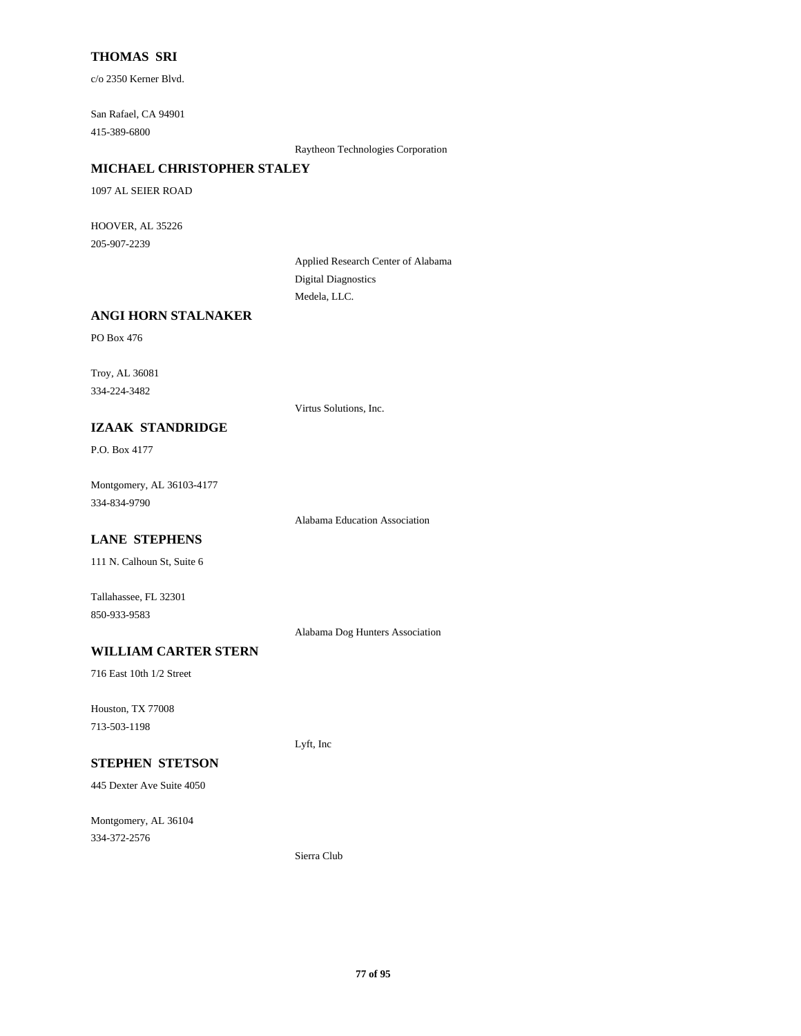## **THOMAS SRI**

c/o 2350 Kerner Blvd.

San Rafael, CA 94901 415-389-6800

Raytheon Technologies Corporation

## **MICHAEL CHRISTOPHER STALEY**

1097 AL SEIER ROAD

HOOVER, AL 35226 205-907-2239

> Applied Research Center of Alabama Digital Diagnostics Medela, LLC.

## **ANGI HORN STALNAKER**

PO Box 476

Troy, AL 36081 334-224-3482

Virtus Solutions, Inc.

## **IZAAK STANDRIDGE**

P.O. Box 4177

Montgomery, AL 36103-4177 334-834-9790

Alabama Education Association

# **LANE STEPHENS**

111 N. Calhoun St, Suite 6

Tallahassee, FL 32301 850-933-9583

Alabama Dog Hunters Association

# **WILLIAM CARTER STERN**

716 East 10th 1/2 Street

Houston, TX 77008 713-503-1198

Lyft, Inc

# **STEPHEN STETSON**

445 Dexter Ave Suite 4050

Montgomery, AL 36104 334-372-2576

Sierra Club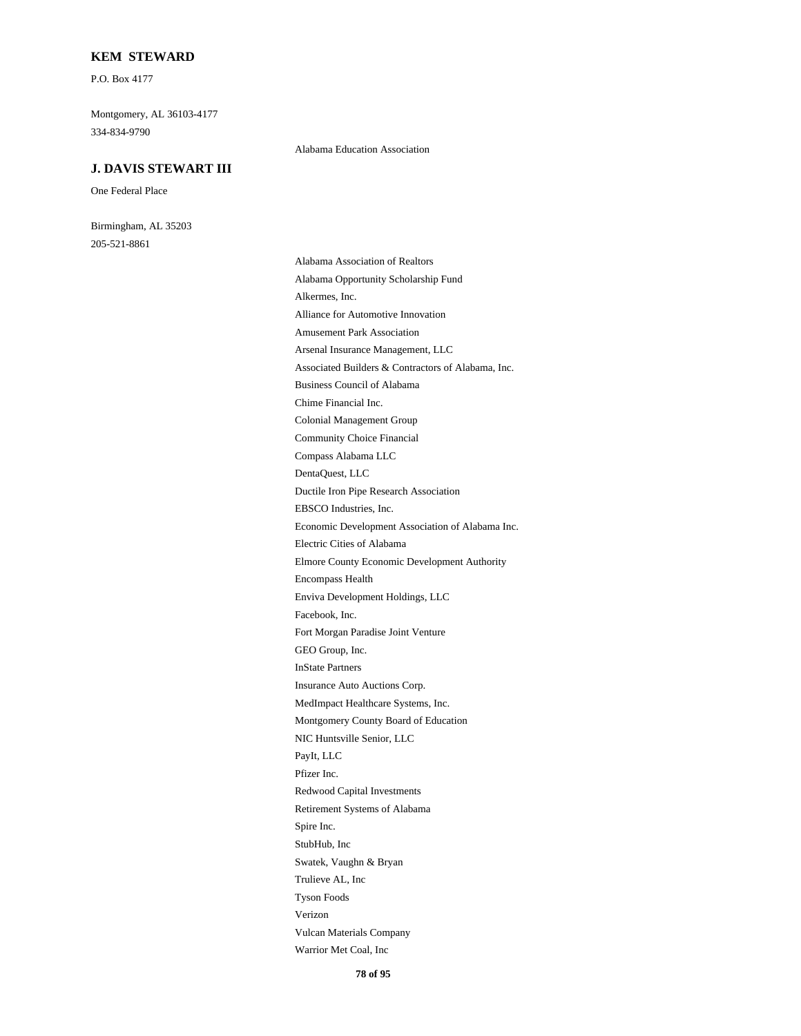#### **KEM STEWARD**

P.O. Box 4177

Montgomery, AL 36103-4177 334-834-9790

#### **J. DAVIS STEWART III**

One Federal Place

Birmingham, AL 35203 205-521-8861

Alabama Education Association

Alabama Association of Realtors Alabama Opportunity Scholarship Fund Alkermes, Inc. Alliance for Automotive Innovation Amusement Park Association Arsenal Insurance Management, LLC Associated Builders & Contractors of Alabama, Inc. Business Council of Alabama Chime Financial Inc. Colonial Management Group Community Choice Financial Compass Alabama LLC DentaQuest, LLC Ductile Iron Pipe Research Association EBSCO Industries, Inc. Economic Development Association of Alabama Inc. Electric Cities of Alabama Elmore County Economic Development Authority Encompass Health Enviva Development Holdings, LLC Facebook, Inc. Fort Morgan Paradise Joint Venture GEO Group, Inc. InState Partners Insurance Auto Auctions Corp. MedImpact Healthcare Systems, Inc. Montgomery County Board of Education NIC Huntsville Senior, LLC PayIt, LLC Pfizer Inc. Redwood Capital Investments Retirement Systems of Alabama Spire Inc. StubHub, Inc Swatek, Vaughn & Bryan Trulieve AL, Inc Tyson Foods Verizon Vulcan Materials Company Warrior Met Coal, Inc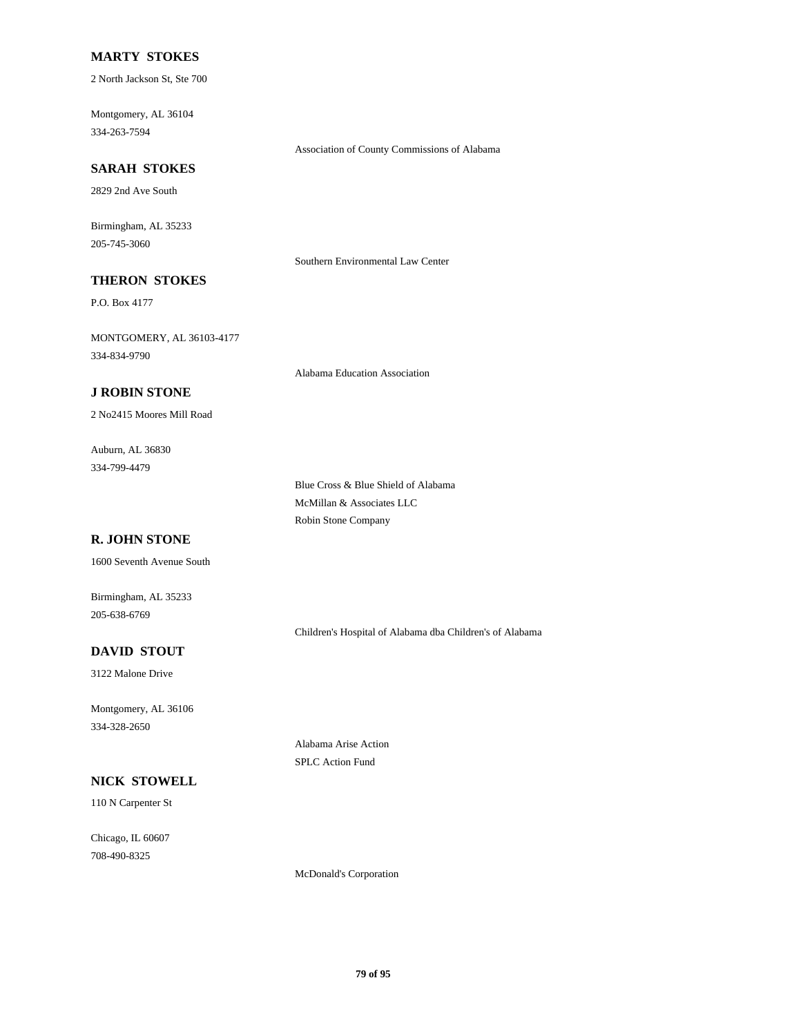#### **MARTY STOKES**

2 North Jackson St, Ste 700

Montgomery, AL 36104 334-263-7594

#### **SARAH STOKES**

2829 2nd Ave South

Birmingham, AL 35233 205-745-3060

Southern Environmental Law Center

Association of County Commissions of Alabama

# **THERON STOKES**

P.O. Box 4177

MONTGOMERY, AL 36103-4177 334-834-9790

Alabama Education Association

#### **J ROBIN STONE**

2 No2415 Moores Mill Road

Auburn, AL 36830 334-799-4479

> Blue Cross & Blue Shield of Alabama McMillan & Associates LLC Robin Stone Company

# **R. JOHN STONE**

1600 Seventh Avenue South

Birmingham, AL 35233 205-638-6769

Children's Hospital of Alabama dba Children's of Alabama

# **DAVID STOUT**

3122 Malone Drive

Montgomery, AL 36106 334-328-2650

#### **NICK STOWELL**

110 N Carpenter St

Chicago, IL 60607 708-490-8325

Alabama Arise Action SPLC Action Fund

McDonald's Corporation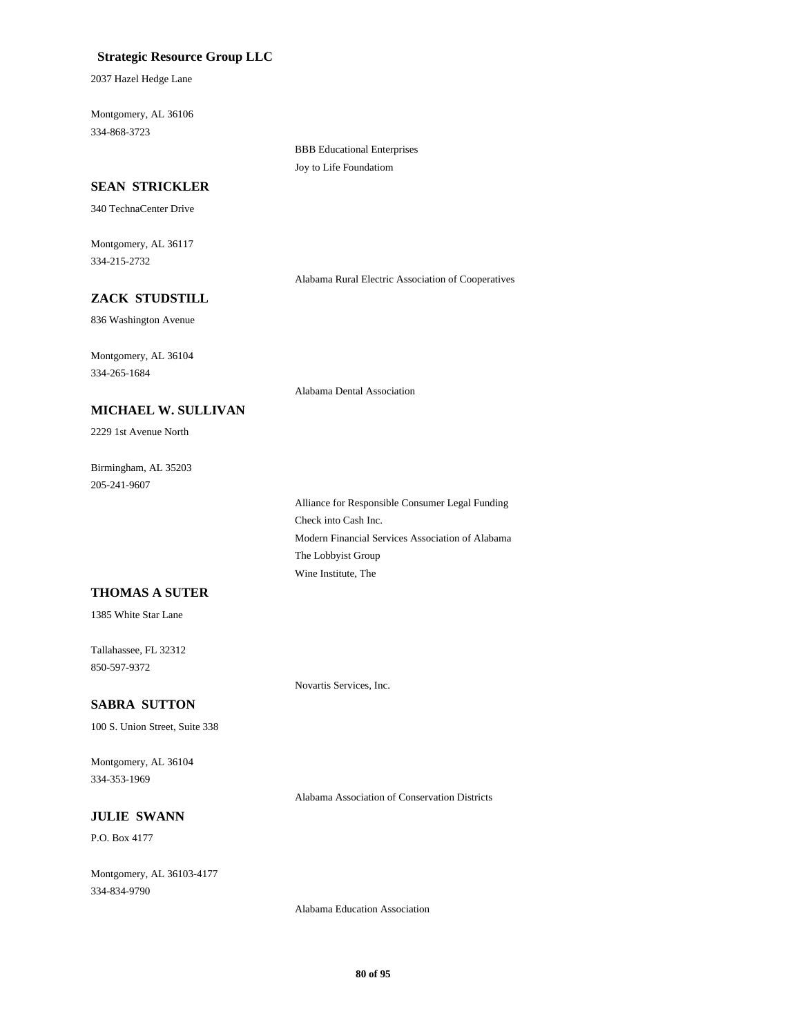## **Strategic Resource Group LLC**

2037 Hazel Hedge Lane

Montgomery, AL 36106 334-868-3723

#### **SEAN STRICKLER**

340 TechnaCenter Drive

Montgomery, AL 36117 334-215-2732

Alabama Rural Electric Association of Cooperatives

# **ZACK STUDSTILL**

836 Washington Avenue

Montgomery, AL 36104 334-265-1684

**MICHAEL W. SULLIVAN**

Alabama Dental Association

BBB Educational Enterprises Joy to Life Foundatiom

Birmingham, AL 35203 205-241-9607

2229 1st Avenue North

Alliance for Responsible Consumer Legal Funding Check into Cash Inc. Modern Financial Services Association of Alabama The Lobbyist Group Wine Institute, The

## **THOMAS A SUTER**

1385 White Star Lane

Tallahassee, FL 32312 850-597-9372

Novartis Services, Inc.

## **SABRA SUTTON**

100 S. Union Street, Suite 338

Montgomery, AL 36104 334-353-1969

Alabama Association of Conservation Districts

## **JULIE SWANN**

P.O. Box 4177

Montgomery, AL 36103-4177 334-834-9790

Alabama Education Association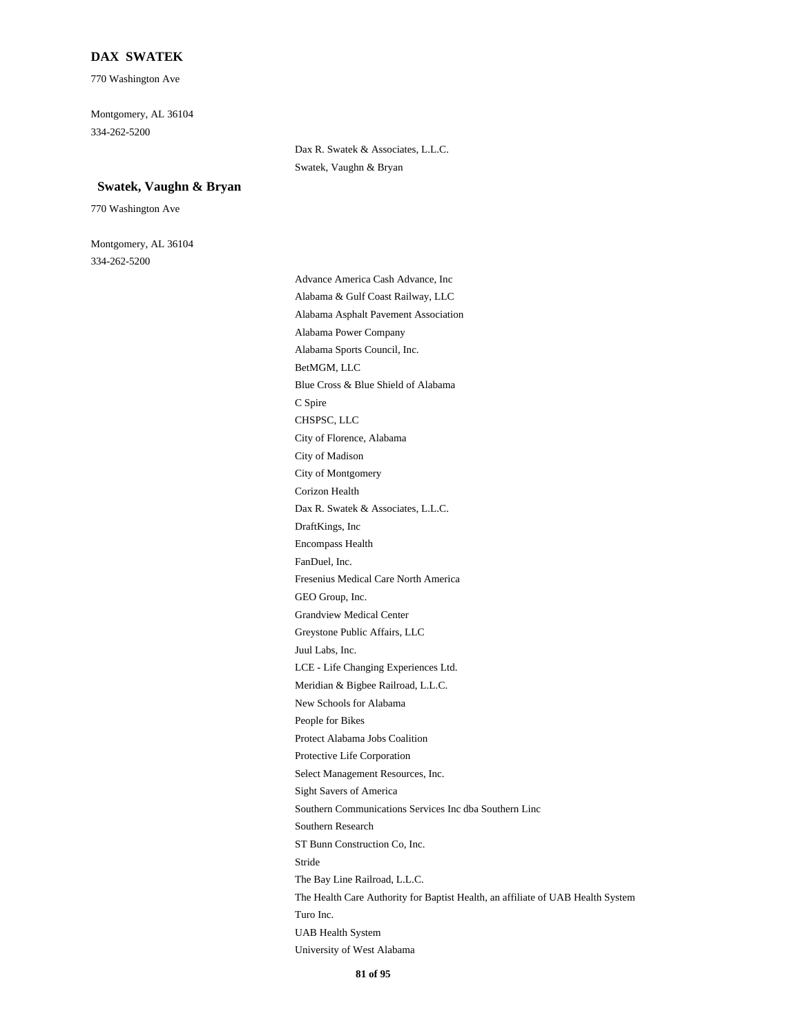## **DAX SWATEK**

770 Washington Ave

Montgomery, AL 36104 334-262-5200

#### **Swatek, Vaughn & Bryan**

770 Washington Ave

Montgomery, AL 36104 334-262-5200

Dax R. Swatek & Associates, L.L.C. Swatek, Vaughn & Bryan

Advance America Cash Advance, Inc Alabama & Gulf Coast Railway, LLC Alabama Asphalt Pavement Association Alabama Power Company Alabama Sports Council, Inc. BetMGM, LLC Blue Cross & Blue Shield of Alabama C Spire CHSPSC, LLC City of Florence, Alabama City of Madison City of Montgomery Corizon Health Dax R. Swatek & Associates, L.L.C. DraftKings, Inc Encompass Health FanDuel, Inc. Fresenius Medical Care North America GEO Group, Inc. Grandview Medical Center Greystone Public Affairs, LLC Juul Labs, Inc. LCE - Life Changing Experiences Ltd. Meridian & Bigbee Railroad, L.L.C. New Schools for Alabama People for Bikes Protect Alabama Jobs Coalition Protective Life Corporation Select Management Resources, Inc. Sight Savers of America Southern Communications Services Inc dba Southern Linc Southern Research ST Bunn Construction Co, Inc. Stride The Bay Line Railroad, L.L.C. The Health Care Authority for Baptist Health, an affiliate of UAB Health System Turo Inc. UAB Health System University of West Alabama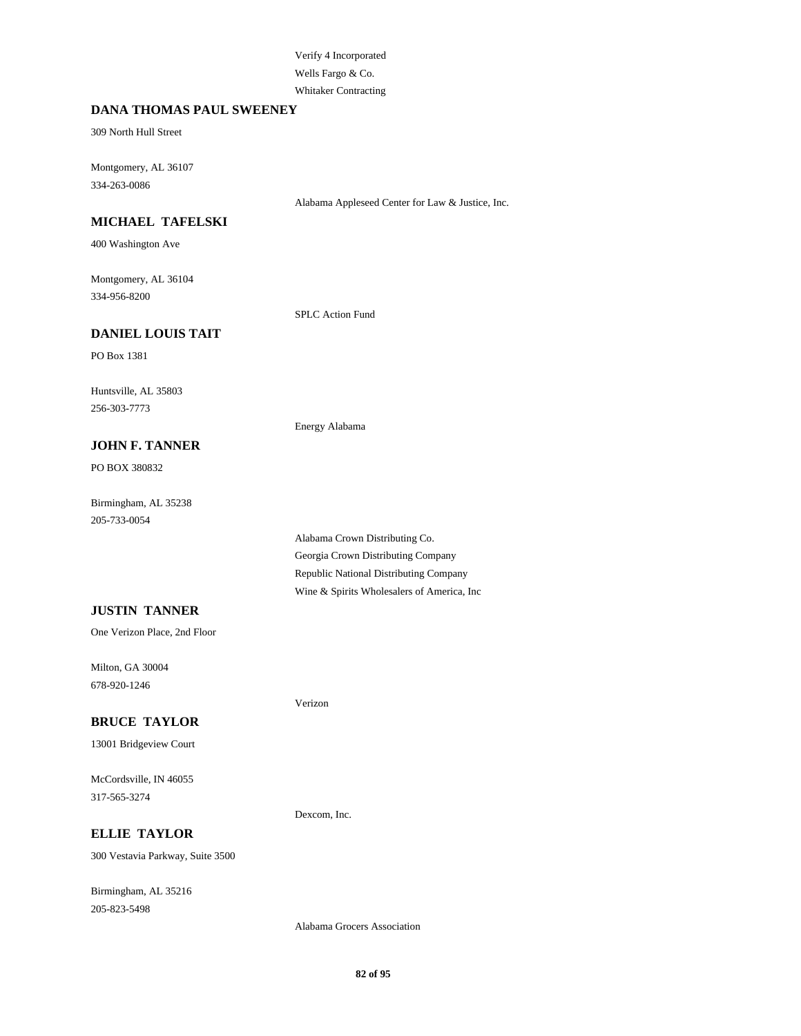## Verify 4 Incorporated Wells Fargo & Co. Whitaker Contracting

#### **DANA THOMAS PAUL SWEENEY**

309 North Hull Street

Montgomery, AL 36107 334-263-0086

Alabama Appleseed Center for Law & Justice, Inc.

## **MICHAEL TAFELSKI**

400 Washington Ave

Montgomery, AL 36104 334-956-8200

SPLC Action Fund

Energy Alabama

Verizon

Dexcom, Inc.

## **DANIEL LOUIS TAIT**

PO Box 1381

Huntsville, AL 35803 256-303-7773

## **JOHN F. TANNER**

PO BOX 380832

Birmingham, AL 35238 205-733-0054

**JUSTIN TANNER**

One Verizon Place, 2nd Floor

Milton, GA 30004 678-920-1246

#### **BRUCE TAYLOR**

13001 Bridgeview Court

McCordsville, IN 46055 317-565-3274

**ELLIE TAYLOR** 300 Vestavia Parkway, Suite 3500

Birmingham, AL 35216 205-823-5498

Alabama Crown Distributing Co. Georgia Crown Distributing Company Republic National Distributing Company Wine & Spirits Wholesalers of America, Inc

Alabama Grocers Association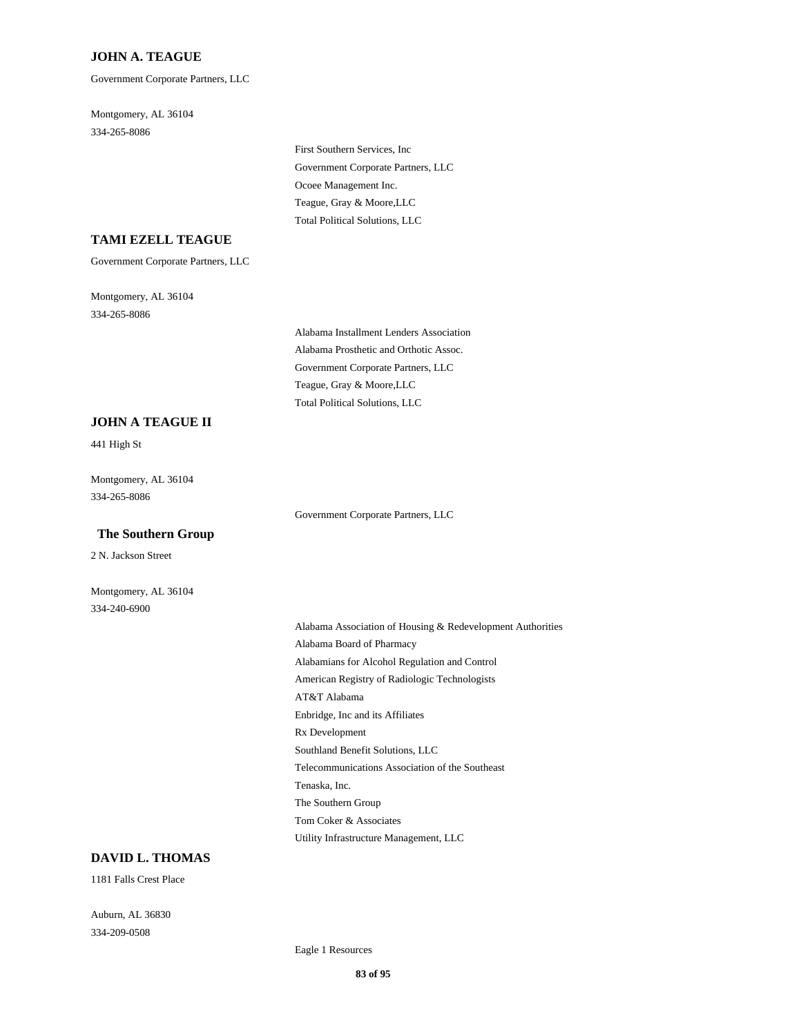#### **JOHN A. TEAGUE**

Government Corporate Partners, LLC

Montgomery, AL 36104 334-265-8086

> First Southern Services, Inc Government Corporate Partners, LLC Ocoee Management Inc. Teague, Gray & Moore,LLC Total Political Solutions, LLC

## **TAMI EZELL TEAGUE**

Government Corporate Partners, LLC

Montgomery, AL 36104 334-265-8086

> Alabama Installment Lenders Association Alabama Prosthetic and Orthotic Assoc. Government Corporate Partners, LLC Teague, Gray & Moore,LLC Total Political Solutions, LLC

Government Corporate Partners, LLC

#### **JOHN A TEAGUE II**

441 High St

Montgomery, AL 36104 334-265-8086

#### **The Southern Group**

2 N. Jackson Street

Montgomery, AL 36104 334-240-6900

> Alabama Association of Housing & Redevelopment Authorities Alabama Board of Pharmacy Alabamians for Alcohol Regulation and Control American Registry of Radiologic Technologists AT&T Alabama Enbridge, Inc and its Affiliates Rx Development Southland Benefit Solutions, LLC Telecommunications Association of the Southeast Tenaska, Inc. The Southern Group Tom Coker & Associates Utility Infrastructure Management, LLC

# **DAVID L. THOMAS**

1181 Falls Crest Place

Auburn, AL 36830 334-209-0508

Eagle 1 Resources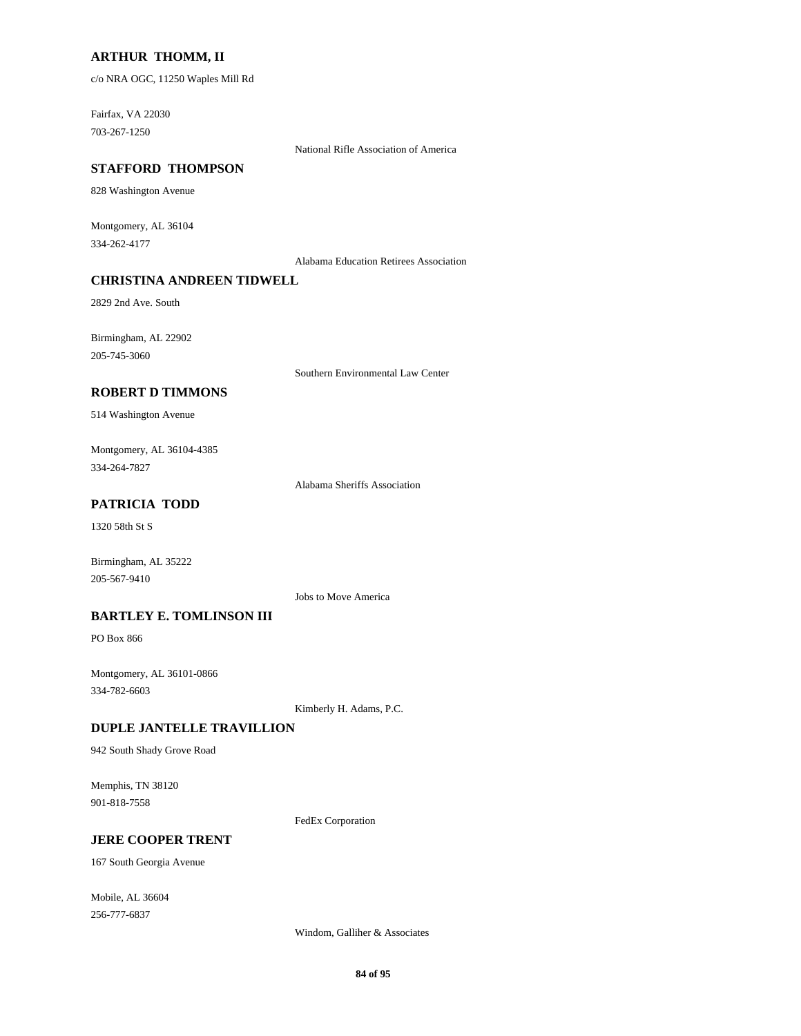## **ARTHUR THOMM, II**

c/o NRA OGC, 11250 Waples Mill Rd

Fairfax, VA 22030 703-267-1250

National Rifle Association of America

#### **STAFFORD THOMPSON**

828 Washington Avenue

Montgomery, AL 36104 334-262-4177

Alabama Education Retirees Association

## **CHRISTINA ANDREEN TIDWELL**

2829 2nd Ave. South

Birmingham, AL 22902 205-745-3060

Southern Environmental Law Center

#### **ROBERT D TIMMONS**

514 Washington Avenue

Montgomery, AL 36104-4385 334-264-7827

Alabama Sheriffs Association

## **PATRICIA TODD**

1320 58th St S

Birmingham, AL 35222 205-567-9410

Jobs to Move America

### **BARTLEY E. TOMLINSON III**

PO Box 866

Montgomery, AL 36101-0866 334-782-6603

Kimberly H. Adams, P.C.

#### **DUPLE JANTELLE TRAVILLION**

942 South Shady Grove Road

Memphis, TN 38120 901-818-7558

FedEx Corporation

#### **JERE COOPER TRENT**

167 South Georgia Avenue

Mobile, AL 36604 256-777-6837

Windom, Galliher & Associates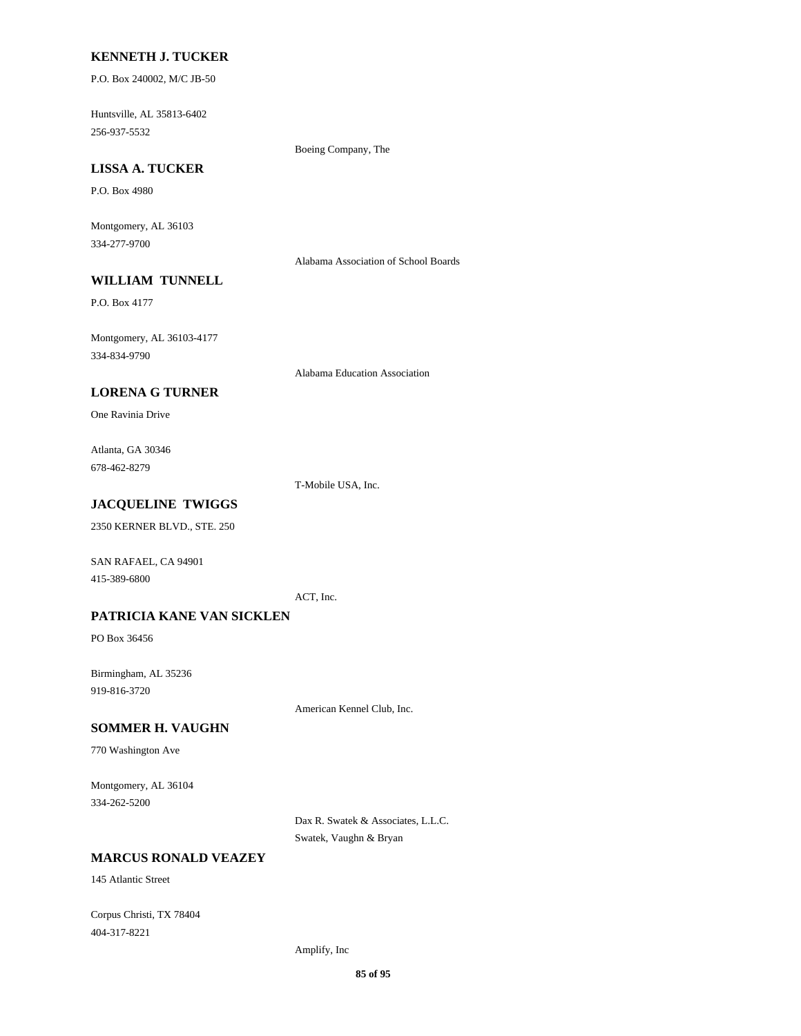#### **KENNETH J. TUCKER**

P.O. Box 240002, M/C JB-50

Huntsville, AL 35813-6402 256-937-5532

Boeing Company, The

# **LISSA A. TUCKER**

P.O. Box 4980

Montgomery, AL 36103 334-277-9700

Alabama Association of School Boards

# **WILLIAM TUNNELL**

P.O. Box 4177

Montgomery, AL 36103-4177 334-834-9790

Alabama Education Association

## **LORENA G TURNER**

One Ravinia Drive

Atlanta, GA 30346 678-462-8279

T-Mobile USA, Inc.

# **JACQUELINE TWIGGS**

2350 KERNER BLVD., STE. 250

SAN RAFAEL, CA 94901 415-389-6800

ACT, Inc.

#### **PATRICIA KANE VAN SICKLEN**

PO Box 36456

Birmingham, AL 35236 919-816-3720

American Kennel Club, Inc.

#### **SOMMER H. VAUGHN**

770 Washington Ave

Montgomery, AL 36104 334-262-5200

> Dax R. Swatek & Associates, L.L.C. Swatek, Vaughn & Bryan

#### **MARCUS RONALD VEAZEY**

145 Atlantic Street

Corpus Christi, TX 78404 404-317-8221

Amplify, Inc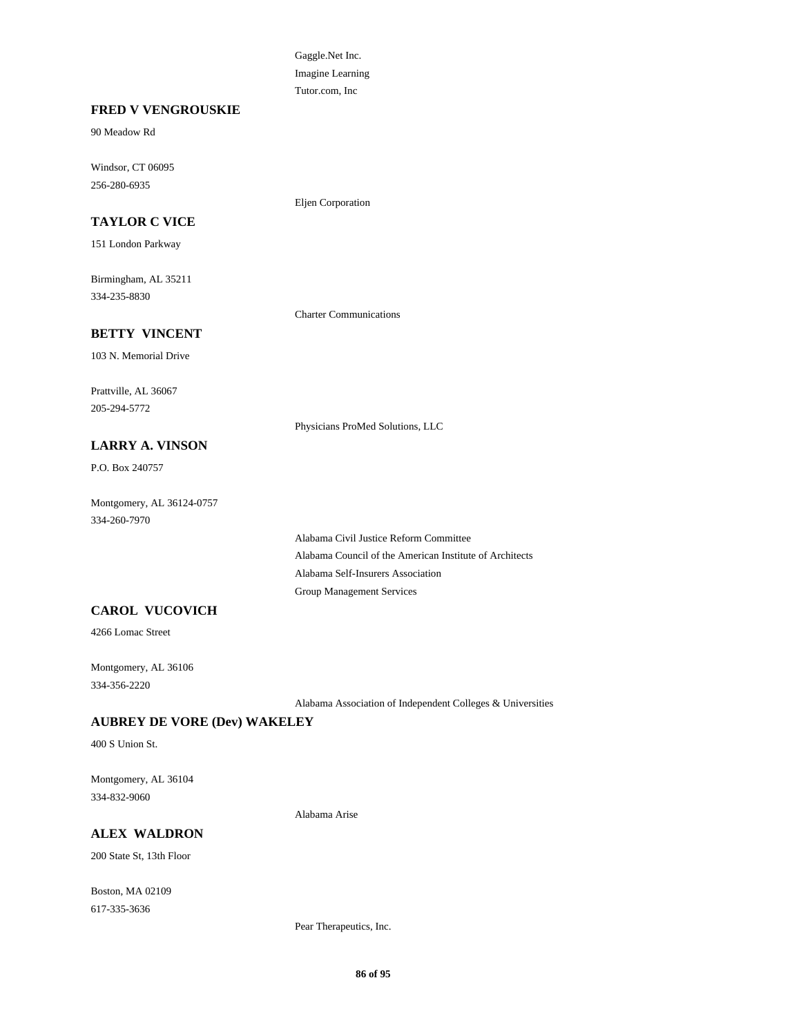Gaggle.Net Inc. Imagine Learning Tutor.com, Inc

Eljen Corporation

#### **FRED V VENGROUSKIE**

90 Meadow Rd

Windsor, CT 06095 256-280-6935

#### **TAYLOR C VICE**

151 London Parkway

Birmingham, AL 35211 334-235-8830

Charter Communications

Physicians ProMed Solutions, LLC

# **BETTY VINCENT**

103 N. Memorial Drive

Prattville, AL 36067 205-294-5772

#### **LARRY A. VINSON**

P.O. Box 240757

Montgomery, AL 36124-0757 334-260-7970

> Alabama Civil Justice Reform Committee Alabama Council of the American Institute of Architects Alabama Self-Insurers Association Group Management Services

#### **CAROL VUCOVICH**

4266 Lomac Street

Montgomery, AL 36106 334-356-2220

Alabama Association of Independent Colleges & Universities

#### **AUBREY DE VORE (Dev) WAKELEY**

400 S Union St.

Montgomery, AL 36104 334-832-9060

Alabama Arise

## **ALEX WALDRON**

200 State St, 13th Floor

Boston, MA 02109 617-335-3636

Pear Therapeutics, Inc.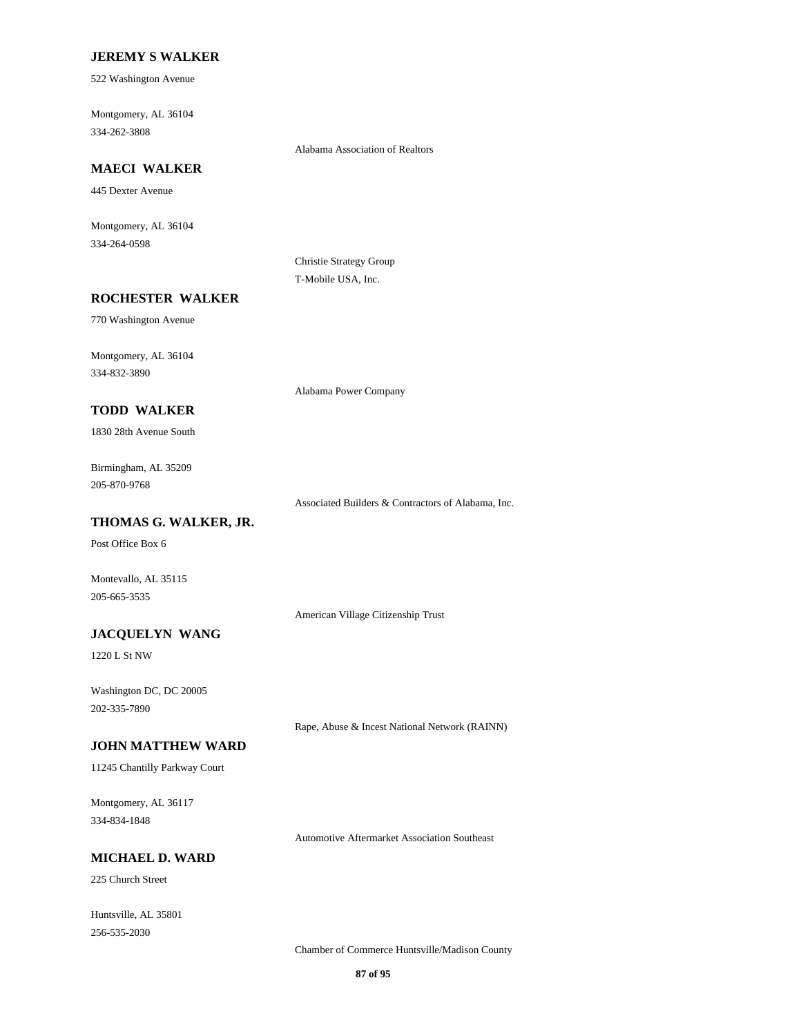#### **JEREMY S WALKER**

522 Washington Avenue

Montgomery, AL 36104 334-262-3808

Alabama Association of Realtors

# **MAECI WALKER**

445 Dexter Avenue

Montgomery, AL 36104 334-264-0598

> Christie Strategy Group T-Mobile USA, Inc.

#### **ROCHESTER WALKER**

770 Washington Avenue

Montgomery, AL 36104 334-832-3890

Alabama Power Company

## **TODD WALKER**

1830 28th Avenue South

Birmingham, AL 35209 205-870-9768

Associated Builders & Contractors of Alabama, Inc.

#### **THOMAS G. WALKER, JR.**

Post Office Box 6

Montevallo, AL 35115 205-665-3535

American Village Citizenship Trust

## **JACQUELYN WANG**

1220 L St NW

Washington DC, DC 20005 202-335-7890

Rape, Abuse & Incest National Network (RAINN)

#### **JOHN MATTHEW WARD**

11245 Chantilly Parkway Court

Montgomery, AL 36117 334-834-1848

Automotive Aftermarket Association Southeast

# **MICHAEL D. WARD**

225 Church Street

Huntsville, AL 35801 256-535-2030

Chamber of Commerce Huntsville/Madison County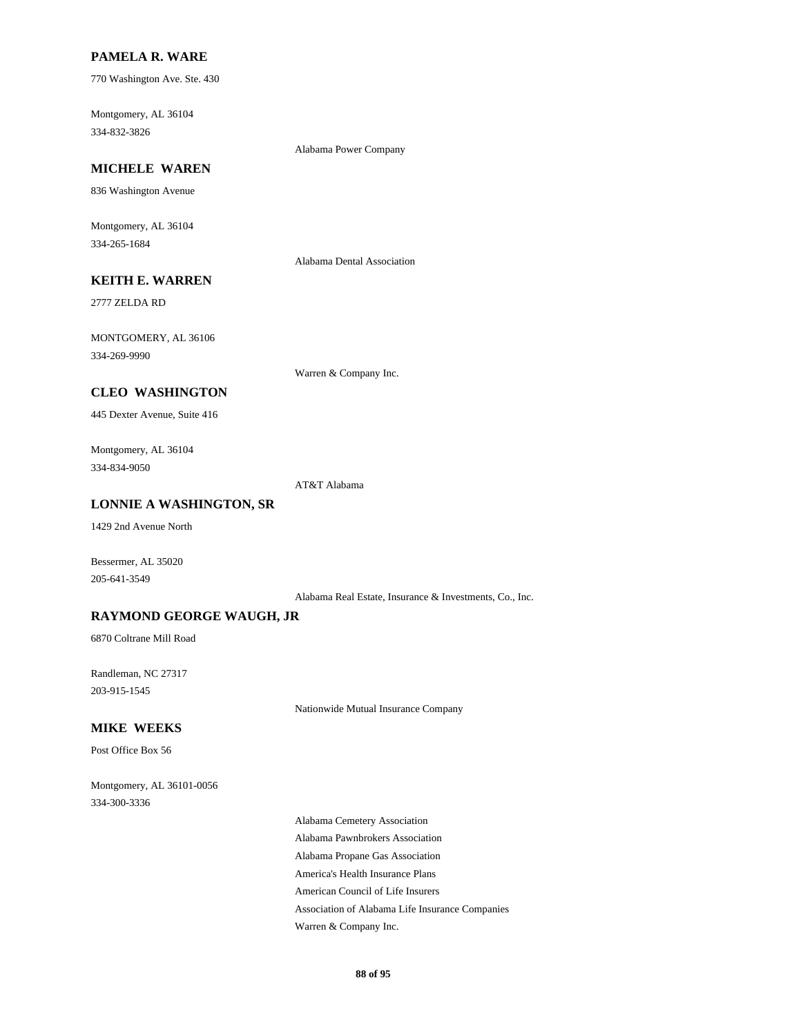## **PAMELA R. WARE**

770 Washington Ave. Ste. 430

Montgomery, AL 36104 334-832-3826

Alabama Power Company

# **MICHELE WAREN**

836 Washington Avenue

Montgomery, AL 36104 334-265-1684

Alabama Dental Association

# **KEITH E. WARREN**

2777 ZELDA RD

MONTGOMERY, AL 36106 334-269-9990

Warren & Company Inc.

## **CLEO WASHINGTON**

445 Dexter Avenue, Suite 416

Montgomery, AL 36104 334-834-9050

AT&T Alabama

#### **LONNIE A WASHINGTON, SR**

1429 2nd Avenue North

Bessermer, AL 35020 205-641-3549

Alabama Real Estate, Insurance & Investments, Co., Inc.

#### **RAYMOND GEORGE WAUGH, JR**

6870 Coltrane Mill Road

Randleman, NC 27317 203-915-1545

Nationwide Mutual Insurance Company

#### **MIKE WEEKS**

Post Office Box 56

Montgomery, AL 36101-0056 334-300-3336

> Alabama Cemetery Association Alabama Pawnbrokers Association Alabama Propane Gas Association America's Health Insurance Plans American Council of Life Insurers Association of Alabama Life Insurance Companies Warren & Company Inc.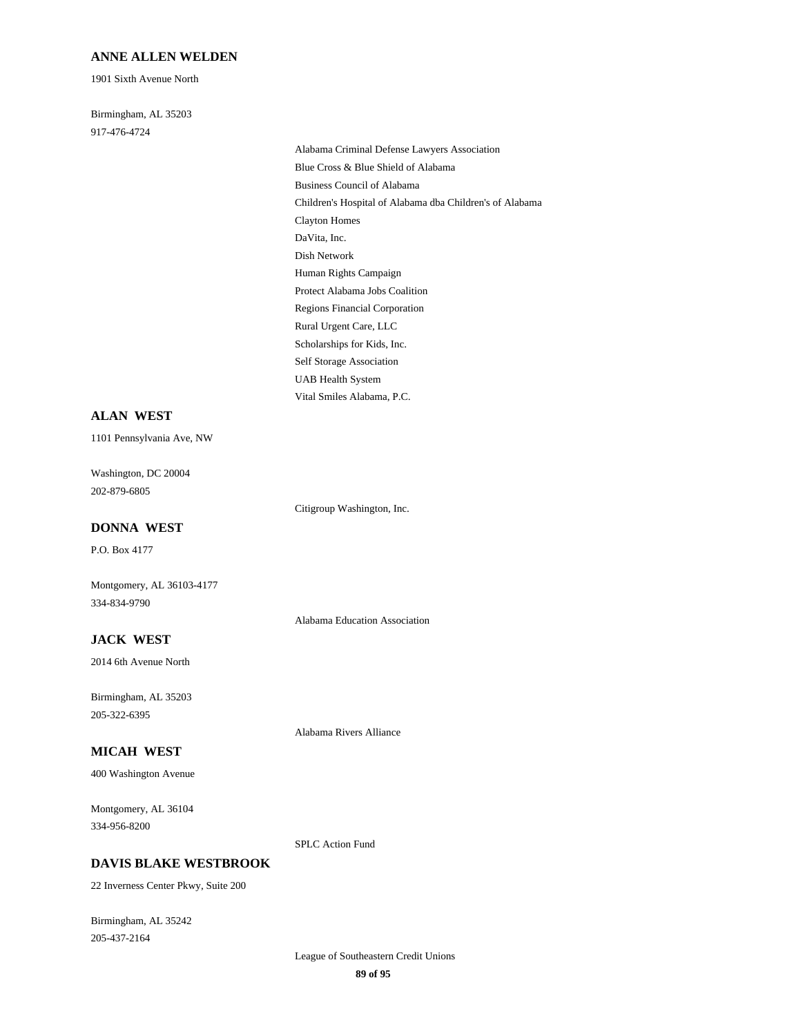#### **ANNE ALLEN WELDEN**

1901 Sixth Avenue North

Birmingham, AL 35203 917-476-4724

Alabama Criminal Defense Lawyers Association Blue Cross & Blue Shield of Alabama Business Council of Alabama Children's Hospital of Alabama dba Children's of Alabama Clayton Homes DaVita, Inc. Dish Network Human Rights Campaign Protect Alabama Jobs Coalition Regions Financial Corporation Rural Urgent Care, LLC Scholarships for Kids, Inc. Self Storage Association UAB Health System Vital Smiles Alabama, P.C.

#### **ALAN WEST**

1101 Pennsylvania Ave, NW

Washington, DC 20004 202-879-6805

Citigroup Washington, Inc.

#### **DONNA WEST**

P.O. Box 4177

Montgomery, AL 36103-4177 334-834-9790

Alabama Education Association

## **JACK WEST**

2014 6th Avenue North

Birmingham, AL 35203 205-322-6395

Alabama Rivers Alliance

# **MICAH WEST**

400 Washington Avenue

Montgomery, AL 36104 334-956-8200

SPLC Action Fund

## **DAVIS BLAKE WESTBROOK**

22 Inverness Center Pkwy, Suite 200

Birmingham, AL 35242 205-437-2164

> League of Southeastern Credit Unions **89 of 95**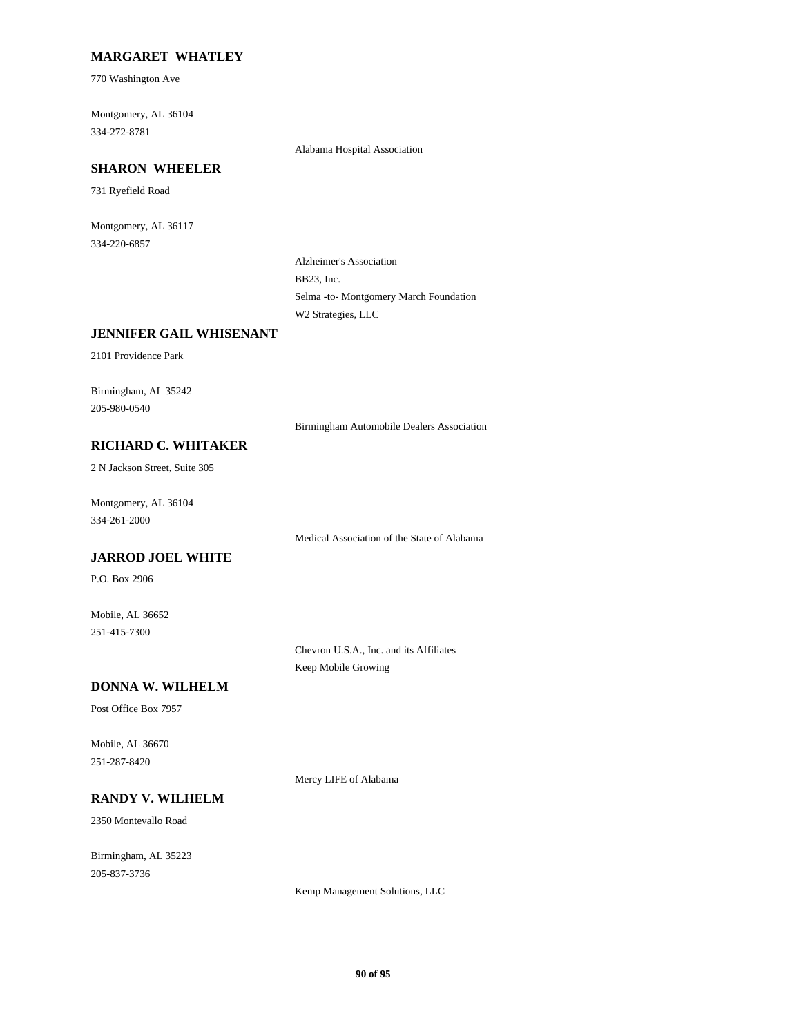#### **MARGARET WHATLEY**

770 Washington Ave

Montgomery, AL 36104 334-272-8781

Alabama Hospital Association

### **SHARON WHEELER**

731 Ryefield Road

Montgomery, AL 36117 334-220-6857

> Alzheimer's Association BB23, Inc. Selma -to- Montgomery March Foundation W2 Strategies, LLC

## **JENNIFER GAIL WHISENANT**

2101 Providence Park

Birmingham, AL 35242 205-980-0540

Birmingham Automobile Dealers Association

#### **RICHARD C. WHITAKER**

2 N Jackson Street, Suite 305

Montgomery, AL 36104 334-261-2000

Medical Association of the State of Alabama

#### **JARROD JOEL WHITE**

P.O. Box 2906

Mobile, AL 36652 251-415-7300

> Chevron U.S.A., Inc. and its Affiliates Keep Mobile Growing

#### **DONNA W. WILHELM**

Post Office Box 7957

Mobile, AL 36670 251-287-8420

Mercy LIFE of Alabama

# **RANDY V. WILHELM**

2350 Montevallo Road

Birmingham, AL 35223 205-837-3736

Kemp Management Solutions, LLC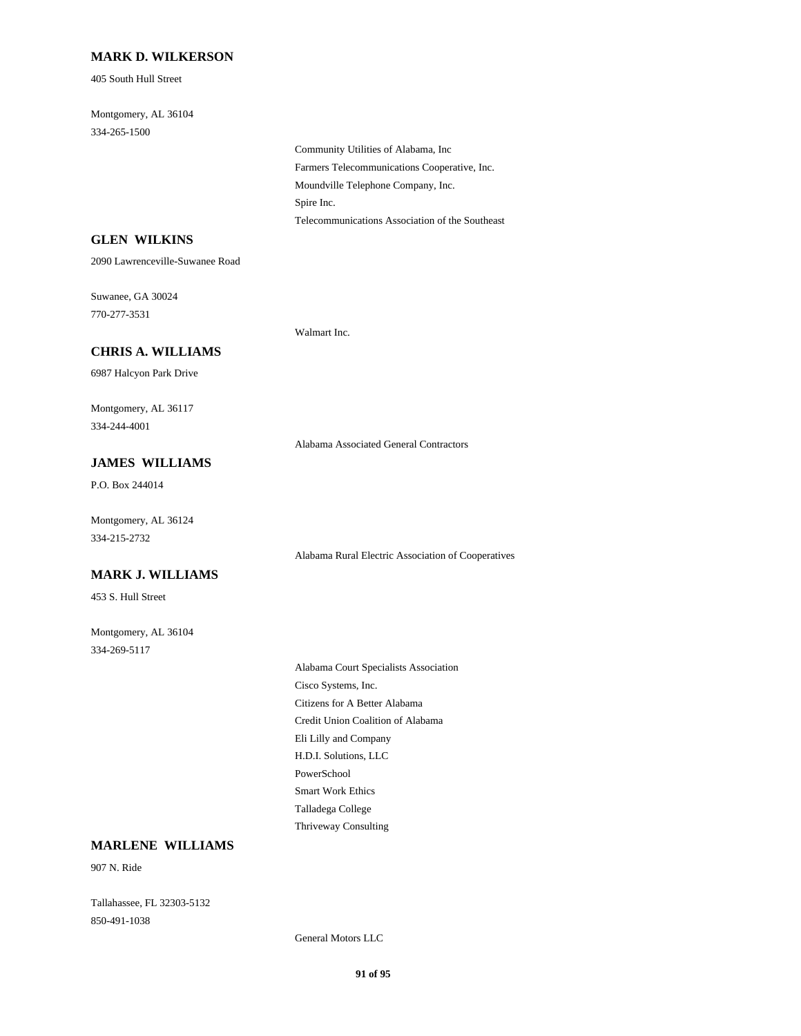#### **MARK D. WILKERSON**

405 South Hull Street

Montgomery, AL 36104 334-265-1500

> Community Utilities of Alabama, Inc Farmers Telecommunications Cooperative, Inc. Moundville Telephone Company, Inc. Spire Inc. Telecommunications Association of the Southeast

#### **GLEN WILKINS**

2090 Lawrenceville-Suwanee Road

Suwanee, GA 30024 770-277-3531

Walmart Inc.

# **CHRIS A. WILLIAMS**

6987 Halcyon Park Drive

Montgomery, AL 36117 334-244-4001

Alabama Associated General Contractors

## **JAMES WILLIAMS**

P.O. Box 244014

Montgomery, AL 36124 334-215-2732

Alabama Rural Electric Association of Cooperatives

## **MARK J. WILLIAMS**

453 S. Hull Street

Montgomery, AL 36104 334-269-5117

> Alabama Court Specialists Association Cisco Systems, Inc. Citizens for A Better Alabama Credit Union Coalition of Alabama Eli Lilly and Company H.D.I. Solutions, LLC PowerSchool Smart Work Ethics Talladega College Thriveway Consulting

#### **MARLENE WILLIAMS**

907 N. Ride

Tallahassee, FL 32303-5132 850-491-1038

General Motors LLC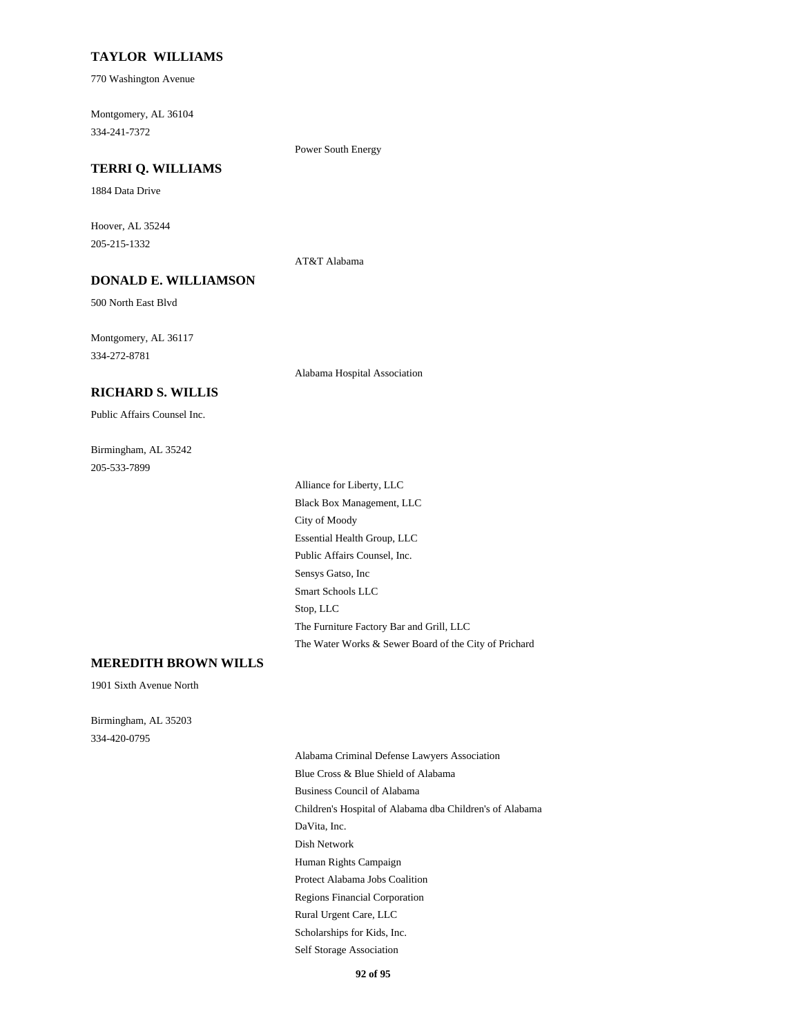#### **TAYLOR WILLIAMS**

770 Washington Avenue

Montgomery, AL 36104 334-241-7372

Power South Energy

#### **TERRI Q. WILLIAMS**

1884 Data Drive

Hoover, AL 35244 205-215-1332

AT&T Alabama

# **DONALD E. WILLIAMSON**

500 North East Blvd

Montgomery, AL 36117 334-272-8781

Alabama Hospital Association

## **RICHARD S. WILLIS**

Public Affairs Counsel Inc.

Birmingham, AL 35242 205-533-7899

> Alliance for Liberty, LLC Black Box Management, LLC City of Moody Essential Health Group, LLC Public Affairs Counsel, Inc. Sensys Gatso, Inc Smart Schools LLC Stop, LLC The Furniture Factory Bar and Grill, LLC The Water Works & Sewer Board of the City of Prichard

#### **MEREDITH BROWN WILLS**

1901 Sixth Avenue North

Birmingham, AL 35203 334-420-0795

> Alabama Criminal Defense Lawyers Association Blue Cross & Blue Shield of Alabama Business Council of Alabama Children's Hospital of Alabama dba Children's of Alabama DaVita, Inc. Dish Network Human Rights Campaign Protect Alabama Jobs Coalition Regions Financial Corporation Rural Urgent Care, LLC Scholarships for Kids, Inc. Self Storage Association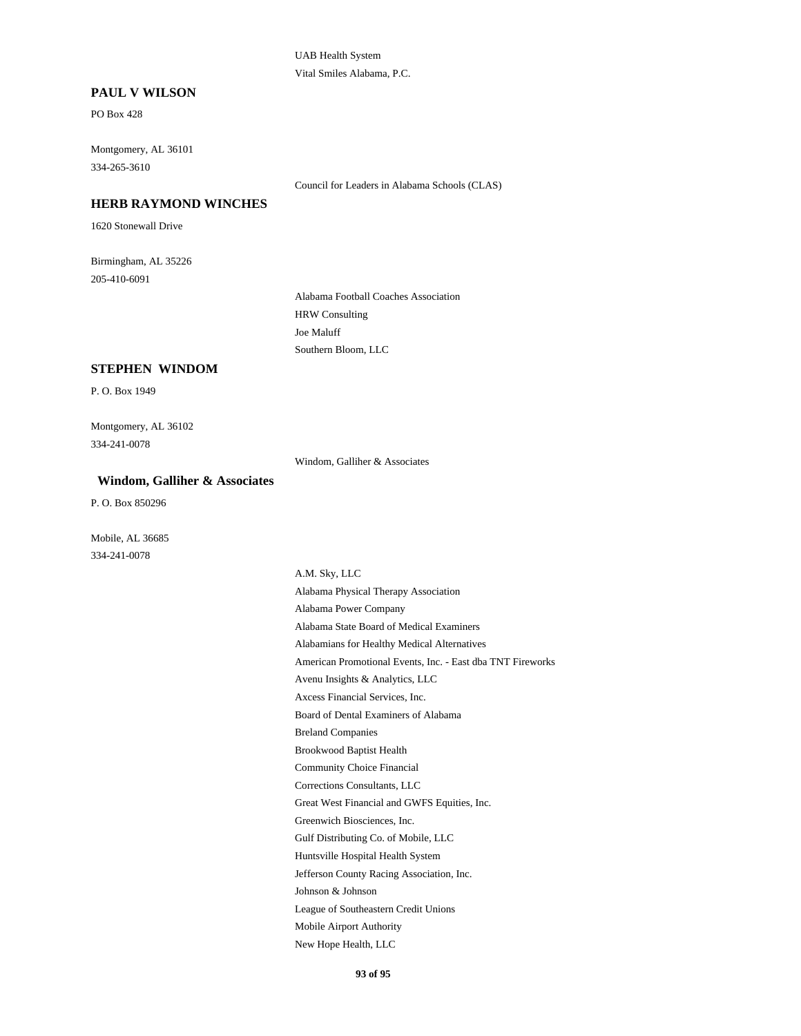#### UAB Health System Vital Smiles Alabama, P.C.

#### **PAUL V WILSON**

PO Box 428

Montgomery, AL 36101 334-265-3610

Council for Leaders in Alabama Schools (CLAS)

## **HERB RAYMOND WINCHES**

1620 Stonewall Drive

Birmingham, AL 35226 205-410-6091

> Alabama Football Coaches Association HRW Consulting Joe Maluff Southern Bloom, LLC

#### **STEPHEN WINDOM**

P. O. Box 1949

Montgomery, AL 36102 334-241-0078

Windom, Galliher & Associates

#### **Windom, Galliher & Associates**

P. O. Box 850296

Mobile, AL 36685 334-241-0078

> A.M. Sky, LLC Alabama Physical Therapy Association Alabama Power Company Alabama State Board of Medical Examiners Alabamians for Healthy Medical Alternatives American Promotional Events, Inc. - East dba TNT Fireworks Avenu Insights & Analytics, LLC Axcess Financial Services, Inc. Board of Dental Examiners of Alabama Breland Companies Brookwood Baptist Health Community Choice Financial Corrections Consultants, LLC Great West Financial and GWFS Equities, Inc. Greenwich Biosciences, Inc. Gulf Distributing Co. of Mobile, LLC Huntsville Hospital Health System Jefferson County Racing Association, Inc. Johnson & Johnson League of Southeastern Credit Unions Mobile Airport Authority New Hope Health, LLC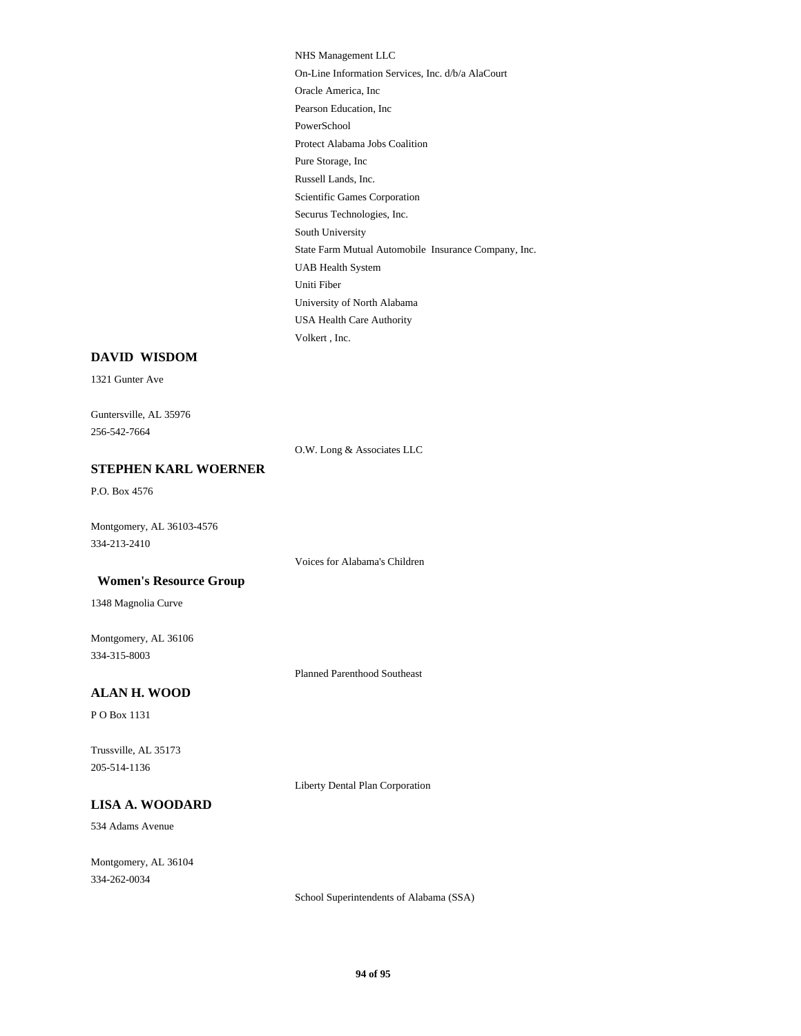NHS Management LLC On-Line Information Services, Inc. d/b/a AlaCourt Oracle America, Inc Pearson Education, Inc PowerSchool Protect Alabama Jobs Coalition Pure Storage, Inc Russell Lands, Inc. Scientific Games Corporation Securus Technologies, Inc. South University State Farm Mutual Automobile Insurance Company, Inc. UAB Health System Uniti Fiber University of North Alabama USA Health Care Authority Volkert , Inc.

#### **DAVID WISDOM**

1321 Gunter Ave

Guntersville, AL 35976 256-542-7664

O.W. Long & Associates LLC

#### **STEPHEN KARL WOERNER**

P.O. Box 4576

Montgomery, AL 36103-4576 334-213-2410

Voices for Alabama's Children

#### **Women's Resource Group**

1348 Magnolia Curve

Montgomery, AL 36106 334-315-8003

Planned Parenthood Southeast

#### **ALAN H. WOOD**

P O Box 1131

Trussville, AL 35173 205-514-1136

Liberty Dental Plan Corporation

#### **LISA A. WOODARD**

534 Adams Avenue

Montgomery, AL 36104 334-262-0034

School Superintendents of Alabama (SSA)